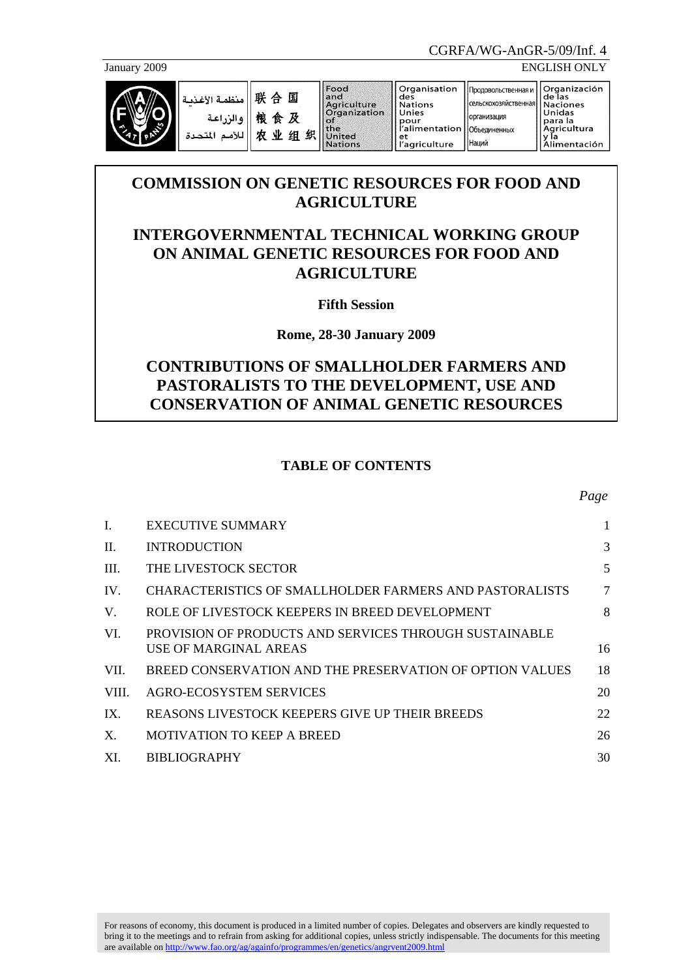

January 2009 ENGLISH ONLY

|  | منظمة الأغذمة<br>والزراعة<br>للأمم<br>المتحدة | 联合国<br>粮食及<br>鈩<br>出<br>业<br>组 | Food<br>and<br>Agriculture<br><b>Organization</b><br>.of<br><b>the</b><br>United<br>Nations | Organisation<br>des<br>Nations<br>Unies<br>pour<br>d'alimentation   Объединенных<br>et<br>'agriculture | Продовольственная и '<br>Псельскохозяйственная   Naciones<br><b>Порганизация</b><br>Наций | <b>IOrganización</b><br> de las<br><b>Unidas</b><br>l para la<br>  Agricultura<br>Alimentación |
|--|-----------------------------------------------|--------------------------------|---------------------------------------------------------------------------------------------|--------------------------------------------------------------------------------------------------------|-------------------------------------------------------------------------------------------|------------------------------------------------------------------------------------------------|
|--|-----------------------------------------------|--------------------------------|---------------------------------------------------------------------------------------------|--------------------------------------------------------------------------------------------------------|-------------------------------------------------------------------------------------------|------------------------------------------------------------------------------------------------|

# **COMMISSION ON GENETIC RESOURCES FOR FOOD AND AGRICULTURE**

# **INTERGOVERNMENTAL TECHNICAL WORKING GROUP ON ANIMAL GENETIC RESOURCES FOR FOOD AND AGRICULTURE**

**Fifth Session** 

**Rome, 28-30 January 2009** 

# **CONTRIBUTIONS OF SMALLHOLDER FARMERS AND PASTORALISTS TO THE DEVELOPMENT, USE AND CONSERVATION OF ANIMAL GENETIC RESOURCES**

# **TABLE OF CONTENTS**

| I.    | EXECUTIVE SUMMARY                                                               | 1  |
|-------|---------------------------------------------------------------------------------|----|
| II.   | <b>INTRODUCTION</b>                                                             | 3  |
| III.  | THE LIVESTOCK SECTOR                                                            | 5  |
| IV.   | CHARACTERISTICS OF SMALLHOLDER FARMERS AND PASTORALISTS                         | 7  |
| V.    | ROLE OF LIVESTOCK KEEPERS IN BREED DEVELOPMENT                                  | 8  |
| VI.   | PROVISION OF PRODUCTS AND SERVICES THROUGH SUSTAINABLE<br>USE OF MARGINAL AREAS | 16 |
| VII.  | BREED CONSERVATION AND THE PRESERVATION OF OPTION VALUES                        | 18 |
| VIII. | AGRO-ECOSYSTEM SERVICES                                                         | 20 |
| IX.   | REASONS LIVESTOCK KEEPERS GIVE UP THEIR BREEDS                                  | 22 |
| X.    | <b>MOTIVATION TO KEEP A BREED</b>                                               | 26 |
| XI.   | <b>BIBLIOGRAPHY</b>                                                             | 30 |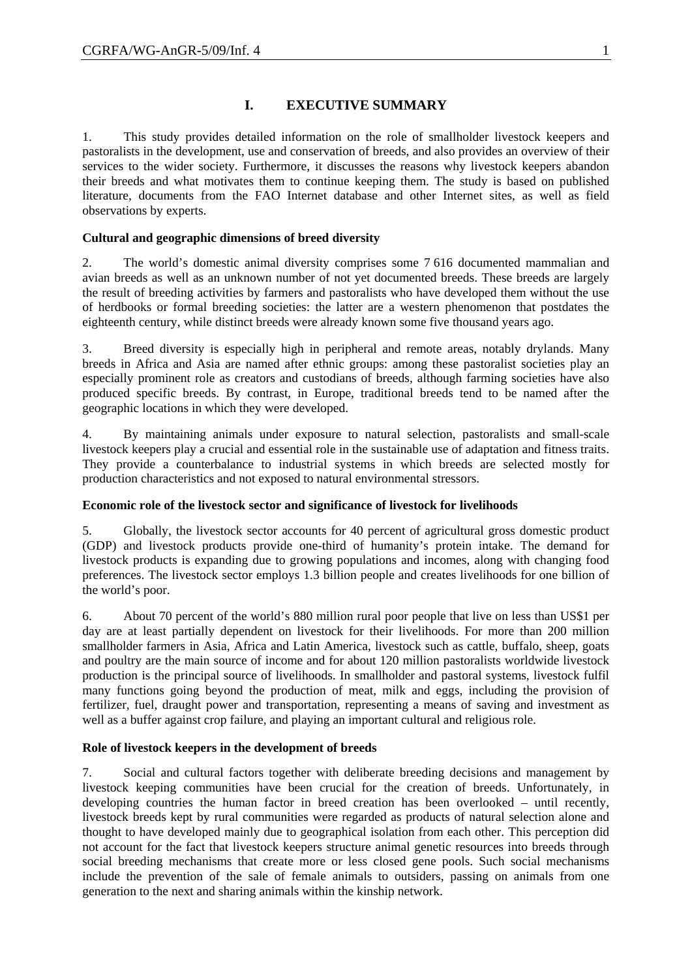# **I. EXECUTIVE SUMMARY**

1. This study provides detailed information on the role of smallholder livestock keepers and pastoralists in the development, use and conservation of breeds, and also provides an overview of their services to the wider society. Furthermore, it discusses the reasons why livestock keepers abandon their breeds and what motivates them to continue keeping them. The study is based on published literature, documents from the FAO Internet database and other Internet sites, as well as field observations by experts.

### **Cultural and geographic dimensions of breed diversity**

2. The world's domestic animal diversity comprises some 7 616 documented mammalian and avian breeds as well as an unknown number of not yet documented breeds. These breeds are largely the result of breeding activities by farmers and pastoralists who have developed them without the use of herdbooks or formal breeding societies: the latter are a western phenomenon that postdates the eighteenth century, while distinct breeds were already known some five thousand years ago.

3. Breed diversity is especially high in peripheral and remote areas, notably drylands. Many breeds in Africa and Asia are named after ethnic groups: among these pastoralist societies play an especially prominent role as creators and custodians of breeds, although farming societies have also produced specific breeds. By contrast, in Europe, traditional breeds tend to be named after the geographic locations in which they were developed.

4. By maintaining animals under exposure to natural selection, pastoralists and small-scale livestock keepers play a crucial and essential role in the sustainable use of adaptation and fitness traits. They provide a counterbalance to industrial systems in which breeds are selected mostly for production characteristics and not exposed to natural environmental stressors.

### **Economic role of the livestock sector and significance of livestock for livelihoods**

5. Globally, the livestock sector accounts for 40 percent of agricultural gross domestic product (GDP) and livestock products provide one-third of humanity's protein intake. The demand for livestock products is expanding due to growing populations and incomes, along with changing food preferences. The livestock sector employs 1.3 billion people and creates livelihoods for one billion of the world's poor.

6. About 70 percent of the world's 880 million rural poor people that live on less than US\$1 per day are at least partially dependent on livestock for their livelihoods. For more than 200 million smallholder farmers in Asia, Africa and Latin America, livestock such as cattle, buffalo, sheep, goats and poultry are the main source of income and for about 120 million pastoralists worldwide livestock production is the principal source of livelihoods. In smallholder and pastoral systems, livestock fulfil many functions going beyond the production of meat, milk and eggs, including the provision of fertilizer, fuel, draught power and transportation, representing a means of saving and investment as well as a buffer against crop failure, and playing an important cultural and religious role.

### **Role of livestock keepers in the development of breeds**

7. Social and cultural factors together with deliberate breeding decisions and management by livestock keeping communities have been crucial for the creation of breeds. Unfortunately, in developing countries the human factor in breed creation has been overlooked – until recently, livestock breeds kept by rural communities were regarded as products of natural selection alone and thought to have developed mainly due to geographical isolation from each other. This perception did not account for the fact that livestock keepers structure animal genetic resources into breeds through social breeding mechanisms that create more or less closed gene pools. Such social mechanisms include the prevention of the sale of female animals to outsiders, passing on animals from one generation to the next and sharing animals within the kinship network.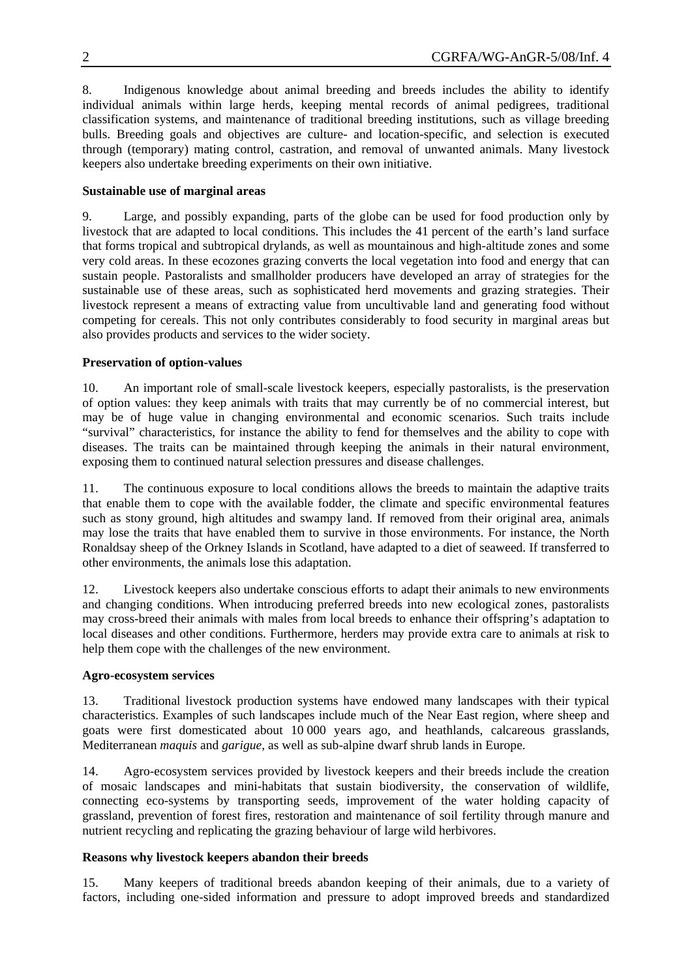8. Indigenous knowledge about animal breeding and breeds includes the ability to identify individual animals within large herds, keeping mental records of animal pedigrees, traditional classification systems, and maintenance of traditional breeding institutions, such as village breeding bulls. Breeding goals and objectives are culture- and location-specific, and selection is executed through (temporary) mating control, castration, and removal of unwanted animals. Many livestock keepers also undertake breeding experiments on their own initiative.

### **Sustainable use of marginal areas**

9. Large, and possibly expanding, parts of the globe can be used for food production only by livestock that are adapted to local conditions. This includes the 41 percent of the earth's land surface that forms tropical and subtropical drylands, as well as mountainous and high-altitude zones and some very cold areas. In these ecozones grazing converts the local vegetation into food and energy that can sustain people. Pastoralists and smallholder producers have developed an array of strategies for the sustainable use of these areas, such as sophisticated herd movements and grazing strategies. Their livestock represent a means of extracting value from uncultivable land and generating food without competing for cereals. This not only contributes considerably to food security in marginal areas but also provides products and services to the wider society.

### **Preservation of option-values**

10. An important role of small-scale livestock keepers, especially pastoralists, is the preservation of option values: they keep animals with traits that may currently be of no commercial interest, but may be of huge value in changing environmental and economic scenarios. Such traits include "survival" characteristics, for instance the ability to fend for themselves and the ability to cope with diseases. The traits can be maintained through keeping the animals in their natural environment, exposing them to continued natural selection pressures and disease challenges.

11. The continuous exposure to local conditions allows the breeds to maintain the adaptive traits that enable them to cope with the available fodder, the climate and specific environmental features such as stony ground, high altitudes and swampy land. If removed from their original area, animals may lose the traits that have enabled them to survive in those environments. For instance, the North Ronaldsay sheep of the Orkney Islands in Scotland, have adapted to a diet of seaweed. If transferred to other environments, the animals lose this adaptation.

12. Livestock keepers also undertake conscious efforts to adapt their animals to new environments and changing conditions. When introducing preferred breeds into new ecological zones, pastoralists may cross-breed their animals with males from local breeds to enhance their offspring's adaptation to local diseases and other conditions. Furthermore, herders may provide extra care to animals at risk to help them cope with the challenges of the new environment.

### **Agro-ecosystem services**

13. Traditional livestock production systems have endowed many landscapes with their typical characteristics. Examples of such landscapes include much of the Near East region, where sheep and goats were first domesticated about 10 000 years ago, and heathlands, calcareous grasslands, Mediterranean *maquis* and *garigue*, as well as sub-alpine dwarf shrub lands in Europe.

14. Agro-ecosystem services provided by livestock keepers and their breeds include the creation of mosaic landscapes and mini-habitats that sustain biodiversity, the conservation of wildlife, connecting eco-systems by transporting seeds, improvement of the water holding capacity of grassland, prevention of forest fires, restoration and maintenance of soil fertility through manure and nutrient recycling and replicating the grazing behaviour of large wild herbivores.

### **Reasons why livestock keepers abandon their breeds**

15. Many keepers of traditional breeds abandon keeping of their animals, due to a variety of factors, including one-sided information and pressure to adopt improved breeds and standardized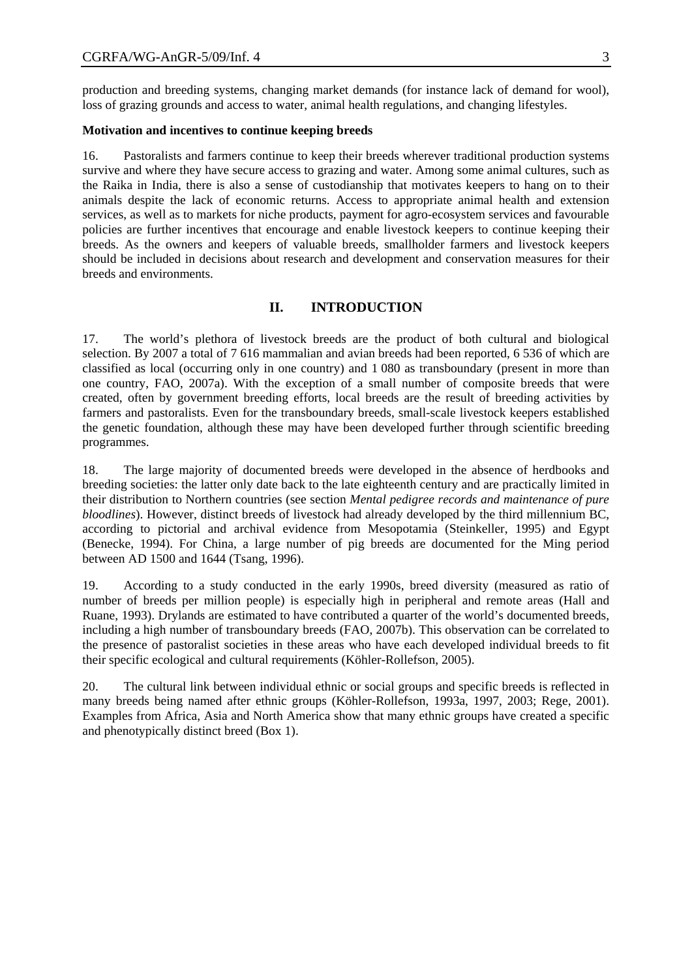production and breeding systems, changing market demands (for instance lack of demand for wool), loss of grazing grounds and access to water, animal health regulations, and changing lifestyles.

#### **Motivation and incentives to continue keeping breeds**

16. Pastoralists and farmers continue to keep their breeds wherever traditional production systems survive and where they have secure access to grazing and water. Among some animal cultures, such as the Raika in India, there is also a sense of custodianship that motivates keepers to hang on to their animals despite the lack of economic returns. Access to appropriate animal health and extension services, as well as to markets for niche products, payment for agro-ecosystem services and favourable policies are further incentives that encourage and enable livestock keepers to continue keeping their breeds. As the owners and keepers of valuable breeds, smallholder farmers and livestock keepers should be included in decisions about research and development and conservation measures for their breeds and environments.

### **II. INTRODUCTION**

17. The world's plethora of livestock breeds are the product of both cultural and biological selection. By 2007 a total of 7 616 mammalian and avian breeds had been reported, 6 536 of which are classified as local (occurring only in one country) and 1 080 as transboundary (present in more than one country, FAO, 2007a). With the exception of a small number of composite breeds that were created, often by government breeding efforts, local breeds are the result of breeding activities by farmers and pastoralists. Even for the transboundary breeds, small-scale livestock keepers established the genetic foundation, although these may have been developed further through scientific breeding programmes.

18. The large majority of documented breeds were developed in the absence of herdbooks and breeding societies: the latter only date back to the late eighteenth century and are practically limited in their distribution to Northern countries (see section *Mental pedigree records and maintenance of pure bloodlines*). However, distinct breeds of livestock had already developed by the third millennium BC, according to pictorial and archival evidence from Mesopotamia (Steinkeller, 1995) and Egypt (Benecke, 1994). For China, a large number of pig breeds are documented for the Ming period between AD 1500 and 1644 (Tsang, 1996).

19. According to a study conducted in the early 1990s, breed diversity (measured as ratio of number of breeds per million people) is especially high in peripheral and remote areas (Hall and Ruane, 1993). Drylands are estimated to have contributed a quarter of the world's documented breeds, including a high number of transboundary breeds (FAO, 2007b). This observation can be correlated to the presence of pastoralist societies in these areas who have each developed individual breeds to fit their specific ecological and cultural requirements (Köhler-Rollefson, 2005).

20. The cultural link between individual ethnic or social groups and specific breeds is reflected in many breeds being named after ethnic groups (Köhler-Rollefson, 1993a, 1997, 2003; Rege, 2001). Examples from Africa, Asia and North America show that many ethnic groups have created a specific and phenotypically distinct breed (Box 1).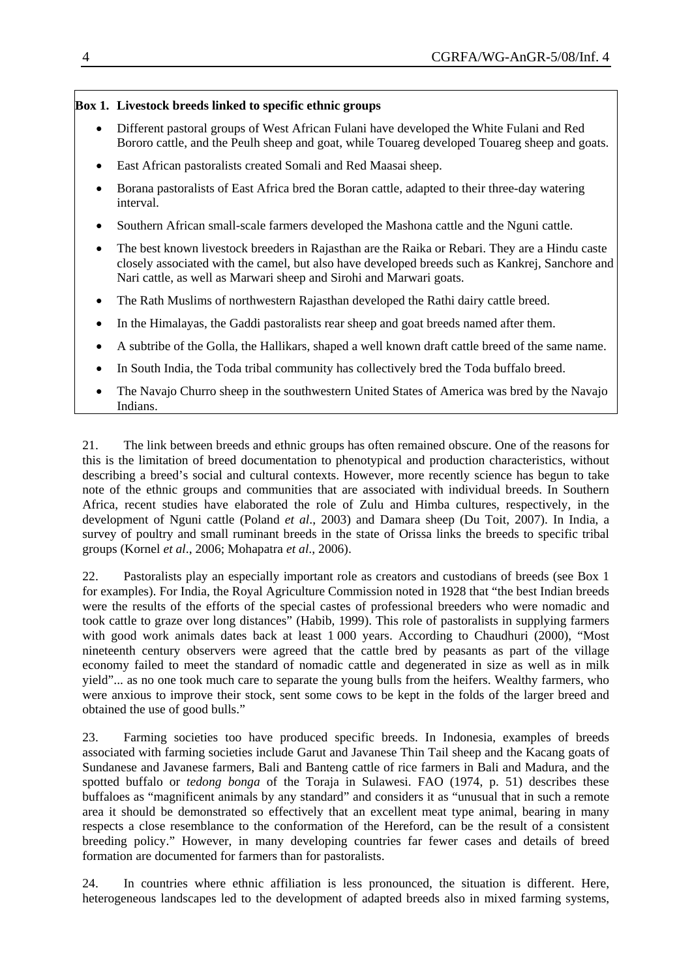### **Box 1. Livestock breeds linked to specific ethnic groups**

- Different pastoral groups of West African Fulani have developed the White Fulani and Red Bororo cattle, and the Peulh sheep and goat, while Touareg developed Touareg sheep and goats.
- East African pastoralists created Somali and Red Maasai sheep.
- Borana pastoralists of East Africa bred the Boran cattle, adapted to their three-day watering interval.
- Southern African small-scale farmers developed the Mashona cattle and the Nguni cattle.
- The best known livestock breeders in Rajasthan are the Raika or Rebari. They are a Hindu caste closely associated with the camel, but also have developed breeds such as Kankrej, Sanchore and Nari cattle, as well as Marwari sheep and Sirohi and Marwari goats.
- The Rath Muslims of northwestern Rajasthan developed the Rathi dairy cattle breed.
- In the Himalayas, the Gaddi pastoralists rear sheep and goat breeds named after them.
- A subtribe of the Golla, the Hallikars, shaped a well known draft cattle breed of the same name.
- In South India, the Toda tribal community has collectively bred the Toda buffalo breed.
- The Navajo Churro sheep in the southwestern United States of America was bred by the Navajo Indians.

21. The link between breeds and ethnic groups has often remained obscure. One of the reasons for this is the limitation of breed documentation to phenotypical and production characteristics, without describing a breed's social and cultural contexts. However, more recently science has begun to take note of the ethnic groups and communities that are associated with individual breeds. In Southern Africa, recent studies have elaborated the role of Zulu and Himba cultures, respectively, in the development of Nguni cattle (Poland *et al*., 2003) and Damara sheep (Du Toit, 2007). In India, a survey of poultry and small ruminant breeds in the state of Orissa links the breeds to specific tribal groups (Kornel *et al*., 2006; Mohapatra *et al*., 2006).

22. Pastoralists play an especially important role as creators and custodians of breeds (see Box 1 for examples). For India, the Royal Agriculture Commission noted in 1928 that "the best Indian breeds were the results of the efforts of the special castes of professional breeders who were nomadic and took cattle to graze over long distances" (Habib, 1999). This role of pastoralists in supplying farmers with good work animals dates back at least 1 000 years. According to Chaudhuri (2000), "Most nineteenth century observers were agreed that the cattle bred by peasants as part of the village economy failed to meet the standard of nomadic cattle and degenerated in size as well as in milk yield"... as no one took much care to separate the young bulls from the heifers. Wealthy farmers, who were anxious to improve their stock, sent some cows to be kept in the folds of the larger breed and obtained the use of good bulls."

23. Farming societies too have produced specific breeds. In Indonesia, examples of breeds associated with farming societies include Garut and Javanese Thin Tail sheep and the Kacang goats of Sundanese and Javanese farmers, Bali and Banteng cattle of rice farmers in Bali and Madura, and the spotted buffalo or *tedong bonga* of the Toraja in Sulawesi. FAO (1974, p. 51) describes these buffaloes as "magnificent animals by any standard" and considers it as "unusual that in such a remote area it should be demonstrated so effectively that an excellent meat type animal, bearing in many respects a close resemblance to the conformation of the Hereford, can be the result of a consistent breeding policy." However, in many developing countries far fewer cases and details of breed formation are documented for farmers than for pastoralists.

24. In countries where ethnic affiliation is less pronounced, the situation is different. Here, heterogeneous landscapes led to the development of adapted breeds also in mixed farming systems,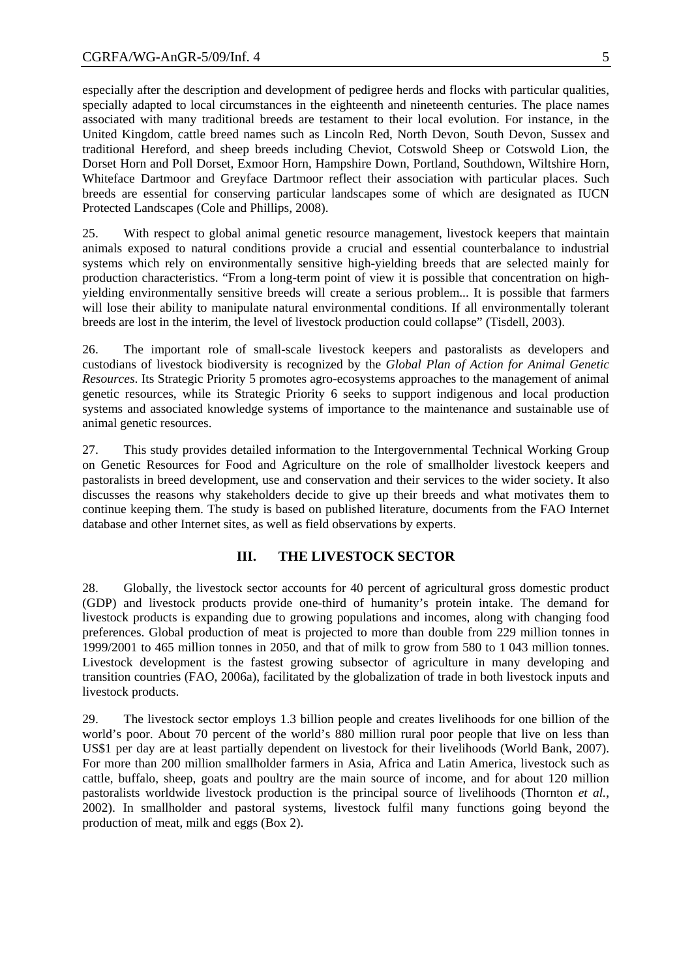especially after the description and development of pedigree herds and flocks with particular qualities, specially adapted to local circumstances in the eighteenth and nineteenth centuries. The place names associated with many traditional breeds are testament to their local evolution. For instance, in the United Kingdom, cattle breed names such as Lincoln Red, North Devon, South Devon, Sussex and traditional Hereford, and sheep breeds including Cheviot, Cotswold Sheep or Cotswold Lion, the Dorset Horn and Poll Dorset, Exmoor Horn, Hampshire Down, Portland, Southdown, Wiltshire Horn, Whiteface Dartmoor and Greyface Dartmoor reflect their association with particular places. Such breeds are essential for conserving particular landscapes some of which are designated as IUCN Protected Landscapes (Cole and Phillips, 2008).

25. With respect to global animal genetic resource management, livestock keepers that maintain animals exposed to natural conditions provide a crucial and essential counterbalance to industrial systems which rely on environmentally sensitive high-yielding breeds that are selected mainly for production characteristics. "From a long-term point of view it is possible that concentration on highyielding environmentally sensitive breeds will create a serious problem... It is possible that farmers will lose their ability to manipulate natural environmental conditions. If all environmentally tolerant breeds are lost in the interim, the level of livestock production could collapse" (Tisdell, 2003).

26. The important role of small-scale livestock keepers and pastoralists as developers and custodians of livestock biodiversity is recognized by the *Global Plan of Action for Animal Genetic Resources*. Its Strategic Priority 5 promotes agro-ecosystems approaches to the management of animal genetic resources, while its Strategic Priority 6 seeks to support indigenous and local production systems and associated knowledge systems of importance to the maintenance and sustainable use of animal genetic resources.

27. This study provides detailed information to the Intergovernmental Technical Working Group on Genetic Resources for Food and Agriculture on the role of smallholder livestock keepers and pastoralists in breed development, use and conservation and their services to the wider society. It also discusses the reasons why stakeholders decide to give up their breeds and what motivates them to continue keeping them. The study is based on published literature, documents from the FAO Internet database and other Internet sites, as well as field observations by experts.

### **III. THE LIVESTOCK SECTOR**

28. Globally, the livestock sector accounts for 40 percent of agricultural gross domestic product (GDP) and livestock products provide one-third of humanity's protein intake. The demand for livestock products is expanding due to growing populations and incomes, along with changing food preferences. Global production of meat is projected to more than double from 229 million tonnes in 1999/2001 to 465 million tonnes in 2050, and that of milk to grow from 580 to 1 043 million tonnes. Livestock development is the fastest growing subsector of agriculture in many developing and transition countries (FAO, 2006a), facilitated by the globalization of trade in both livestock inputs and livestock products.

29. The livestock sector employs 1.3 billion people and creates livelihoods for one billion of the world's poor. About 70 percent of the world's 880 million rural poor people that live on less than US\$1 per day are at least partially dependent on livestock for their livelihoods (World Bank, 2007). For more than 200 million smallholder farmers in Asia, Africa and Latin America, livestock such as cattle, buffalo, sheep, goats and poultry are the main source of income, and for about 120 million pastoralists worldwide livestock production is the principal source of livelihoods (Thornton *et al.*, 2002). In smallholder and pastoral systems, livestock fulfil many functions going beyond the production of meat, milk and eggs (Box 2).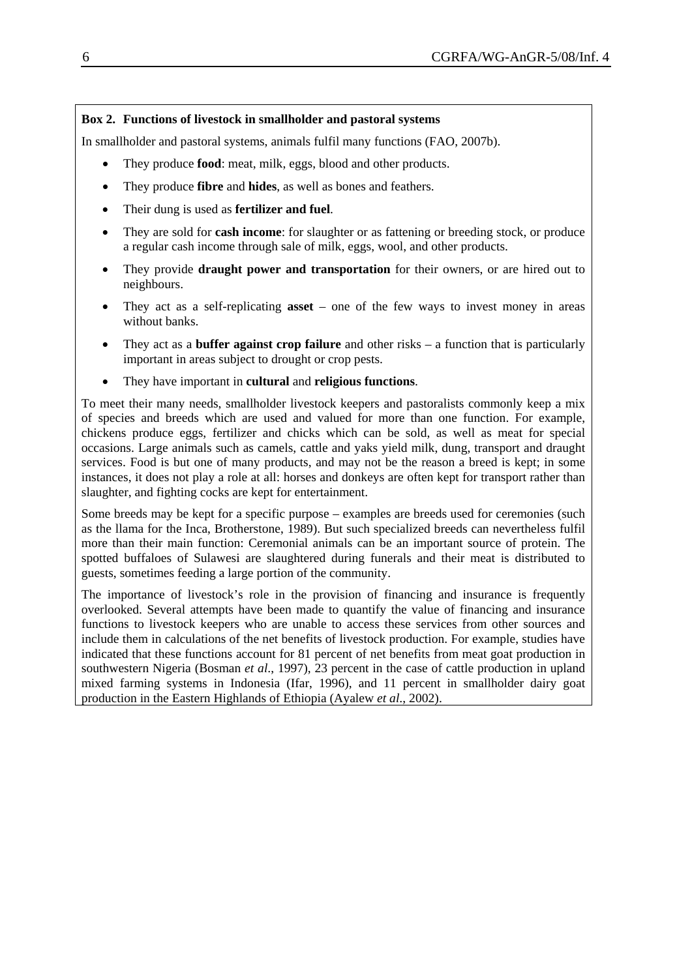### **Box 2. Functions of livestock in smallholder and pastoral systems**

In smallholder and pastoral systems, animals fulfil many functions (FAO, 2007b).

- They produce **food**: meat, milk, eggs, blood and other products.
- They produce **fibre** and **hides**, as well as bones and feathers.
- Their dung is used as **fertilizer and fuel**.
- They are sold for **cash income**: for slaughter or as fattening or breeding stock, or produce a regular cash income through sale of milk, eggs, wool, and other products.
- They provide **draught power and transportation** for their owners, or are hired out to neighbours.
- They act as a self-replicating **asset**  one of the few ways to invest money in areas without banks.
- They act as a **buffer against crop failure** and other risks a function that is particularly important in areas subject to drought or crop pests.
- They have important in **cultural** and **religious functions**.

To meet their many needs, smallholder livestock keepers and pastoralists commonly keep a mix of species and breeds which are used and valued for more than one function. For example, chickens produce eggs, fertilizer and chicks which can be sold, as well as meat for special occasions. Large animals such as camels, cattle and yaks yield milk, dung, transport and draught services. Food is but one of many products, and may not be the reason a breed is kept; in some instances, it does not play a role at all: horses and donkeys are often kept for transport rather than slaughter, and fighting cocks are kept for entertainment.

Some breeds may be kept for a specific purpose – examples are breeds used for ceremonies (such as the llama for the Inca, Brotherstone, 1989). But such specialized breeds can nevertheless fulfil more than their main function: Ceremonial animals can be an important source of protein. The spotted buffaloes of Sulawesi are slaughtered during funerals and their meat is distributed to guests, sometimes feeding a large portion of the community.

The importance of livestock's role in the provision of financing and insurance is frequently overlooked. Several attempts have been made to quantify the value of financing and insurance functions to livestock keepers who are unable to access these services from other sources and include them in calculations of the net benefits of livestock production. For example, studies have indicated that these functions account for 81 percent of net benefits from meat goat production in southwestern Nigeria (Bosman *et al*., 1997), 23 percent in the case of cattle production in upland mixed farming systems in Indonesia (Ifar, 1996), and 11 percent in smallholder dairy goat production in the Eastern Highlands of Ethiopia (Ayalew *et al*., 2002).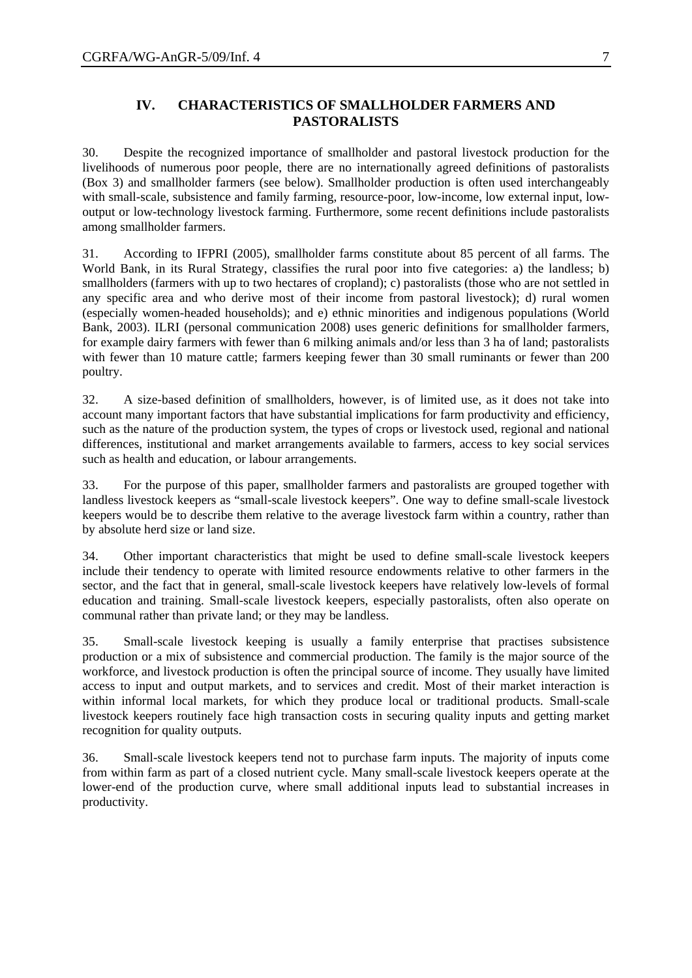### **IV. CHARACTERISTICS OF SMALLHOLDER FARMERS AND PASTORALISTS**

30. Despite the recognized importance of smallholder and pastoral livestock production for the livelihoods of numerous poor people, there are no internationally agreed definitions of pastoralists (Box 3) and smallholder farmers (see below). Smallholder production is often used interchangeably with small-scale, subsistence and family farming, resource-poor, low-income, low external input, lowoutput or low-technology livestock farming. Furthermore, some recent definitions include pastoralists among smallholder farmers.

31. According to IFPRI (2005), smallholder farms constitute about 85 percent of all farms. The World Bank, in its Rural Strategy, classifies the rural poor into five categories: a) the landless; b) smallholders (farmers with up to two hectares of cropland); c) pastoralists (those who are not settled in any specific area and who derive most of their income from pastoral livestock); d) rural women (especially women-headed households); and e) ethnic minorities and indigenous populations (World Bank, 2003). ILRI (personal communication 2008) uses generic definitions for smallholder farmers, for example dairy farmers with fewer than 6 milking animals and/or less than 3 ha of land; pastoralists with fewer than 10 mature cattle; farmers keeping fewer than 30 small ruminants or fewer than 200 poultry.

32. A size-based definition of smallholders, however, is of limited use, as it does not take into account many important factors that have substantial implications for farm productivity and efficiency, such as the nature of the production system, the types of crops or livestock used, regional and national differences, institutional and market arrangements available to farmers, access to key social services such as health and education, or labour arrangements.

33. For the purpose of this paper, smallholder farmers and pastoralists are grouped together with landless livestock keepers as "small-scale livestock keepers". One way to define small-scale livestock keepers would be to describe them relative to the average livestock farm within a country, rather than by absolute herd size or land size.

34. Other important characteristics that might be used to define small-scale livestock keepers include their tendency to operate with limited resource endowments relative to other farmers in the sector, and the fact that in general, small-scale livestock keepers have relatively low-levels of formal education and training. Small-scale livestock keepers, especially pastoralists, often also operate on communal rather than private land; or they may be landless.

35. Small-scale livestock keeping is usually a family enterprise that practises subsistence production or a mix of subsistence and commercial production. The family is the major source of the workforce, and livestock production is often the principal source of income. They usually have limited access to input and output markets, and to services and credit. Most of their market interaction is within informal local markets, for which they produce local or traditional products. Small-scale livestock keepers routinely face high transaction costs in securing quality inputs and getting market recognition for quality outputs.

36. Small-scale livestock keepers tend not to purchase farm inputs. The majority of inputs come from within farm as part of a closed nutrient cycle. Many small-scale livestock keepers operate at the lower-end of the production curve, where small additional inputs lead to substantial increases in productivity.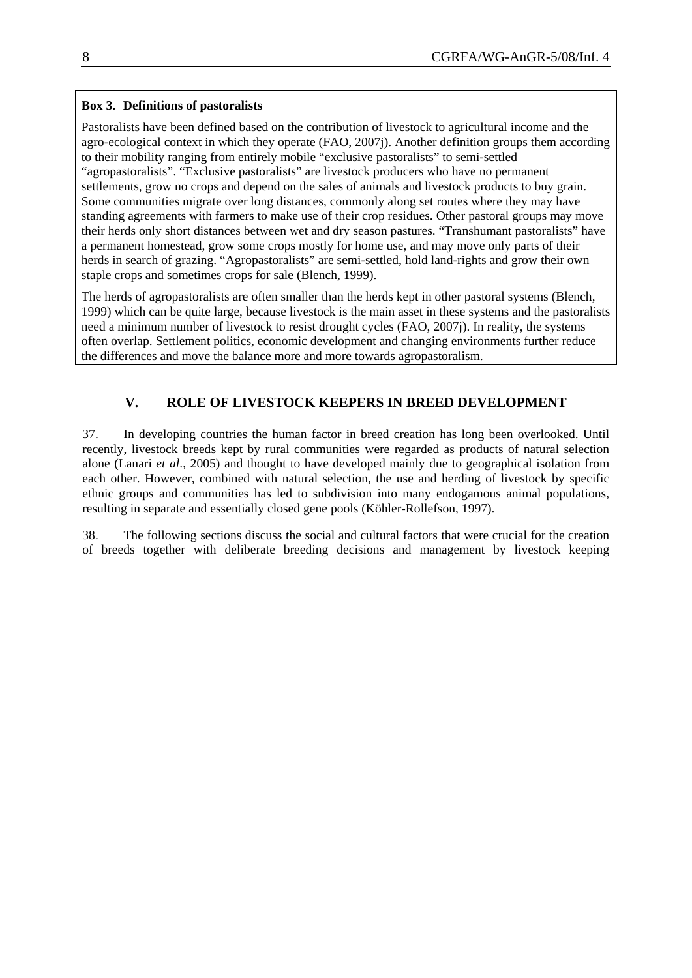### **Box 3. Definitions of pastoralists**

Pastoralists have been defined based on the contribution of livestock to agricultural income and the agro-ecological context in which they operate (FAO, 2007j). Another definition groups them according to their mobility ranging from entirely mobile "exclusive pastoralists" to semi-settled "agropastoralists". "Exclusive pastoralists" are livestock producers who have no permanent settlements, grow no crops and depend on the sales of animals and livestock products to buy grain. Some communities migrate over long distances, commonly along set routes where they may have standing agreements with farmers to make use of their crop residues. Other pastoral groups may move their herds only short distances between wet and dry season pastures. "Transhumant pastoralists" have a permanent homestead, grow some crops mostly for home use, and may move only parts of their herds in search of grazing. "Agropastoralists" are semi-settled, hold land-rights and grow their own staple crops and sometimes crops for sale (Blench, 1999).

The herds of agropastoralists are often smaller than the herds kept in other pastoral systems (Blench, 1999) which can be quite large, because livestock is the main asset in these systems and the pastoralists need a minimum number of livestock to resist drought cycles (FAO, 2007j). In reality, the systems often overlap. Settlement politics, economic development and changing environments further reduce the differences and move the balance more and more towards agropastoralism.

# **V. ROLE OF LIVESTOCK KEEPERS IN BREED DEVELOPMENT**

37. In developing countries the human factor in breed creation has long been overlooked. Until recently, livestock breeds kept by rural communities were regarded as products of natural selection alone (Lanari *et al*., 2005) and thought to have developed mainly due to geographical isolation from each other. However, combined with natural selection, the use and herding of livestock by specific ethnic groups and communities has led to subdivision into many endogamous animal populations, resulting in separate and essentially closed gene pools (Köhler-Rollefson, 1997).

38. The following sections discuss the social and cultural factors that were crucial for the creation of breeds together with deliberate breeding decisions and management by livestock keeping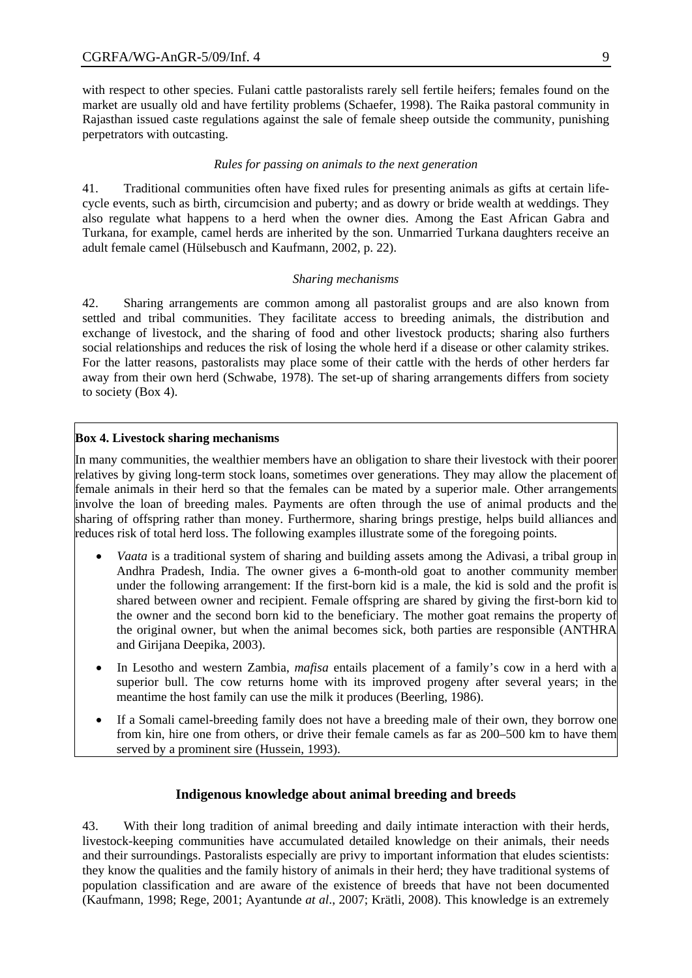with respect to other species. Fulani cattle pastoralists rarely sell fertile heifers; females found on the market are usually old and have fertility problems (Schaefer, 1998). The Raika pastoral community in Rajasthan issued caste regulations against the sale of female sheep outside the community, punishing perpetrators with outcasting.

#### *Rules for passing on animals to the next generation*

41. Traditional communities often have fixed rules for presenting animals as gifts at certain lifecycle events, such as birth, circumcision and puberty; and as dowry or bride wealth at weddings. They also regulate what happens to a herd when the owner dies. Among the East African Gabra and Turkana, for example, camel herds are inherited by the son. Unmarried Turkana daughters receive an adult female camel (Hülsebusch and Kaufmann, 2002, p. 22).

#### *Sharing mechanisms*

42. Sharing arrangements are common among all pastoralist groups and are also known from settled and tribal communities. They facilitate access to breeding animals, the distribution and exchange of livestock, and the sharing of food and other livestock products; sharing also furthers social relationships and reduces the risk of losing the whole herd if a disease or other calamity strikes. For the latter reasons, pastoralists may place some of their cattle with the herds of other herders far away from their own herd (Schwabe, 1978). The set-up of sharing arrangements differs from society to society (Box 4).

#### **Box 4. Livestock sharing mechanisms**

In many communities, the wealthier members have an obligation to share their livestock with their poorer relatives by giving long-term stock loans, sometimes over generations. They may allow the placement of female animals in their herd so that the females can be mated by a superior male. Other arrangements involve the loan of breeding males. Payments are often through the use of animal products and the sharing of offspring rather than money. Furthermore, sharing brings prestige, helps build alliances and reduces risk of total herd loss. The following examples illustrate some of the foregoing points.

- *Vaata* is a traditional system of sharing and building assets among the Adivasi, a tribal group in Andhra Pradesh, India. The owner gives a 6-month-old goat to another community member under the following arrangement: If the first-born kid is a male, the kid is sold and the profit is shared between owner and recipient. Female offspring are shared by giving the first-born kid to the owner and the second born kid to the beneficiary. The mother goat remains the property of the original owner, but when the animal becomes sick, both parties are responsible (ANTHRA and Girijana Deepika, 2003).
- In Lesotho and western Zambia, *mafisa* entails placement of a family's cow in a herd with a superior bull. The cow returns home with its improved progeny after several years; in the meantime the host family can use the milk it produces (Beerling, 1986).
- If a Somali camel-breeding family does not have a breeding male of their own, they borrow one from kin, hire one from others, or drive their female camels as far as 200–500 km to have them served by a prominent sire (Hussein, 1993).

### **Indigenous knowledge about animal breeding and breeds**

43. With their long tradition of animal breeding and daily intimate interaction with their herds, livestock-keeping communities have accumulated detailed knowledge on their animals, their needs and their surroundings. Pastoralists especially are privy to important information that eludes scientists: they know the qualities and the family history of animals in their herd; they have traditional systems of population classification and are aware of the existence of breeds that have not been documented (Kaufmann, 1998; Rege, 2001; Ayantunde *at al*., 2007; Krätli, 2008). This knowledge is an extremely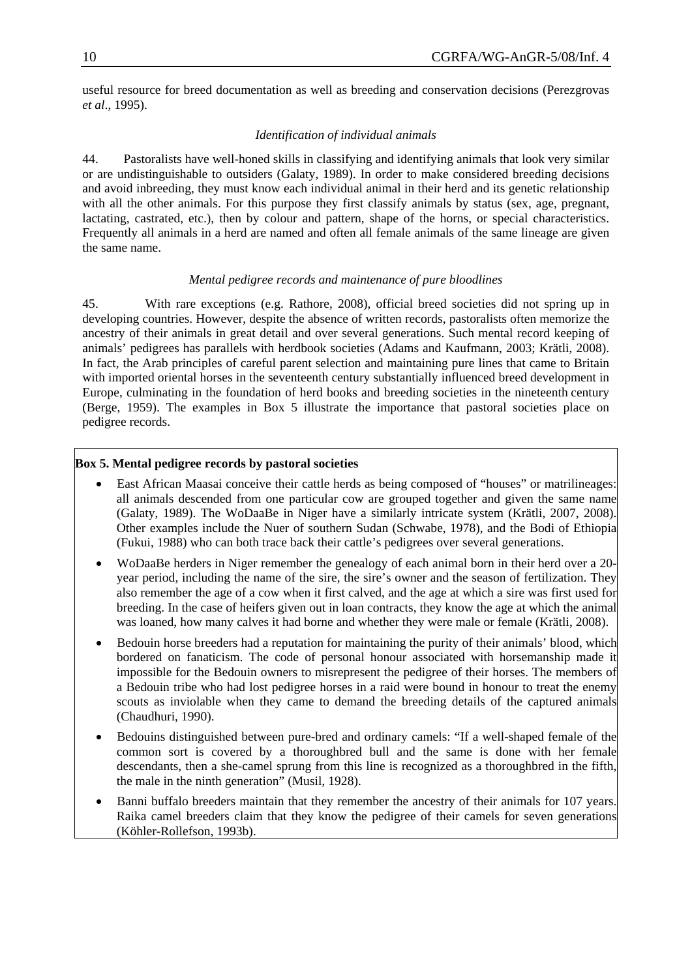useful resource for breed documentation as well as breeding and conservation decisions (Perezgrovas *et al*., 1995).

#### *Identification of individual animals*

44. Pastoralists have well-honed skills in classifying and identifying animals that look very similar or are undistinguishable to outsiders (Galaty, 1989). In order to make considered breeding decisions and avoid inbreeding, they must know each individual animal in their herd and its genetic relationship with all the other animals. For this purpose they first classify animals by status (sex, age, pregnant, lactating, castrated, etc.), then by colour and pattern, shape of the horns, or special characteristics. Frequently all animals in a herd are named and often all female animals of the same lineage are given the same name.

#### *Mental pedigree records and maintenance of pure bloodlines*

45. With rare exceptions (e.g. Rathore, 2008), official breed societies did not spring up in developing countries. However, despite the absence of written records, pastoralists often memorize the ancestry of their animals in great detail and over several generations. Such mental record keeping of animals' pedigrees has parallels with herdbook societies (Adams and Kaufmann, 2003; Krätli, 2008). In fact, the Arab principles of careful parent selection and maintaining pure lines that came to Britain with imported oriental horses in the seventeenth century substantially influenced breed development in Europe, culminating in the foundation of herd books and breeding societies in the nineteenth century (Berge, 1959). The examples in Box 5 illustrate the importance that pastoral societies place on pedigree records.

### **Box 5. Mental pedigree records by pastoral societies**

- East African Maasai conceive their cattle herds as being composed of "houses" or matrilineages: all animals descended from one particular cow are grouped together and given the same name (Galaty, 1989). The WoDaaBe in Niger have a similarly intricate system (Krätli, 2007, 2008). Other examples include the Nuer of southern Sudan (Schwabe, 1978), and the Bodi of Ethiopia (Fukui, 1988) who can both trace back their cattle's pedigrees over several generations.
- WoDaaBe herders in Niger remember the genealogy of each animal born in their herd over a 20 year period, including the name of the sire, the sire's owner and the season of fertilization. They also remember the age of a cow when it first calved, and the age at which a sire was first used for breeding. In the case of heifers given out in loan contracts, they know the age at which the animal was loaned, how many calves it had borne and whether they were male or female (Krätli, 2008).
- Bedouin horse breeders had a reputation for maintaining the purity of their animals' blood, which bordered on fanaticism. The code of personal honour associated with horsemanship made it impossible for the Bedouin owners to misrepresent the pedigree of their horses. The members of a Bedouin tribe who had lost pedigree horses in a raid were bound in honour to treat the enemy scouts as inviolable when they came to demand the breeding details of the captured animals (Chaudhuri, 1990).
- Bedouins distinguished between pure-bred and ordinary camels: "If a well-shaped female of the common sort is covered by a thoroughbred bull and the same is done with her female descendants, then a she-camel sprung from this line is recognized as a thoroughbred in the fifth, the male in the ninth generation" (Musil, 1928).
- Banni buffalo breeders maintain that they remember the ancestry of their animals for 107 years. Raika camel breeders claim that they know the pedigree of their camels for seven generations (Köhler-Rollefson, 1993b).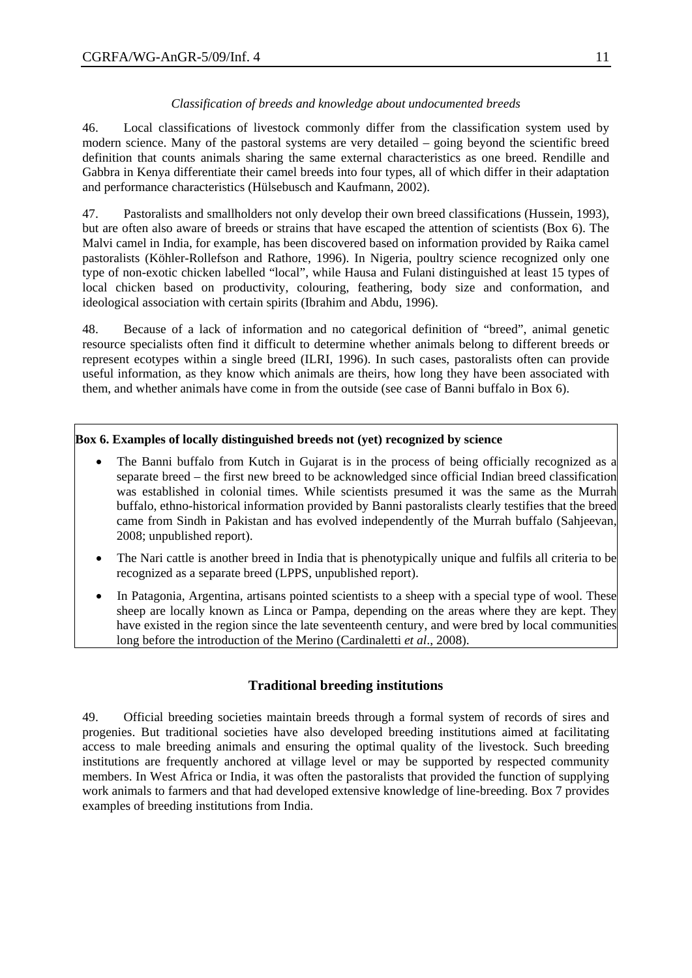### *Classification of breeds and knowledge about undocumented breeds*

46. Local classifications of livestock commonly differ from the classification system used by modern science. Many of the pastoral systems are very detailed – going beyond the scientific breed definition that counts animals sharing the same external characteristics as one breed. Rendille and Gabbra in Kenya differentiate their camel breeds into four types, all of which differ in their adaptation and performance characteristics (Hülsebusch and Kaufmann, 2002).

47. Pastoralists and smallholders not only develop their own breed classifications (Hussein, 1993), but are often also aware of breeds or strains that have escaped the attention of scientists (Box 6). The Malvi camel in India, for example, has been discovered based on information provided by Raika camel pastoralists (Köhler-Rollefson and Rathore, 1996). In Nigeria, poultry science recognized only one type of non-exotic chicken labelled "local", while Hausa and Fulani distinguished at least 15 types of local chicken based on productivity, colouring, feathering, body size and conformation, and ideological association with certain spirits (Ibrahim and Abdu, 1996).

48. Because of a lack of information and no categorical definition of "breed", animal genetic resource specialists often find it difficult to determine whether animals belong to different breeds or represent ecotypes within a single breed (ILRI, 1996). In such cases, pastoralists often can provide useful information, as they know which animals are theirs, how long they have been associated with them, and whether animals have come in from the outside (see case of Banni buffalo in Box 6).

### **Box 6. Examples of locally distinguished breeds not (yet) recognized by science**

- The Banni buffalo from Kutch in Gujarat is in the process of being officially recognized as a separate breed – the first new breed to be acknowledged since official Indian breed classification was established in colonial times. While scientists presumed it was the same as the Murrah buffalo, ethno-historical information provided by Banni pastoralists clearly testifies that the breed came from Sindh in Pakistan and has evolved independently of the Murrah buffalo (Sahjeevan, 2008; unpublished report).
- The Nari cattle is another breed in India that is phenotypically unique and fulfils all criteria to be recognized as a separate breed (LPPS, unpublished report).
- In Patagonia, Argentina, artisans pointed scientists to a sheep with a special type of wool. These sheep are locally known as Linca or Pampa, depending on the areas where they are kept. They have existed in the region since the late seventeenth century, and were bred by local communities long before the introduction of the Merino (Cardinaletti *et al*., 2008).

# **Traditional breeding institutions**

49. Official breeding societies maintain breeds through a formal system of records of sires and progenies. But traditional societies have also developed breeding institutions aimed at facilitating access to male breeding animals and ensuring the optimal quality of the livestock. Such breeding institutions are frequently anchored at village level or may be supported by respected community members. In West Africa or India, it was often the pastoralists that provided the function of supplying work animals to farmers and that had developed extensive knowledge of line-breeding. Box 7 provides examples of breeding institutions from India.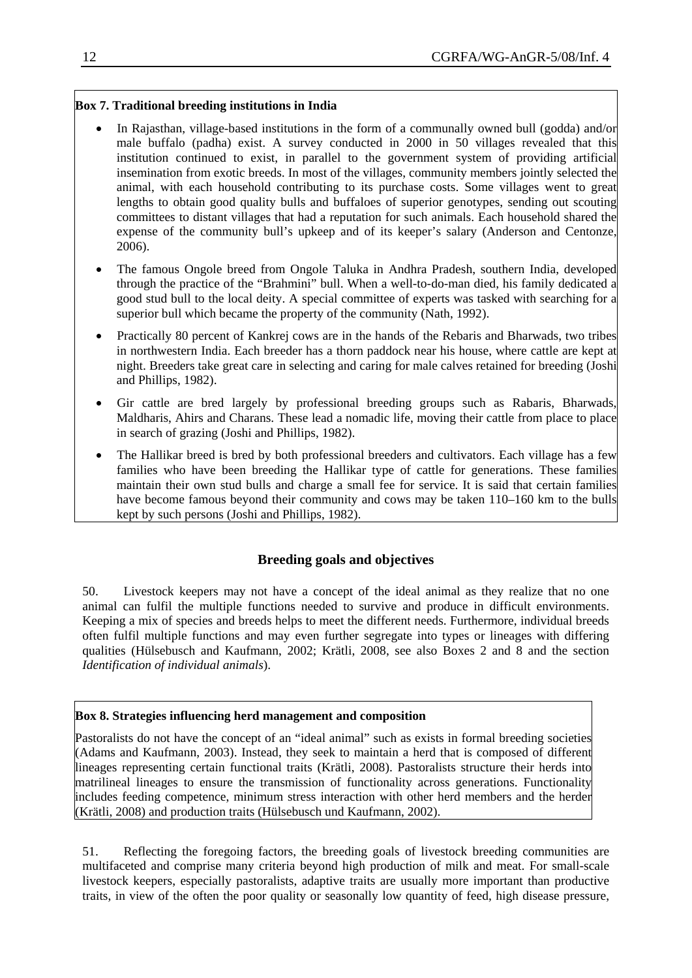### **Box 7. Traditional breeding institutions in India**

- In Rajasthan, village-based institutions in the form of a communally owned bull (godda) and/or male buffalo (padha) exist. A survey conducted in 2000 in 50 villages revealed that this institution continued to exist, in parallel to the government system of providing artificial insemination from exotic breeds. In most of the villages, community members jointly selected the animal, with each household contributing to its purchase costs. Some villages went to great lengths to obtain good quality bulls and buffaloes of superior genotypes, sending out scouting committees to distant villages that had a reputation for such animals. Each household shared the expense of the community bull's upkeep and of its keeper's salary (Anderson and Centonze, 2006).
- The famous Ongole breed from Ongole Taluka in Andhra Pradesh, southern India, developed through the practice of the "Brahmini" bull. When a well-to-do-man died, his family dedicated a good stud bull to the local deity. A special committee of experts was tasked with searching for a superior bull which became the property of the community (Nath, 1992).
- Practically 80 percent of Kankrej cows are in the hands of the Rebaris and Bharwads, two tribes in northwestern India. Each breeder has a thorn paddock near his house, where cattle are kept at night. Breeders take great care in selecting and caring for male calves retained for breeding (Joshi and Phillips, 1982).
- Gir cattle are bred largely by professional breeding groups such as Rabaris, Bharwads, Maldharis, Ahirs and Charans. These lead a nomadic life, moving their cattle from place to place in search of grazing (Joshi and Phillips, 1982).
- The Hallikar breed is bred by both professional breeders and cultivators. Each village has a few families who have been breeding the Hallikar type of cattle for generations. These families maintain their own stud bulls and charge a small fee for service. It is said that certain families have become famous beyond their community and cows may be taken  $110-160$  km to the bulls kept by such persons (Joshi and Phillips, 1982).

# **Breeding goals and objectives**

50. Livestock keepers may not have a concept of the ideal animal as they realize that no one animal can fulfil the multiple functions needed to survive and produce in difficult environments. Keeping a mix of species and breeds helps to meet the different needs. Furthermore, individual breeds often fulfil multiple functions and may even further segregate into types or lineages with differing qualities (Hülsebusch and Kaufmann, 2002; Krätli, 2008, see also Boxes 2 and 8 and the section *Identification of individual animals*).

### **Box 8. Strategies influencing herd management and composition**

Pastoralists do not have the concept of an "ideal animal" such as exists in formal breeding societies (Adams and Kaufmann, 2003). Instead, they seek to maintain a herd that is composed of different lineages representing certain functional traits (Krätli, 2008). Pastoralists structure their herds into matrilineal lineages to ensure the transmission of functionality across generations. Functionality includes feeding competence, minimum stress interaction with other herd members and the herder (Krätli, 2008) and production traits (Hülsebusch und Kaufmann, 2002).

51. Reflecting the foregoing factors, the breeding goals of livestock breeding communities are multifaceted and comprise many criteria beyond high production of milk and meat. For small-scale livestock keepers, especially pastoralists, adaptive traits are usually more important than productive traits, in view of the often the poor quality or seasonally low quantity of feed, high disease pressure,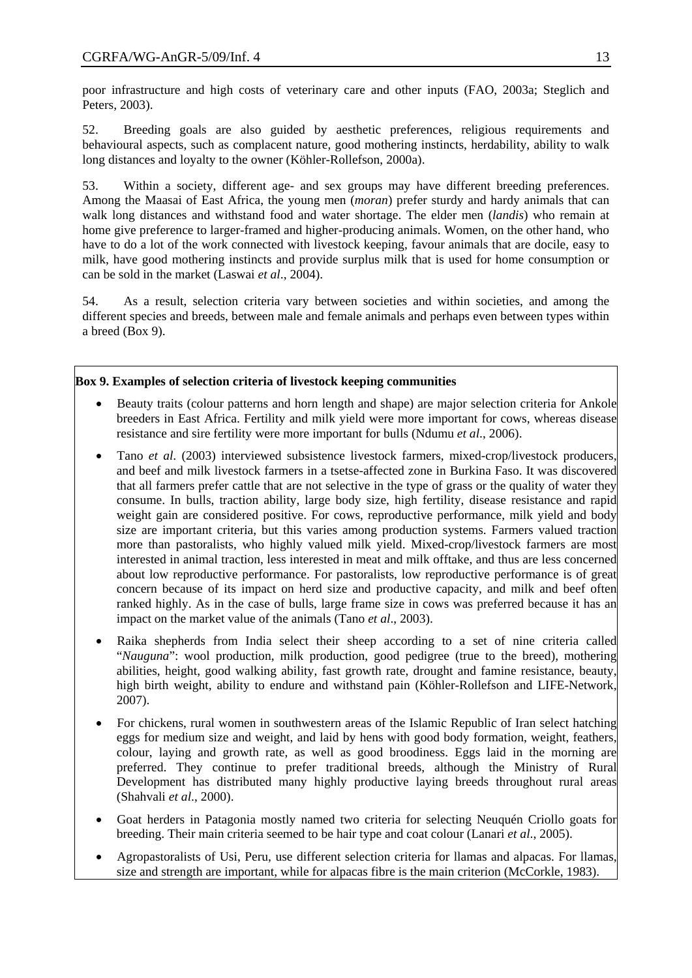poor infrastructure and high costs of veterinary care and other inputs (FAO, 2003a; Steglich and Peters, 2003).

52. Breeding goals are also guided by aesthetic preferences, religious requirements and behavioural aspects, such as complacent nature, good mothering instincts, herdability, ability to walk long distances and loyalty to the owner (Köhler-Rollefson, 2000a).

53. Within a society, different age- and sex groups may have different breeding preferences. Among the Maasai of East Africa, the young men (*moran*) prefer sturdy and hardy animals that can walk long distances and withstand food and water shortage. The elder men (*landis*) who remain at home give preference to larger-framed and higher-producing animals. Women, on the other hand, who have to do a lot of the work connected with livestock keeping, favour animals that are docile, easy to milk, have good mothering instincts and provide surplus milk that is used for home consumption or can be sold in the market (Laswai *et al*., 2004).

54. As a result, selection criteria vary between societies and within societies, and among the different species and breeds, between male and female animals and perhaps even between types within a breed (Box 9).

### **Box 9. Examples of selection criteria of livestock keeping communities**

- Beauty traits (colour patterns and horn length and shape) are major selection criteria for Ankole breeders in East Africa. Fertility and milk yield were more important for cows, whereas disease resistance and sire fertility were more important for bulls (Ndumu *et al*., 2006).
- Tano *et al*. (2003) interviewed subsistence livestock farmers, mixed-crop/livestock producers, and beef and milk livestock farmers in a tsetse-affected zone in Burkina Faso. It was discovered that all farmers prefer cattle that are not selective in the type of grass or the quality of water they consume. In bulls, traction ability, large body size, high fertility, disease resistance and rapid weight gain are considered positive. For cows, reproductive performance, milk yield and body size are important criteria, but this varies among production systems. Farmers valued traction more than pastoralists, who highly valued milk yield. Mixed-crop/livestock farmers are most interested in animal traction, less interested in meat and milk offtake, and thus are less concerned about low reproductive performance. For pastoralists, low reproductive performance is of great concern because of its impact on herd size and productive capacity, and milk and beef often ranked highly. As in the case of bulls, large frame size in cows was preferred because it has an impact on the market value of the animals (Tano *et al*., 2003).
- Raika shepherds from India select their sheep according to a set of nine criteria called "*Nauguna*": wool production, milk production, good pedigree (true to the breed), mothering abilities, height, good walking ability, fast growth rate, drought and famine resistance, beauty, high birth weight, ability to endure and withstand pain (Köhler-Rollefson and LIFE-Network, 2007).
- For chickens, rural women in southwestern areas of the Islamic Republic of Iran select hatching eggs for medium size and weight, and laid by hens with good body formation, weight, feathers, colour, laying and growth rate, as well as good broodiness. Eggs laid in the morning are preferred. They continue to prefer traditional breeds, although the Ministry of Rural Development has distributed many highly productive laying breeds throughout rural areas (Shahvali *et al*., 2000).
- Goat herders in Patagonia mostly named two criteria for selecting Neuquén Criollo goats for breeding. Their main criteria seemed to be hair type and coat colour (Lanari *et al*., 2005).
- Agropastoralists of Usi, Peru, use different selection criteria for llamas and alpacas. For llamas, size and strength are important, while for alpacas fibre is the main criterion (McCorkle, 1983).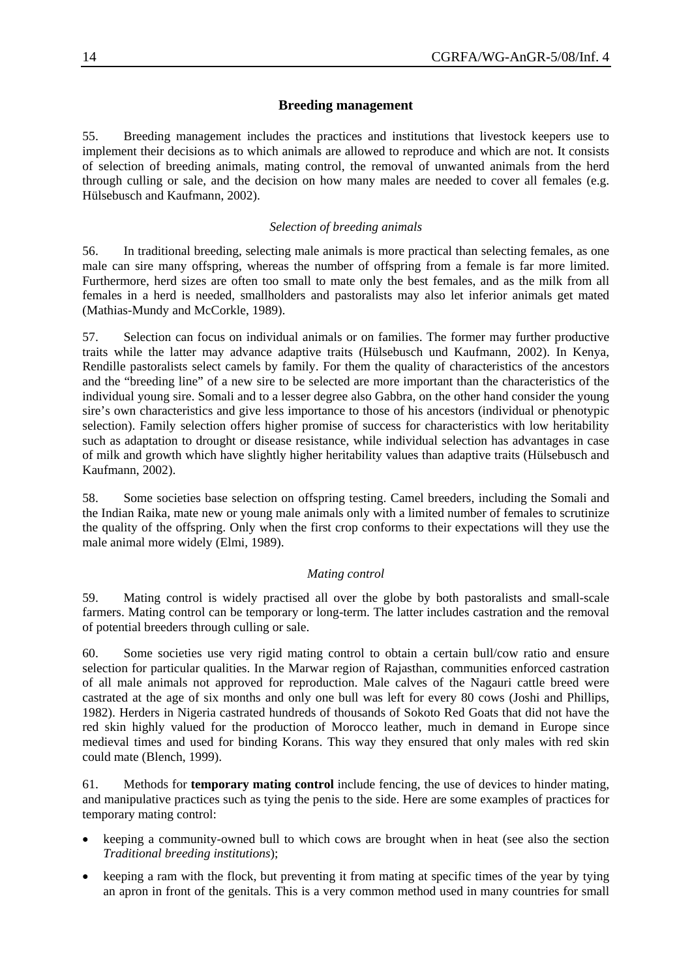#### **Breeding management**

55. Breeding management includes the practices and institutions that livestock keepers use to implement their decisions as to which animals are allowed to reproduce and which are not. It consists of selection of breeding animals, mating control, the removal of unwanted animals from the herd through culling or sale, and the decision on how many males are needed to cover all females (e.g. Hülsebusch and Kaufmann, 2002).

#### *Selection of breeding animals*

56. In traditional breeding, selecting male animals is more practical than selecting females, as one male can sire many offspring, whereas the number of offspring from a female is far more limited. Furthermore, herd sizes are often too small to mate only the best females, and as the milk from all females in a herd is needed, smallholders and pastoralists may also let inferior animals get mated (Mathias-Mundy and McCorkle, 1989).

57. Selection can focus on individual animals or on families. The former may further productive traits while the latter may advance adaptive traits (Hülsebusch und Kaufmann, 2002). In Kenya, Rendille pastoralists select camels by family. For them the quality of characteristics of the ancestors and the "breeding line" of a new sire to be selected are more important than the characteristics of the individual young sire. Somali and to a lesser degree also Gabbra, on the other hand consider the young sire's own characteristics and give less importance to those of his ancestors (individual or phenotypic selection). Family selection offers higher promise of success for characteristics with low heritability such as adaptation to drought or disease resistance, while individual selection has advantages in case of milk and growth which have slightly higher heritability values than adaptive traits (Hülsebusch and Kaufmann, 2002).

58. Some societies base selection on offspring testing. Camel breeders, including the Somali and the Indian Raika, mate new or young male animals only with a limited number of females to scrutinize the quality of the offspring. Only when the first crop conforms to their expectations will they use the male animal more widely (Elmi, 1989).

#### *Mating control*

59. Mating control is widely practised all over the globe by both pastoralists and small-scale farmers. Mating control can be temporary or long-term. The latter includes castration and the removal of potential breeders through culling or sale.

60. Some societies use very rigid mating control to obtain a certain bull/cow ratio and ensure selection for particular qualities. In the Marwar region of Rajasthan, communities enforced castration of all male animals not approved for reproduction. Male calves of the Nagauri cattle breed were castrated at the age of six months and only one bull was left for every 80 cows (Joshi and Phillips, 1982). Herders in Nigeria castrated hundreds of thousands of Sokoto Red Goats that did not have the red skin highly valued for the production of Morocco leather, much in demand in Europe since medieval times and used for binding Korans. This way they ensured that only males with red skin could mate (Blench, 1999).

61. Methods for **temporary mating control** include fencing, the use of devices to hinder mating, and manipulative practices such as tying the penis to the side. Here are some examples of practices for temporary mating control:

- keeping a community-owned bull to which cows are brought when in heat (see also the section *Traditional breeding institutions*);
- keeping a ram with the flock, but preventing it from mating at specific times of the year by tying an apron in front of the genitals. This is a very common method used in many countries for small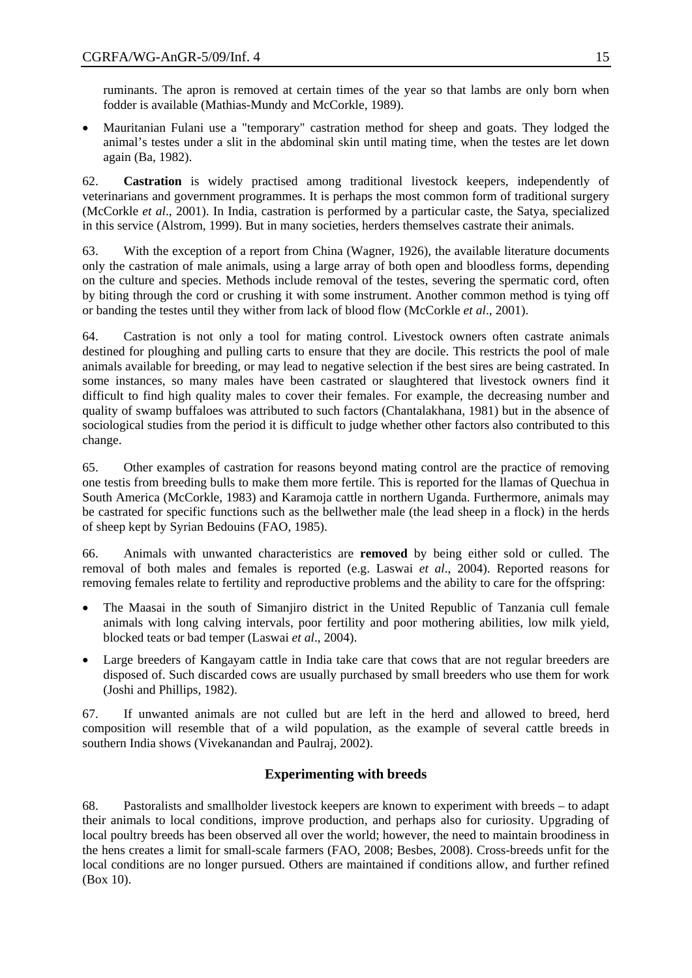ruminants. The apron is removed at certain times of the year so that lambs are only born when fodder is available (Mathias-Mundy and McCorkle, 1989).

• Mauritanian Fulani use a "temporary" castration method for sheep and goats. They lodged the animal's testes under a slit in the abdominal skin until mating time, when the testes are let down again (Ba, 1982).

62. **Castration** is widely practised among traditional livestock keepers, independently of veterinarians and government programmes. It is perhaps the most common form of traditional surgery (McCorkle *et al*., 2001). In India, castration is performed by a particular caste, the Satya, specialized in this service (Alstrom, 1999). But in many societies, herders themselves castrate their animals.

63. With the exception of a report from China (Wagner, 1926), the available literature documents only the castration of male animals, using a large array of both open and bloodless forms, depending on the culture and species. Methods include removal of the testes, severing the spermatic cord, often by biting through the cord or crushing it with some instrument. Another common method is tying off or banding the testes until they wither from lack of blood flow (McCorkle *et al*., 2001).

64. Castration is not only a tool for mating control. Livestock owners often castrate animals destined for ploughing and pulling carts to ensure that they are docile. This restricts the pool of male animals available for breeding, or may lead to negative selection if the best sires are being castrated. In some instances, so many males have been castrated or slaughtered that livestock owners find it difficult to find high quality males to cover their females. For example, the decreasing number and quality of swamp buffaloes was attributed to such factors (Chantalakhana, 1981) but in the absence of sociological studies from the period it is difficult to judge whether other factors also contributed to this change.

65. Other examples of castration for reasons beyond mating control are the practice of removing one testis from breeding bulls to make them more fertile. This is reported for the llamas of Quechua in South America (McCorkle, 1983) and Karamoja cattle in northern Uganda. Furthermore, animals may be castrated for specific functions such as the bellwether male (the lead sheep in a flock) in the herds of sheep kept by Syrian Bedouins (FAO, 1985).

66. Animals with unwanted characteristics are **removed** by being either sold or culled. The removal of both males and females is reported (e.g. Laswai *et al*., 2004). Reported reasons for removing females relate to fertility and reproductive problems and the ability to care for the offspring:

- The Maasai in the south of Simanjiro district in the United Republic of Tanzania cull female animals with long calving intervals, poor fertility and poor mothering abilities, low milk yield, blocked teats or bad temper (Laswai *et al*., 2004).
- Large breeders of Kangayam cattle in India take care that cows that are not regular breeders are disposed of. Such discarded cows are usually purchased by small breeders who use them for work (Joshi and Phillips, 1982).

67. If unwanted animals are not culled but are left in the herd and allowed to breed, herd composition will resemble that of a wild population, as the example of several cattle breeds in southern India shows (Vivekanandan and Paulraj, 2002).

# **Experimenting with breeds**

68. Pastoralists and smallholder livestock keepers are known to experiment with breeds – to adapt their animals to local conditions, improve production, and perhaps also for curiosity. Upgrading of local poultry breeds has been observed all over the world; however, the need to maintain broodiness in the hens creates a limit for small-scale farmers (FAO, 2008; Besbes, 2008). Cross-breeds unfit for the local conditions are no longer pursued. Others are maintained if conditions allow, and further refined (Box 10).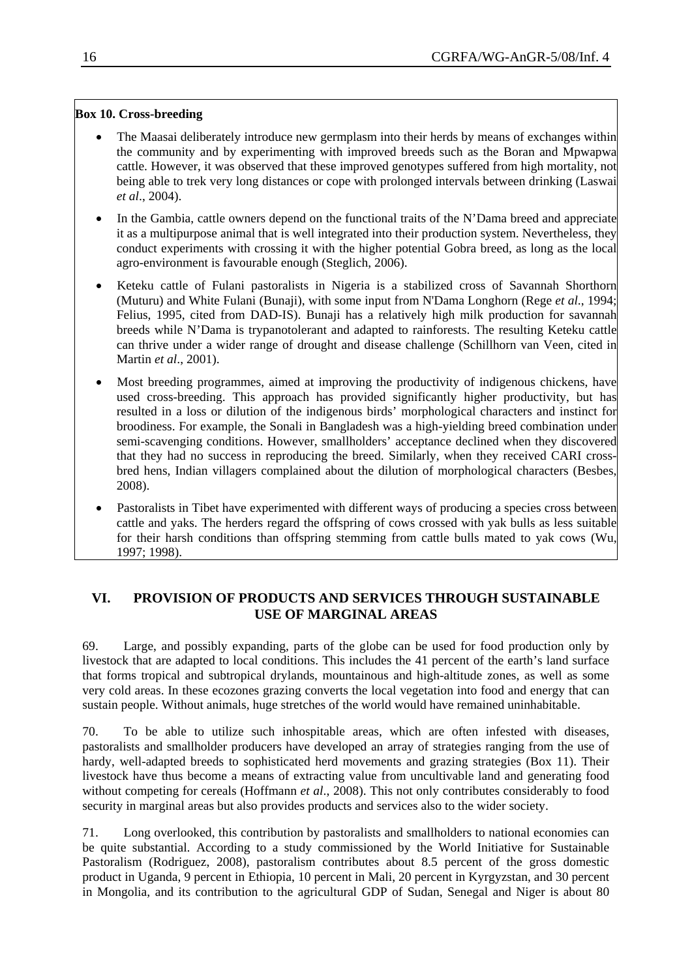### **Box 10. Cross-breeding**

- The Maasai deliberately introduce new germplasm into their herds by means of exchanges within the community and by experimenting with improved breeds such as the Boran and Mpwapwa cattle. However, it was observed that these improved genotypes suffered from high mortality, not being able to trek very long distances or cope with prolonged intervals between drinking (Laswai *et al*., 2004).
- conduct experiments with crossing it with the higher potential Gobra breed, as long as the local In the Gambia, cattle owners depend on the functional traits of the N'Dama breed and appreciate it as a multipurpose animal that is well integrated into their production system. Nevertheless, they agro-environment is favourable enough (Steglich, 2006).
- can thrive under a wider range of drought and disease challenge (Schillhorn van Veen, cited in • Keteku cattle of Fulani pastoralists in Nigeria is a stabilized cross of Savannah Shorthorn (Muturu) and White Fulani (Bunaji), with some input from N'Dama Longhorn (Rege *et al*., 1994; Felius, 1995, cited from DAD-IS). Bunaji has a relatively high milk production for savannah breeds while N'Dama is trypanotolerant and adapted to rainforests. The resulting Keteku cattle Martin *et al*., 2001).
- Most breeding programmes, aimed at improving the productivity of indigenous chickens, have used cross-breeding. This approach has provided significantly higher productivity, but has resulted in a loss or dilution of the indigenous birds' morphological characters and instinct for broodiness. For example, the Sonali in Bangladesh was a high-yielding breed combination under semi-scavenging conditions. However, smallholders' acceptance declined when they discovered that they had no success in reproducing the breed. Similarly, when they received CARI crossbred hens, Indian villagers complained about the dilution of morphological characters (Besbes, 2008).
- for their harsh conditions than offspring stemming from cattle bulls mated to yak cows (Wu, 1997; 1998). • Pastoralists in Tibet have experimented with different ways of producing a species cross between cattle and yaks. The herders regard the offspring of cows crossed with yak bulls as less suitable

# **VI. PROVISION OF PRODUCTS AND SERVICES THROUGH SUSTAINABLE USE OF MARGINAL AREAS**

very cold areas. In these ecozones grazing converts the local vegetation into food and energy that can 69. Large, and possibly expanding, parts of the globe can be used for food production only by livestock that are adapted to local conditions. This includes the 41 percent of the earth's land surface that forms tropical and subtropical drylands, mountainous and high-altitude zones, as well as some sustain people. Without animals, huge stretches of the world would have remained uninhabitable.

without competing for cereals (Hoffmann *et al.*, 2008). This not only contributes considerably to food 70. To be able to utilize such inhospitable areas, which are often infested with diseases, pastoralists and smallholder producers have developed an array of strategies ranging from the use of hardy, well-adapted breeds to sophisticated herd movements and grazing strategies (Box 11). Their livestock have thus become a means of extracting value from uncultivable land and generating food security in marginal areas but also provides products and services also to the wider society.

71. Long overlooked, this contribution by pastoralists and smallholders to national economies can be quite substantial. According to a study commissioned by the World Initiative for Sustainable Pastoralism (Rodriguez, 2008), pastoralism contributes about 8.5 percent of the gross domestic product in Uganda, 9 percent in Ethiopia, 10 percent in Mali, 20 percent in Kyrgyzstan, and 30 percent in Mongolia, and its contribution to the agricultural GDP of Sudan, Senegal and Niger is about 80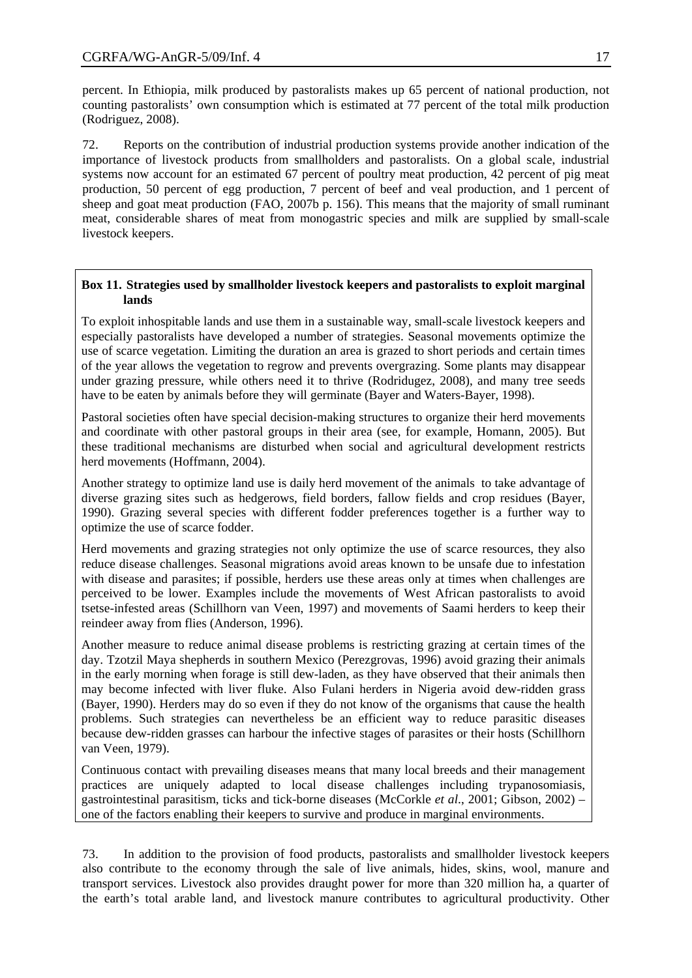percent. In Ethiopia, milk produced by pastoralists makes up 65 percent of national production, not counting pastoralists' own consumption which is estimated at 77 percent of the total milk production (Rodriguez, 2008).

meat, considerable shares of meat from monogastric species and milk are supplied by small-scale 72. Reports on the contribution of industrial production systems provide another indication of the importance of livestock products from smallholders and pastoralists. On a global scale, industrial systems now account for an estimated 67 percent of poultry meat production, 42 percent of pig meat production, 50 percent of egg production, 7 percent of beef and veal production, and 1 percent of sheep and goat meat production (FAO, 2007b p. 156). This means that the majority of small ruminant livestock keepers.

### Box 11. Strategies used by smallholder livestock keepers and pastoralists to exploit marginal **lands**

under grazing pressure, while others need it to thrive (Rodridugez, 2008), and many tree seeds To exploit inhospitable lands and use them in a sustainable way, small-scale livestock keepers and especially pastoralists have developed a number of strategies. Seasonal movements optimize the use of scarce vegetation. Limiting the duration an area is grazed to short periods and certain times of the year allows the vegetation to regrow and prevents overgrazing. Some plants may disappear have to be eaten by animals before they will germinate (Bayer and Waters-Bayer, 1998).

these traditional mechanisms are disturbed when social and agricultural development restricts Pastoral societies often have special decision-making structures to organize their herd movements and coordinate with other pastoral groups in their area (see, for example, Homann, 2005). But herd movements (Hoffmann, 2004).

1990). Grazing several species with different fodder preferences together is a further way to Another strategy to optimize land use is daily herd movement of the animals to take advantage of diverse grazing sites such as hedgerows, field borders, fallow fields and crop residues (Bayer, optimize the use of scarce fodder.

tsetse-infested areas (Schillhorn van Veen, 1997) and movements of Saami herders to keep their Herd movements and grazing strategies not only optimize the use of scarce resources, they also reduce disease challenges. Seasonal migrations avoid areas known to be unsafe due to infestation with disease and parasites; if possible, herders use these areas only at times when challenges are perceived to be lower. Examples include the movements of West African pastoralists to avoid reindeer away from flies (Anderson, 1996).

because dew-ridden grasses can harbour the infective stages of parasites or their hosts (Schillhorn Another measure to reduce animal disease problems is restricting grazing at certain times of the day. Tzotzil Maya shepherds in southern Mexico (Perezgrovas, 1996) avoid grazing their animals in the early morning when forage is still dew-laden, as they have observed that their animals then may become infected with liver fluke. Also Fulani herders in Nigeria avoid dew-ridden grass (Bayer, 1990). Herders may do so even if they do not know of the organisms that cause the health problems. Such strategies can nevertheless be an efficient way to reduce parasitic diseases van Veen, 1979).

gastrointestinal parasitism, ticks and tick-borne diseases (McCorkle *et al.*, 2001; Gibson, 2002) one of the factors enabling their keepers to survive and produce in marginal environments. Continuous contact with prevailing diseases means that many local breeds and their management practices are uniquely adapted to local disease challenges including trypanosomiasis,

73. In addition to the provision of food products, pastoralists and smallholder livestock keepers also contribute to the economy through the sale of live animals, hides, skins, wool, manure and transport services. Livestock also provides draught power for more than 320 million ha, a quarter of the earth's total arable land, and livestock manure contributes to agricultural productivity. Other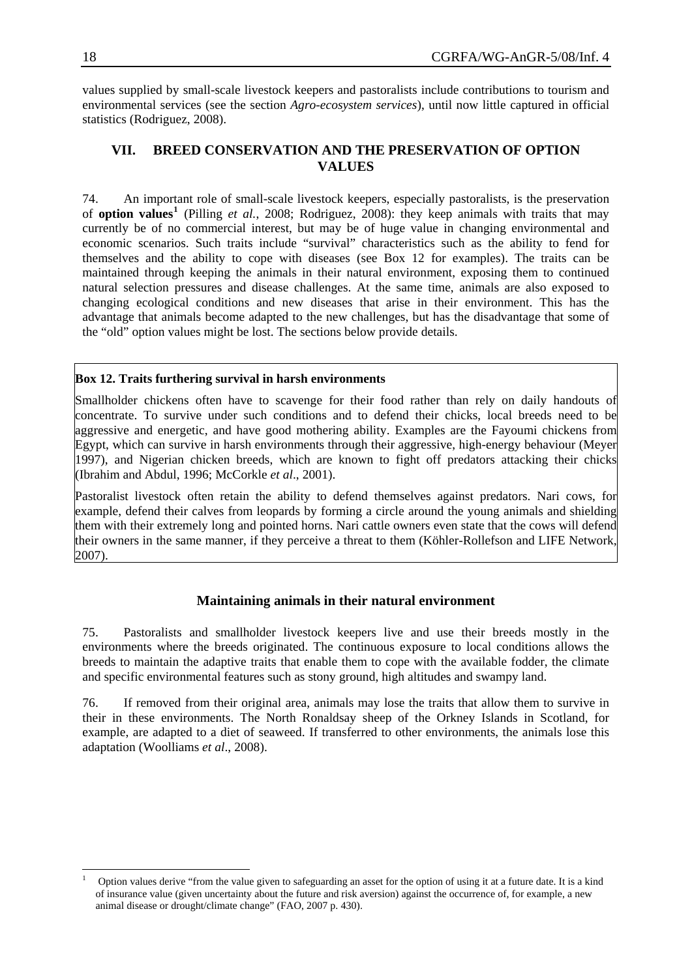values supplied by small-scale livestock keepers and pastoralists include contributions to tourism and environmental services (see the section *Agro-ecosystem services*), until now little captured in official statistics (Rodriguez, 2008).

# **VII. BREED CONSERVATION AND THE PRESERVATION OF OPTION VALUES**

advantage that animals become adapted to the new challenges, but has the disadvantage that some of the "old" option values might be lost. The sections below provide details. 74. An important role of small-scale livestock keepers, especially pastoralists, is the preservation of **option values[1](#page-19-0)** (Pilling *et al.*, 2008; Rodriguez, 2008): they keep animals with traits that may currently be of no commercial interest, but may be of huge value in changing environmental and economic scenarios. Such traits include "survival" characteristics such as the ability to fend for themselves and the ability to cope with diseases (see Box 12 for examples). The traits can be maintained through keeping the animals in their natural environment, exposing them to continued natural selection pressures and disease challenges. At the same time, animals are also exposed to changing ecological conditions and new diseases that arise in their environment. This has the

### **Box 12. Traits furthering survival in harsh environments**

Smallholder chickens often have to scavenge for their food rather than rely on daily handouts of concentrate. To survive under such conditions and to defend their chicks, local breeds need to be aggressive and energetic, and have good mothering ability. Examples are the Fayoumi chickens from Egypt, which can survive in harsh environments through their aggressive, high-energy behaviour (Meyer 1997), and Nigerian chicken breeds, which are known to fight off predators attacking their chicks (Ibrahim and Abdul, 1996; McCorkle *et al*., 2001).

Pastoralist livestock often retain the ability to defend themselves against predators. Nari cows, for example, defend their calves from leopards by forming a circle around the young animals and shielding them with their extremely long and pointed horns. Nari cattle owners even state that the cows will defend their owners in the same manner, if they perceive a threat to them (Köhler-Rollefson and LIFE Network, 2007).

### **Maintaining animals in their natural environment**

breeds to maintain the adaptive traits that enable them to cope with the available fodder, the climate 75. Pastoralists and smallholder livestock keepers live and use their breeds mostly in the environments where the breeds originated. The continuous exposure to local conditions allows the and specific environmental features such as stony ground, high altitudes and swampy land.

example, are adapted to a diet of seaweed. If transferred to other environments, the animals lose this adaptation (Woolliams *et al*., 2008). 76. If removed from their original area, animals may lose the traits that allow them to survive in their in these environments. The North Ronaldsay sheep of the Orkney Islands in Scotland, for

-

<span id="page-19-0"></span><sup>1</sup> Option values derive "from the value given to safeguarding an asset for the option of using it at a future date. It is a kind of insurance value (given uncertainty about the future and risk aversion) against the occurrence of, for example, a new animal disease or drought/climate change" (FAO, 2007 p. 430).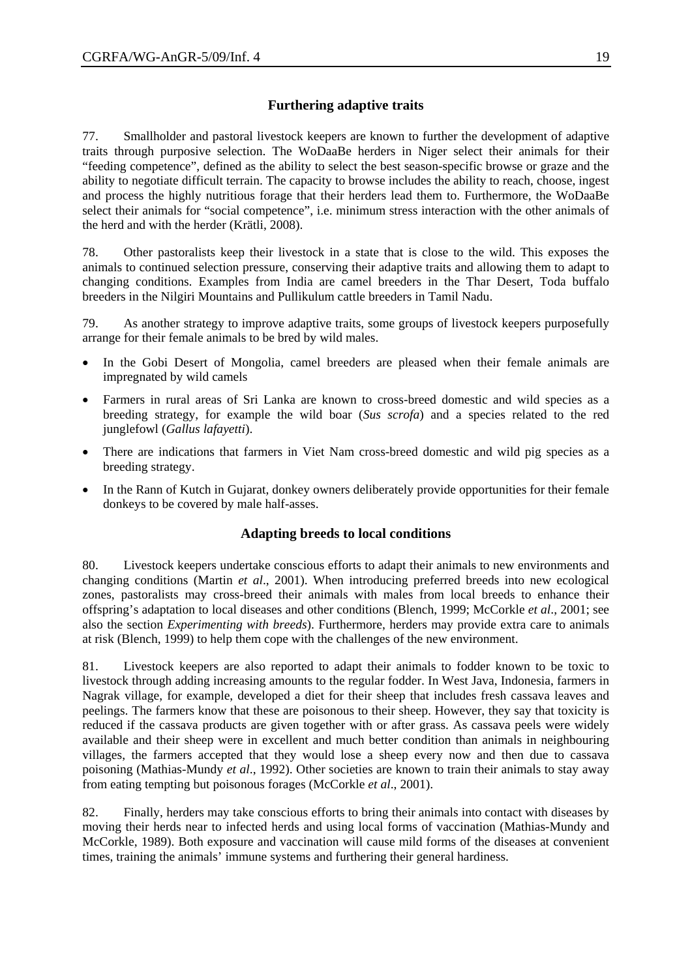# **Furthering adaptive traits**

77. Smallholder and pastoral livestock keepers are known to further the development of adaptive traits through purposive selection. The WoDaaBe herders in Niger select their animals for their "feeding competence", defined as the ability to select the best season-specific browse or graze and the ability to negotiate difficult terrain. The capacity to browse includes the ability to reach, choose, ingest and process the highly nutritious forage that their herders lead them to. Furthermore, the WoDaaBe select their animals for "social competence", i.e. minimum stress interaction with the other animals of the herd and with the herder (Krätli, 2008).

78. Other pastoralists keep their livestock in a state that is close to the wild. This exposes the animals to continued selection pressure, conserving their adaptive traits and allowing them to adapt to changing conditions. Examples from India are camel breeders in the Thar Desert, Toda buffalo breeders in the Nilgiri Mountains and Pullikulum cattle breeders in Tamil Nadu.

79. As another strategy to improve adaptive traits, some groups of livestock keepers purposefully arrange for their female animals to be bred by wild males.

- In the Gobi Desert of Mongolia, camel breeders are pleased when their female animals are impregnated by wild camels
- Farmers in rural areas of Sri Lanka are known to cross-breed domestic and wild species as a breeding strategy, for example the wild boar (*Sus scrofa*) and a species related to the red junglefowl (*Gallus lafayetti*).
- There are indications that farmers in Viet Nam cross-breed domestic and wild pig species as a breeding strategy.
- In the Rann of Kutch in Gujarat, donkey owners deliberately provide opportunities for their female donkeys to be covered by male half-asses.

# **Adapting breeds to local conditions**

80. Livestock keepers undertake conscious efforts to adapt their animals to new environments and changing conditions (Martin *et al*., 2001). When introducing preferred breeds into new ecological zones, pastoralists may cross-breed their animals with males from local breeds to enhance their offspring's adaptation to local diseases and other conditions (Blench, 1999; McCorkle *et al*., 2001; see also the section *Experimenting with breeds*). Furthermore, herders may provide extra care to animals at risk (Blench, 1999) to help them cope with the challenges of the new environment.

81. Livestock keepers are also reported to adapt their animals to fodder known to be toxic to livestock through adding increasing amounts to the regular fodder. In West Java, Indonesia, farmers in Nagrak village, for example, developed a diet for their sheep that includes fresh cassava leaves and peelings. The farmers know that these are poisonous to their sheep. However, they say that toxicity is reduced if the cassava products are given together with or after grass. As cassava peels were widely available and their sheep were in excellent and much better condition than animals in neighbouring villages, the farmers accepted that they would lose a sheep every now and then due to cassava poisoning (Mathias-Mundy *et al*., 1992). Other societies are known to train their animals to stay away from eating tempting but poisonous forages (McCorkle *et al*., 2001).

82. Finally, herders may take conscious efforts to bring their animals into contact with diseases by moving their herds near to infected herds and using local forms of vaccination (Mathias-Mundy and McCorkle, 1989). Both exposure and vaccination will cause mild forms of the diseases at convenient times, training the animals' immune systems and furthering their general hardiness.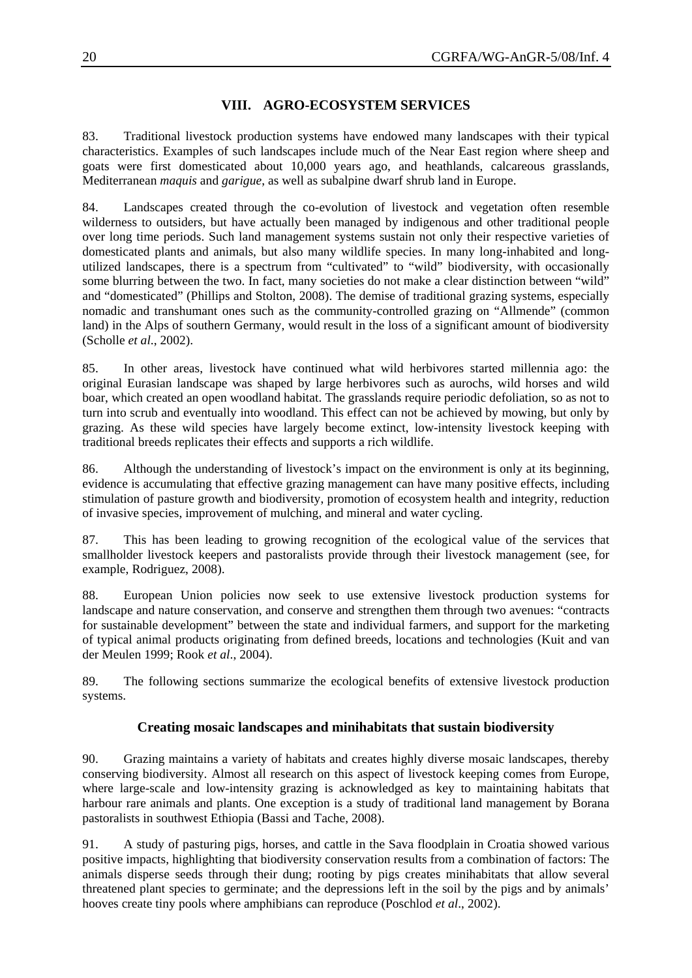# **VIII. AGRO-ECOSYSTEM SERVICES**

83. Traditional livestock production systems have endowed many landscapes with their typical characteristics. Examples of such landscapes include much of the Near East region where sheep and goats were first domesticated about 10,000 years ago, and heathlands, calcareous grasslands, Mediterranean *maquis* and *garigue*, as well as subalpine dwarf shrub land in Europe.

84. Landscapes created through the co-evolution of livestock and vegetation often resemble wilderness to outsiders, but have actually been managed by indigenous and other traditional people over long time periods. Such land management systems sustain not only their respective varieties of domesticated plants and animals, but also many wildlife species. In many long-inhabited and longutilized landscapes, there is a spectrum from "cultivated" to "wild" biodiversity, with occasionally some blurring between the two. In fact, many societies do not make a clear distinction between "wild" and "domesticated" (Phillips and Stolton, 2008). The demise of traditional grazing systems, especially nomadic and transhumant ones such as the community-controlled grazing on "Allmende" (common land) in the Alps of southern Germany, would result in the loss of a significant amount of biodiversity (Scholle *et al*., 2002).

85. In other areas, livestock have continued what wild herbivores started millennia ago: the original Eurasian landscape was shaped by large herbivores such as aurochs, wild horses and wild boar, which created an open woodland habitat. The grasslands require periodic defoliation, so as not to turn into scrub and eventually into woodland. This effect can not be achieved by mowing, but only by grazing. As these wild species have largely become extinct, low-intensity livestock keeping with traditional breeds replicates their effects and supports a rich wildlife.

86. Although the understanding of livestock's impact on the environment is only at its beginning, evidence is accumulating that effective grazing management can have many positive effects, including stimulation of pasture growth and biodiversity, promotion of ecosystem health and integrity, reduction of invasive species, improvement of mulching, and mineral and water cycling.

87. This has been leading to growing recognition of the ecological value of the services that smallholder livestock keepers and pastoralists provide through their livestock management (see, for example, Rodriguez, 2008).

88. European Union policies now seek to use extensive livestock production systems for landscape and nature conservation, and conserve and strengthen them through two avenues: "contracts for sustainable development" between the state and individual farmers, and support for the marketing of typical animal products originating from defined breeds, locations and technologies (Kuit and van der Meulen 1999; Rook *et al*., 2004).

89. The following sections summarize the ecological benefits of extensive livestock production systems.

# **Creating mosaic landscapes and minihabitats that sustain biodiversity**

90. Grazing maintains a variety of habitats and creates highly diverse mosaic landscapes, thereby conserving biodiversity. Almost all research on this aspect of livestock keeping comes from Europe, where large-scale and low-intensity grazing is acknowledged as key to maintaining habitats that harbour rare animals and plants. One exception is a study of traditional land management by Borana pastoralists in southwest Ethiopia (Bassi and Tache, 2008).

91. A study of pasturing pigs, horses, and cattle in the Sava floodplain in Croatia showed various positive impacts, highlighting that biodiversity conservation results from a combination of factors: The animals disperse seeds through their dung; rooting by pigs creates minihabitats that allow several threatened plant species to germinate; and the depressions left in the soil by the p igs and by animals' hooves create tiny pools where amphibians can reproduce (Poschlod *et al*., 2002).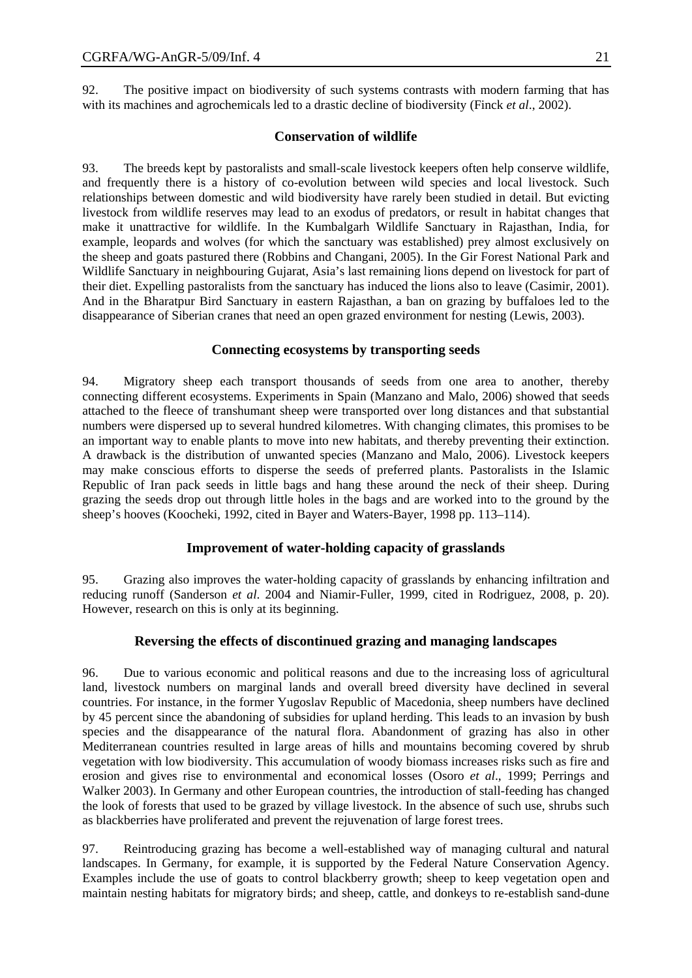92. The positive impact on biodiversity of such systems contrasts with modern farming that has with its machines and agrochemicals led to a drastic decline of biodiversity (Finck *et al*., 2002).

### **Conservation of wildlife**

93. The breeds kept by pastoralists and small-scale livestock keepers often help conserve wildlife, and frequently there is a history of co-evolution between wild species and local livestock. Such relationships between domestic and wild biodiversity have rarely been studied in detail. But evicting livestock from wildlife reserves may lead to an exodus of predators, or result in habitat changes that make it unattractive for wildlife. In the Kumbalgarh Wildlife Sanctuary in Rajasthan, India, for example, leopards and wolves (for which the sanctuary was established) prey almost exclusively on the sheep and goats pastured there (Robbins and Changani, 2005). In the Gir Forest National Park and Wildlife Sanctuary in neighbouring Gujarat, Asia's last remaining lions depend on livestock for part of their diet. Expelling pastoralists from the sanctuary has induced the lions also to leave (Casimir, 2001). And in the Bharatpur Bird Sanctuary in eastern Rajasthan, a ban on grazing by buffaloes led to the disappearance of Siberian cranes that need an open grazed environment for nesting (Lewis, 2003).

### **Connecting ecosystems by transporting seeds**

94. Migratory sheep each transport thousands of seeds from one area to another, thereby connecting different ecosystems. Experiments in Spain (Manzano and Malo, 2006) showed that seeds attached to the fleece of transhumant sheep were transported over long distances and that substantial numbers were dispersed up to several hundred kilometres. With changing climates, this promises to be an important way to enable plants to move into new habitats, and thereby preventing their extinction. A drawback is the distribution of unwanted species (Manzano and Malo, 2006). Livestock keepers may make conscious efforts to disperse the seeds of preferred plants. Pastoralists in the Islamic Republic of Iran pack seeds in little bags and hang these around the neck of their sheep. During grazing the seeds drop out through little holes in the bags and are worked into to the ground by the sheep's hooves (Koocheki, 1992, cited in Bayer and Waters-Bayer, 1998 pp. 113–114).

### **Improvement of water-holding capacity of grasslands**

95. Grazing also improves the water-holding capacity of grasslands by enhancing infiltration and reducing runoff (Sanderson *et al*. 2004 and Niamir-Fuller, 1999, cited in Rodriguez, 2008, p. 20). However, research on this is only at its beginning.

### **Reversing the effects of discontinued grazing and managing landscapes**

96. Due to various economic and political reasons and due to the increasing loss of agricultural land, livestock numbers on marginal lands and overall breed diversity have declined in several countries. For instance, in the former Yugoslav Republic of Macedonia, sheep numbers have declined by 45 percent since the abandoning of subsidies for upland herding. This leads to an invasion by bush species and the disappearance of the natural flora. Abandonment of grazing has also in other Mediterranean countries resulted in large areas of hills and mountains becoming covered by shrub vegetation with low biodiversity. This accumulation of woody biomass increases risks such as fire and erosion and gives rise to environmental and economical losses (Osoro *et al*., 1999; Perrings and Walker 2003). In Germany and other European countries, the introduction of stall-feeding has changed the look of forests that used to be grazed by village livestock. In the absence of such use, shrubs such as blackberries have proliferated and prevent the rejuvenation of large forest trees.

97. Reintroducing grazing has become a well-established way of managing cultural and natural landscapes. In Germany, for example, it is supported by the Federal Nature Conservation Agency. Examples include the use of goats to control blackberry growth; sheep to keep vegetation open and maintain nesting habitats for migratory birds; and sheep, cattle, and donkeys to re-establish sand-dune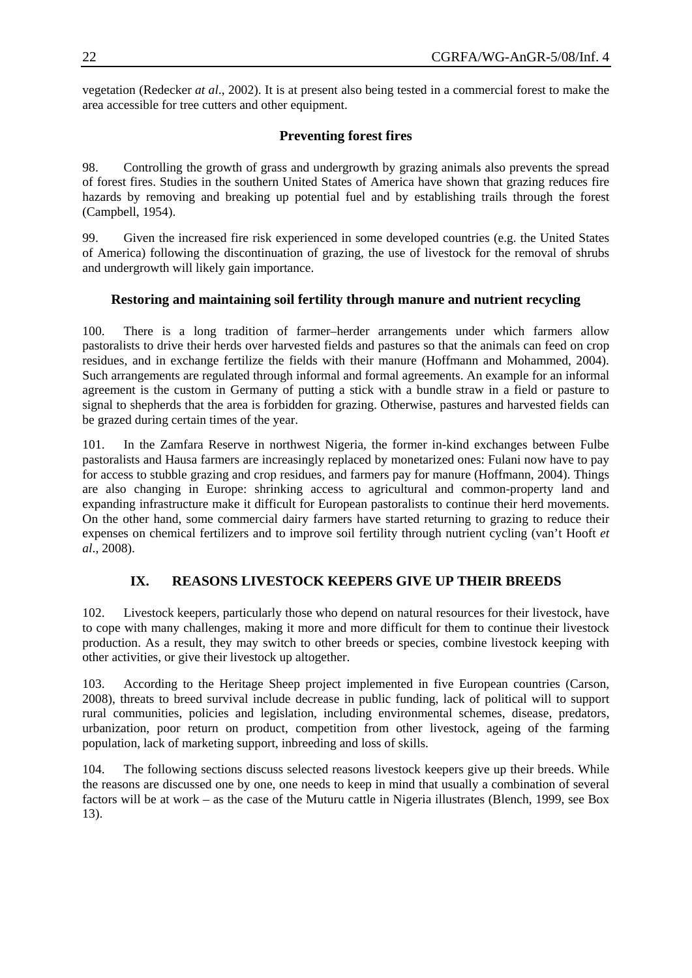vegetation (Redecker *at al*., 2002). It is at present also being tested in a commercial forest to make the area accessible for tree cutters and other equipment.

# **Preventing forest fires**

98. Controlling the growth of grass and undergrowth by grazing animals also prevents the spread of forest fires. Studies in the southern United States of America have shown that grazing reduces fire hazards by removing and breaking up potential fuel and by establishing trails through the forest (Campbell, 1954).

99. Given the increased fire risk experienced in some developed countries (e.g. the United States of America) following the discontinuation of grazing, the use of livestock for the removal of shrubs and undergrowth will likely gain importance.

# **Restoring and maintaining soil fertility through manure and nutrient recycling**

100. There is a long tradition of farmer–herder arrangements under which farmers allow pastoralists to drive their herds over harvested fields and pastures so that the animals can feed on crop residues, and in exchange fertilize the fields with their manure (Hoffmann and Mohammed, 2004). Such arrangements are regulated through informal and formal agreements. An example for an informal agreement is the custom in Germany of putting a stick with a bundle straw in a field or pasture to signal to shepherds that the area is forbidden for grazing. Otherwise, pastures and harvested fields can be grazed during certain times of the year.

101. In the Zamfara Reserve in northwest Nigeria, the former in-kind exchanges between Fulbe pastoralists and Hausa farmers are increasingly replaced by monetarized ones: Fulani now have to pay for access to stubble grazing and crop residues, and farmers pay for manure (Hoffmann, 2004). Things are also changing in Europe: shrinking access to agricultural and common-property land and expanding infrastructure make it difficult for European pastoralists to continue their herd movements. On the other hand, some commercial dairy farmers have started returning to grazing to reduce their expenses on chemical fertilizers and to improve soil fertility through nutrient cycling (van't Hooft *et al*., 2008).

# **IX. REASONS LIVESTOCK KEEPERS GIVE UP THEIR BREEDS**

102. Livestock keepers, particularly those who depend on natural resources for their livestock, have to cope with many challenges, making it more and more difficult for them to continue their livestock production. As a result, they may switch to other breeds or species, combine livestock keeping with other activities, or give their livestock up altogether.

103. According to the Heritage Sheep project implemented in five European countries (Carson, 2008), threats to breed survival include decrease in public funding, lack of political will to support rural communities, policies and legislation, including environmental schemes, disease, predators, urbanization, poor return on product, competition from other livestock, ageing of the farming population, lack of marketing support, inbreeding and loss of skills.

104. The following sections discuss selected reasons livestock keepers give up their breeds. While the reasons are discussed one by one, one needs to keep in mind that usually a combination of several factors will be at work – as the case of the Muturu cattle in Nigeria illustrates (Blench, 1999, see Box 13).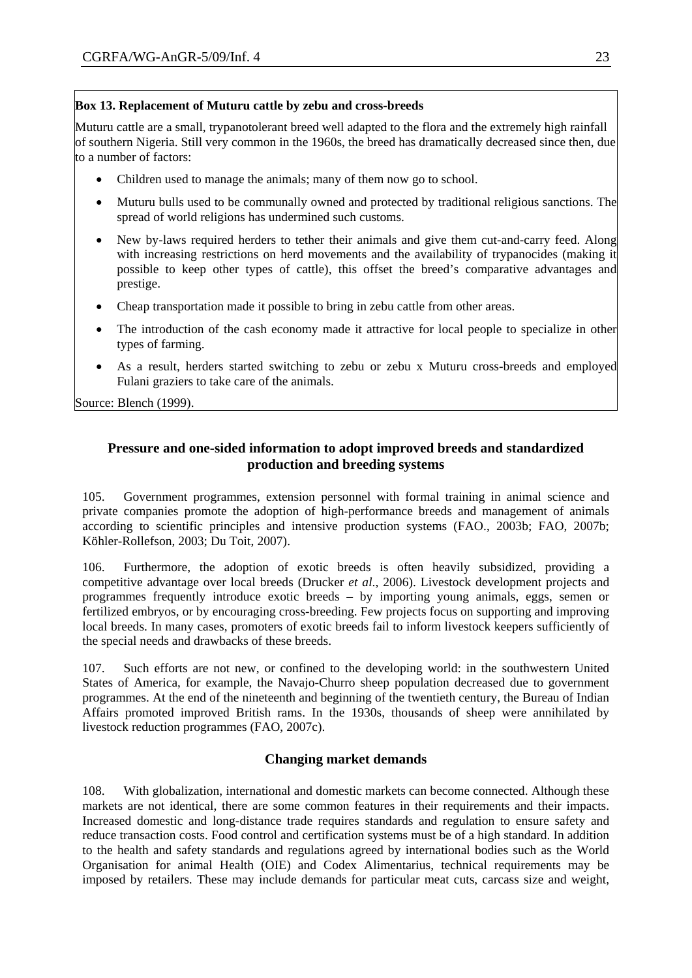## **Box 13. Replacement of Muturu cattle by zebu and cross-breeds**

Muturu cattle are a small, trypanotolerant breed well adapted to the flora and the extremely high rainfall of southern Nigeria. Still very common in the 1960s, the breed has dramatically decreased since then, due to a number of factors:

- Children used to manage the animals; many of them now go to school.
- Muturu bulls used to be communally owned and protected by traditional religious sanctions. The spread of world religions has undermined such customs.
- New by-laws required herders to tether their animals and give them cut-and-carry feed. Along with increasing restrictions on herd movements and the availability of trypanocides (making it possible to keep other types of cattle), this offset the breed's comparative advantages and prestige.
- Cheap transportation made it possible to bring in zebu cattle from other areas.
- The introduction of the cash economy made it attractive for local people to specialize in other types of farming.
- As a result, herders started switching to zebu or zebu x Muturu cross-breeds and employed Fulani graziers to take care of the animals.

Source: Blench (1999).

# **Pressure and one-sided information to adopt improved breeds and standardized production and breeding systems**

105. Government programmes, extension personnel with formal training in animal science and private companies promote the adoption of high-performance breeds and management of animals according to scientific principles and intensive production systems (FAO., 2003b; FAO, 2007b; Köhler-Rollefson, 2003; Du Toit, 2007).

106. Furthermore, the adoption of exotic breeds is often heavily subsidized, providing a competitive advantage over local breeds (Drucker *et al*., 2006). Livestock development projects and programmes frequently introduce exotic breeds – by importing young animals, eggs, semen or fertilized embryos, or by encouraging cross-breeding. Few projects focus on supporting and improving local breeds. In many cases, promoters of exotic breeds fail to inform livestock keepers sufficiently of the special needs and drawbacks of these breeds.

107. Such efforts are not new, or confined to the developing world: in the southwestern United States of America, for example, the Navajo-Churro sheep population decreased due to government programmes. At the end of the nineteenth and beginning of the twentieth century, the Bureau of Indian Affairs promoted improved British rams. In the 1930s, thousands of sheep were annihilated by livestock reduction programmes (FAO, 2007c).

# **Changing market demands**

108. With globalization, international and domestic markets can become connected. Although these markets are not identical, there are some common features in their requirements and their impacts. Increased domestic and long-distance trade requires standards and regulation to ensure safety and reduce transaction costs. Food control and certification systems must be of a high standard. In addition to the health and safety standards and regulations agreed by international bodies such as the World Organisation for animal Health (OIE) and Codex Alimentarius, technical requirements may be imposed by retailers. These may include demands for particular meat cuts, carcass size and weight,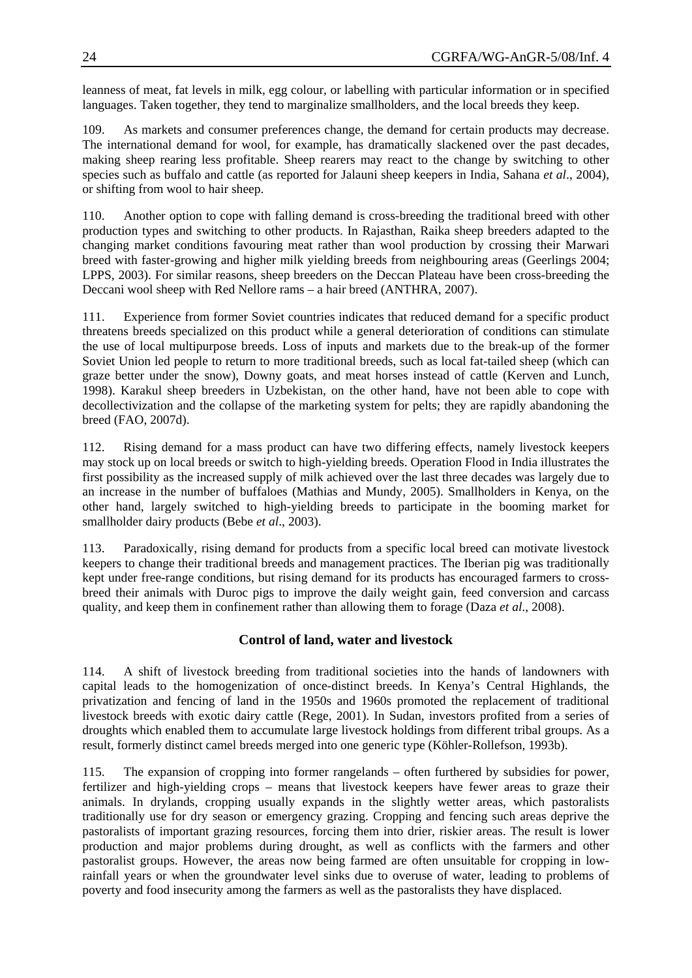leanness of meat, fat levels in milk, egg colour, or labelling with particular information or in specified languages. Taken together, they tend to marginalize smallholders, and the local breeds they keep.

109. As markets and consumer preferences change, the demand for certain products may decrease. The international demand for wool, for example, has dramatically slackened over the past decades, making sheep rearing less profitable. Sheep rearers may react to the change by switching to other species such as buffalo and cattle (as reported for Jalauni sheep keepers in India, Sahana *et al*., 2004), or shifting from wool to hair sheep.

changing market conditions favouring meat rather than wool production by crossing their Marwari breed with faster-growing and higher milk yielding breeds from neighbouring areas (Geerlings 2004; 110. Another option to cope with falling demand is cross-breeding the traditional breed with other production types and switching to other products. In Rajasthan, Raika sheep breeders adapted to the LPPS, 2003). For similar reasons, sheep breeders on the Deccan Plateau have been cross-breeding the Deccani wool sheep with Red Nellore rams – a hair breed (ANTHRA, 2007).

graze better under the snow), Downy goats, and meat horses instead of cattle (Kerven and Lunch, 1998). Karakul sheep breeders in Uzbekistan, on the other hand, have not been able to cope with 111. Experience from former Soviet countries indicates that reduced demand for a specific product threatens breeds specialized on this product while a general deterioration of conditions can stimulate the use of local multipurpose breeds. Loss of inputs and markets due to the break-up of the former Soviet Union led people to return to more traditional breeds, such as local fat-tailed sheep (which can decollectivization and the collapse of the marketing system for pelts; they are rapidly abandoning the breed (FAO, 2007d).

first possibility as the increased supply of milk achieved over the last three decades was largely due to 112. Rising demand for a mass product can have two differing effects, namely livestock keepers may stock up on local breeds or switch to high-yielding breeds. Operation Flood in India illustrates the an increase in the number of buffaloes (Mathias and Mundy, 2005). Smallholders in Kenya, on the other hand, largely switched to high-yielding breeds to participate in the booming market for smallholder dairy products (Bebe *et al*., 2003).

keepers to change their traditional breeds and management practices. The Iberian pig was traditionally kept under free-range conditions, but rising demand for its products has encouraged farmers to crossbreed their animals with Duroc pigs to improve the daily weight gain, feed conversion and carcass quality, and keep them in confinement rather than allowing them to forage (Daza *et al*., 2008). 113. Paradoxically, rising demand for products from a specific local breed can motivate livestock

# **Control of land, water and livestock**

privatization and fencing of land in the 1950s and 1960s promoted the replacement of traditional 114. A shift of livestock breeding from traditional societies into the hands of landowners with capital leads to the homogenization of once-distinct breeds. In Kenya's Central Highlands, the livestock breeds with exotic dairy cattle (Rege, 2001). In Sudan, investors profited from a series of droughts which enabled them to accumulate large livestock holdings from different tribal groups. As a result, formerly distinct camel breeds merged into one generic type (Köhler-Rollefson, 1993b).

production and major problems during drought, as well as conflicts with the farmers and other pastoralist groups. However, the areas now being farmed are often unsuitable for cropping in lowrainfall years or when the groundwater level sinks due to overuse of water, leading to problems of poverty and food insecurity among the farmers as well as the pastoralists they have displaced. 115. The expansion of cropping into former rangelands – often furthered by subsidies for power, fertilizer and high-yielding crops – means that livestock keepers have fewer areas to graze their animals. In drylands, cropping usually expands in the slightly wetter areas, which pastoralists traditionally use for dry season or emergency grazing. Cropping and fencing such areas deprive the pastoralists of important grazing resources, forcing them into drier, riskier areas. The result is lower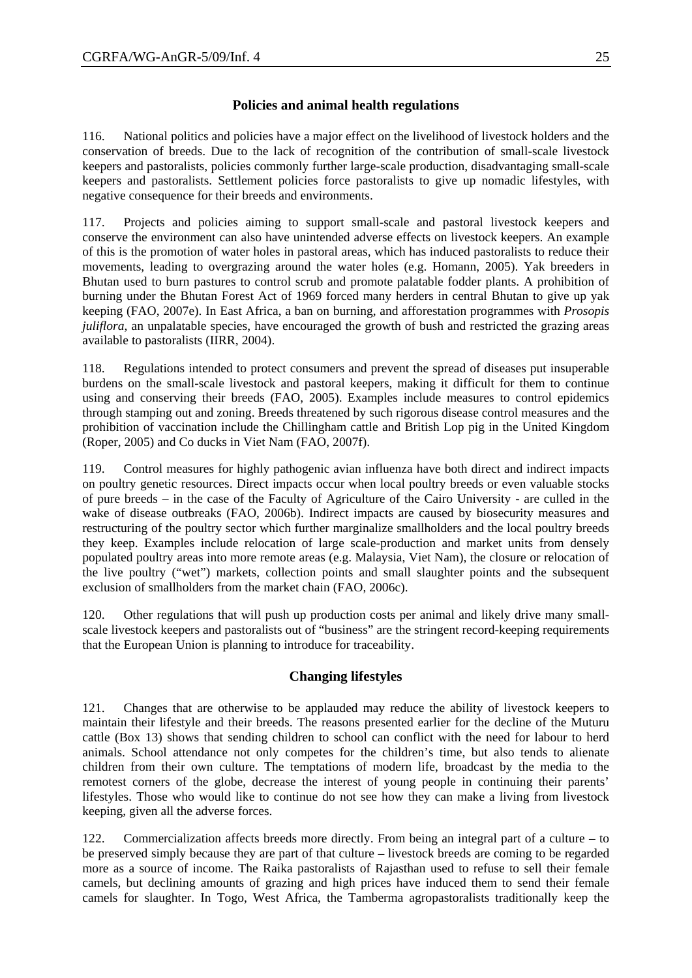# **Policies and animal health regulations**

116. National politics and policies have a major effect on the livelihood of livestock holders and the conservation of breeds. Due to the lack of recognition of the contribution of small-scale livestock keepers and pastoralists, policies commonly further large-scale production, disadvantaging small-scale keepers and pastoralists. Settlement policies force pastoralists to give up nomadic lifestyles, with negative consequence for their breeds and environments.

117. Projects and policies aiming to support small-scale and pastoral livestock keepers and conserve the environment can also have unintended adverse effects on livestock keepers. An example of this is the promotion of water holes in pastoral areas, which has induced pastoralists to reduce their movements, leading to overgrazing around the water holes (e.g. Homann, 2005). Yak breeders in Bhutan used to burn pastures to control scrub and promote palatable fodder plants. A prohibition of burning under the Bhutan Forest Act of 1969 forced many herders in central Bhutan to give up yak keeping (FAO, 2007e). In East Africa, a ban on burning, and afforestation programmes with *Prosopis juliflora*, an unpalatable species, have encouraged the growth of bush and restricted the grazing areas available to pastoralists (IIRR, 2004).

118. Regulations intended to protect consumers and prevent the spread of diseases put insuperable burdens on the small-scale livestock and pastoral keepers, making it difficult for them to continue using and conserving their breeds (FAO, 2005). Examples include measures to control epidemics through stamping out and zoning. Breeds threatened by such rigorous disease control measures and the prohibition of vaccination include the Chillingham cattle and British Lop pig in the United Kingdom (Roper, 2005) and Co ducks in Viet Nam (FAO, 2007f).

119. Control measures for highly pathogenic avian influenza have both direct and indirect impacts on poultry genetic resources. Direct impacts occur when local poultry breeds or even valuable stocks of pure breeds – in the case of the Faculty of Agriculture of the Cairo University - are culled in the wake of disease outbreaks (FAO, 2006b). Indirect impacts are caused by biosecurity measures and restructuring of the poultry sector which further marginalize smallholders and the local poultry breeds they keep. Examples include relocation of large scale-production and market units from densely populated poultry areas into more remote areas (e.g. Malaysia, Viet Nam), the closure or relocation of the live poultry ("wet") markets, collection points and small slaughter points and the subsequent exclusion of smallholders from the market chain (FAO, 2006c).

120. Other regulations that will push up production costs per animal and likely drive many smallscale livestock keepers and pastoralists out of "business" are the stringent record-keeping requirements that the European Union is planning to introduce for traceability.

# **Changing lifestyles**

121. Changes that are otherwise to be applauded may reduce the ability of livestock keepers to maintain their lifestyle and their breeds. The reasons presented earlier for the decline of the Muturu cattle (Box 13) shows that sending children to school can conflict with the need for labour to herd animals. School attendance not only competes for the children's time, but also tends to alienate children from their own culture. The temptations of modern life, broadcast by the media to the remotest corners of the globe, decrease the interest of young people in continuing their parents' lifestyles. Those who would like to continue do not see how they can make a living from livestock keeping, given all the adverse forces.

122. Commercialization affects breeds more directly. From being an integral part of a culture – to be preserved simply because they are part of that culture – livestock breeds are coming to be regarded more as a source of income. The Raika pastoralists of Rajasthan used to refuse to sell their female camels, but declining amounts of grazing and high prices have induced them to send their female camels for slaughter. In Togo, West Africa, the Tamberma agropastoralists traditionally keep the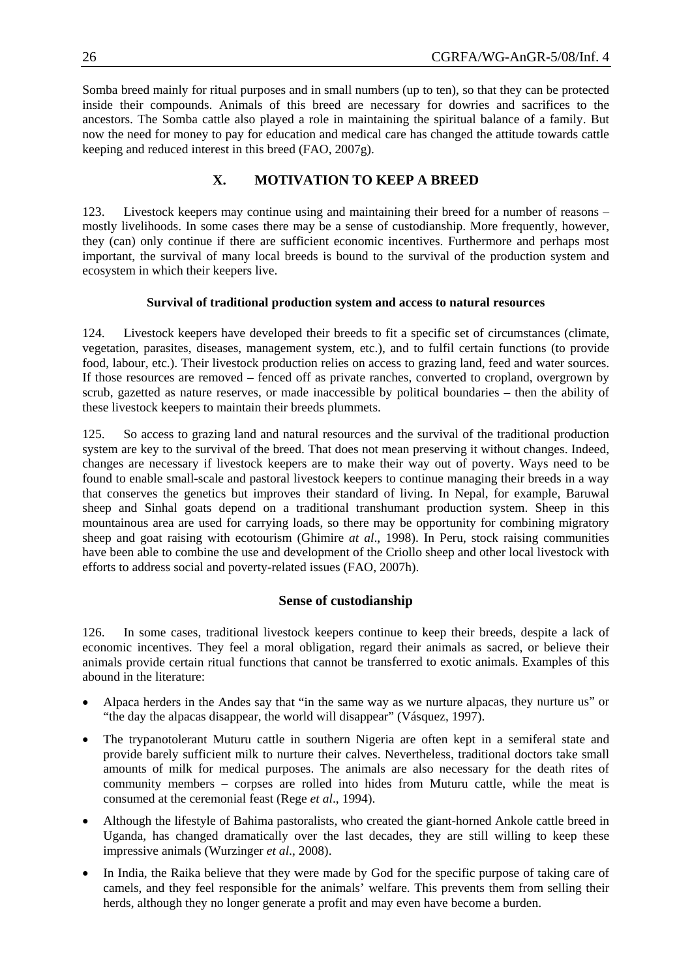Somba breed mainly for ritual purposes and in small numbers (up to ten), so that they can be protected inside their compounds. Animals of this breed are necessary for dowries and sacrifices to the ancestors. The Somba cattle also played a role in maintaining the spiritual balance of a family. But now the need for money to pay for education and medical care has changed the attitude towards cattle keeping and reduced interest in this breed (FAO, 2007g).

### **X. MOTIVATION TO KEEP A BREED**

important, the survival of many local breeds is bound to the survival of the production system and ecosystem in which their keepers live. 123. Livestock keepers may continue using and maintaining their breed for a number of reasons – mostly livelihoods. In some cases there may be a sense of custodianship. More frequently, however, they (can) only continue if there are sufficient economic incentives. Furthermore and perhaps most

#### **Survival of traditional production system and access to natural resources**

scrub, gazetted as nature reserves, or made inaccessible by political boundaries – then the ability of 124. Livestock keepers have developed their breeds to fit a specific set of circumstances (climate, vegetation, parasites, diseases, management system, etc.), and to fulfil certain functions (to provide food, labour, etc.). Their livestock production relies on access to grazing land, feed and water sources. If those resources are removed – fenced off as private ranches, converted to cropland, overgrown by these livestock keepers to maintain their breeds plummets.

have been able to combine the use and development of the Criollo sheep and other local livestock with efforts to address social and poverty-related issues (FAO, 2007h). 125. So access to grazing land and natural resources and the survival of the traditional production system are key to the survival of the breed. That does not mean preserving it without changes. Indeed, changes are necessary if livestock keepers are to make their way out of poverty. Ways need to be found to enable small-scale and pastoral livestock keepers to continue managing their breeds in a way that conserves the genetics but improves their standard of living. In Nepal, for example, Baruwal sheep and Sinhal goats depend on a traditional transhumant production system. Sheep in this mountainous area are used for carrying loads, so there may be opportunity for combining migratory sheep and goat raising with ecotourism (Ghimire *at al*., 1998). In Peru, stock raising communities

#### **Sense of custodianship**

animals provide certain ritual functions that cannot be transferred to exotic animals. Examples of this 126. In some cases, traditional livestock keepers continue to keep their breeds, despite a lack of economic incentives. They feel a moral obligation, regard their animals as sacred, or believe their abound in the literature:

- Alpaca herders in the Andes say that "in the same way as we nurture alpacas, they nurture us" or "the day the alpacas disappear, the world will disappear" (Vásquez, 1997).
- community members corpses are rolled into hides from Muturu cattle, while the meat is • The trypanotolerant Muturu cattle in southern Nigeria are often kept in a semiferal state and provide barely sufficient milk to nurture their calves. Nevertheless, traditional doctors take small amounts of milk for medical purposes. The animals are also necessary for the death rites of consumed at the ceremonial feast (Rege *et al*., 1994).
- Uganda, has changed dramatically over the last decades, they are still willing to keep these • Although the lifestyle of Bahima pastoralists, who created the giant-horned Ankole cattle breed in impressive animals (Wurzinger *et al*., 2008).
- herds, although they no longer generate a profit and may even have become a burden. In India, the Raika believe that they were made by God for the specific purpose of taking care of camels, and they feel responsible for the animals' welfare. This prevents them from selling their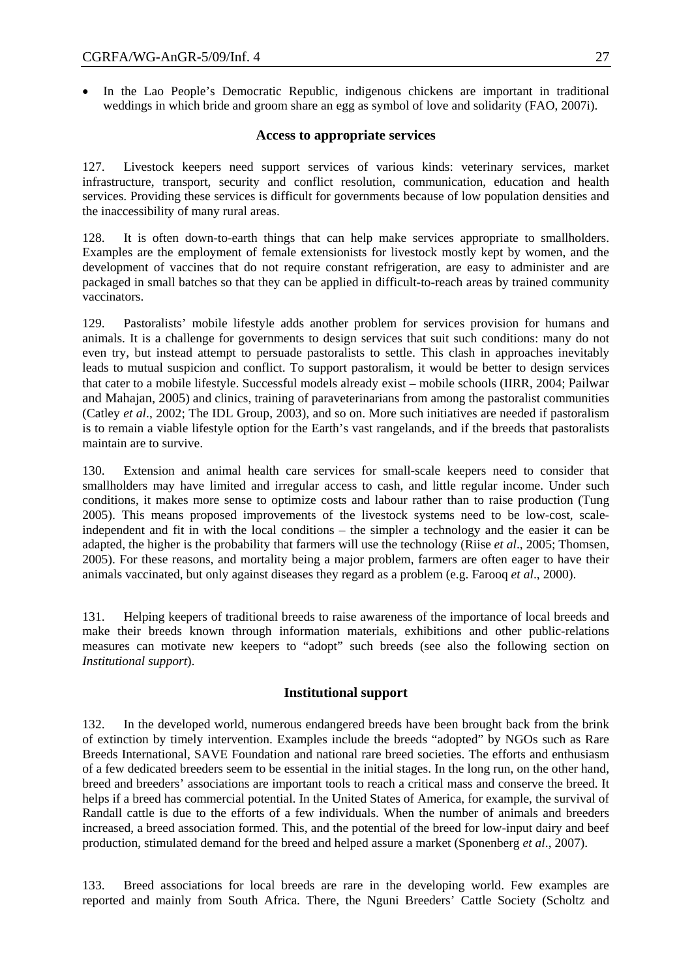• In the Lao People's Democratic Republic, indigenous chickens are important in traditional weddings in which bride and groom share an egg as symbol of love and solidarity (FAO, 2007i).

#### **Access to appropriate services**

127. Livestock keepers need support services of various kinds: veterinary services, market infrastructure, transport, security and conflict resolution, communication, education and health services. Providing these services is difficult for governments because of low population densities and the inaccessibility of many rural areas.

128. It is often down-to-earth things that can help make services appropriate to smallholders. Examples are the employment of female extensionists for livestock mostly kept by women, and the development of vaccines that do not require constant refrigeration, are easy to administer and are packaged in small batches so that they can be applied in difficult-to-reach areas by trained community vaccinators.

129. Pastoralists' mobile lifestyle adds another problem for services provision for humans and animals. It is a challenge for governments to design services that suit such conditions: many do not even try, but instead attempt to persuade pastoralists to settle. This clash in approaches inevitably leads to mutual suspicion and conflict. To support pastoralism, it would be better to design services that cater to a mobile lifestyle. Successful models already exist – mobile schools (IIRR, 2004; Pailwar and Mahajan, 2005) and clinics, training of paraveterinarians from among the pastoralist communities (Catley *et al*., 2002; The IDL Group, 2003), and so on. More such initiatives are needed if pastoralism is to remain a viable lifestyle option for the Earth's vast rangelands, and if the breeds that pastoralists maintain are to survive.

130. Extension and animal health care services for small-scale keepers need to consider that smallholders may have limited and irregular access to cash, and little regular income. Under such conditions, it makes more sense to optimize costs and labour rather than to raise production (Tung 2005). This means proposed improvements of the livestock systems need to be low-cost, scaleindependent and fit in with the local conditions – the simpler a technology and the easier it can be adapted, the higher is the probability that farmers will use the technology (Riise *et al*., 2005; Thomsen, 2005). For these reasons, and mortality being a major problem, farmers are often eager to have their animals vaccinated, but only against diseases they regard as a problem (e.g. Farooq *et al*., 2000).

131. Helping keepers of traditional breeds to raise awareness of the importance of local breeds and make their breeds known through information materials, exhibitions and other public-relations measures can motivate new keepers to "adopt" such breeds (see also the following section on *Institutional support*).

### **Institutional support**

increased, a breed association formed. This, and the potential of the breed for low-input dairy and beef 132. In the developed world, numerous endangered breeds have been brought back from the brink of extinction by timely intervention. Examples include the breeds "adopted" by NGOs such as Rare Breeds International, SAVE Foundation and national rare breed societies. The efforts and enthusiasm of a few dedicated breeders seem to be essential in the initial stages. In the long run, on the other hand, breed and breeders' associations are important tools to reach a critical mass and conserve the breed. It helps if a breed has commercial potential. In the United States of America, for example, the survival of Randall cattle is due to the efforts of a few individuals. When the number of animals and breeders production, stimulated demand for the breed and helped assure a market (Sponenberg *et al*., 2007).

133. Breed associations for local breeds are rare in the developing world. Few examples are reported and mainly from South Africa. There, the Nguni Breeders' Cattle Society (Scholtz and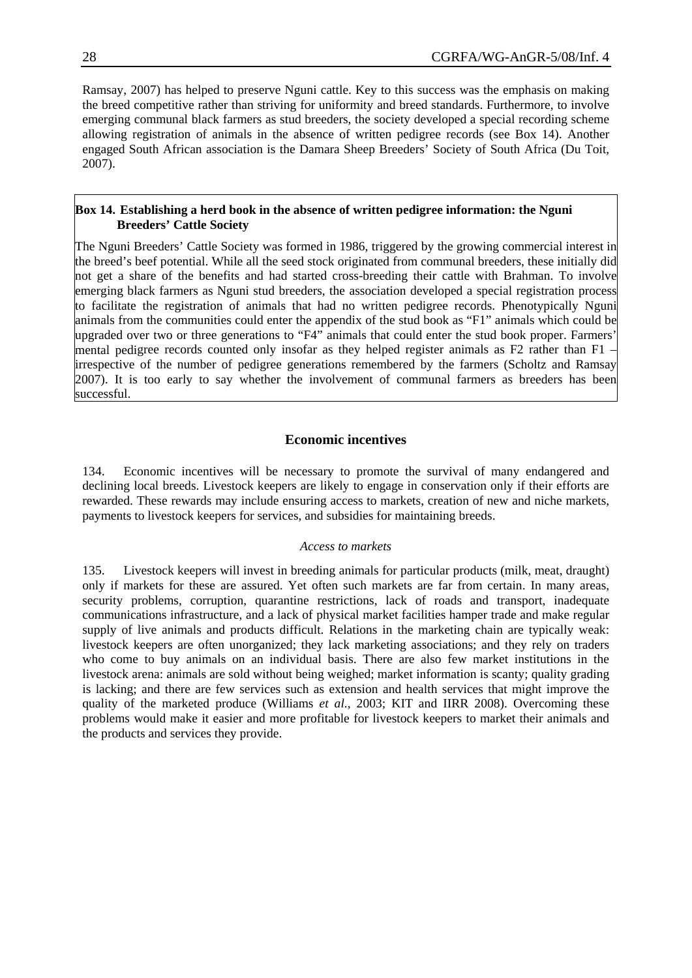Ramsay, 2007) has helped to preserve Nguni cattle. Key to this success was the emphasis on making the breed competitive rather than striving for uniformity and breed standards. Furthermore, to involve emerging communal black farmers as stud breeders, the society developed a special recording scheme allowing registration of animals in the absence of written pedigree records (see Box 14). Another engaged South African association is the Damara Sheep Breeders' Society of South Africa (Du Toit, 2007).

#### **Box 14. Establishing a herd book in the absence of written pedigree information: the Nguni Breeders' Cattle Society**

The Nguni Breeders' Cattle Society was formed in 1986, triggered by the growing commercial interest in the breed's beef potential. While all the seed stock originated from communal breeders, these initially did not get a share of the benefits and had started cross-breeding their cattle with Brahman. To involve emerging black farmers as Nguni stud breeders, the association developed a special registration process to facilitate the registration of animals that had no written pedigree records. Phenotypically Nguni animals from the communities could enter the appendix of the stud book as "F1" animals which could be upgraded over two or three generations to "F4" animals that could enter the stud book proper. Farmers' mental pedigree records counted only insofar as they helped register animals as F2 rather than F1 – irrespective of the number of pedigree generations remembered by the farmers (Scholtz and Ramsay 2007). It is too early to say whether the involvement of communal farmers as breeders has been successful.

### **Economic incentives**

134. Economic incentives will be necessary to promote the survival of many endangered and declining local breeds. Livestock keepers are likely to engage in conservation only if their efforts are rewarded. These rewards may include ensuring access to markets, creation of new and niche markets, payments to livestock keepers for services, and subsidies for maintaining breeds.

#### *Access to markets*

is lacking; and there are few services such as extension and health services that might improve the quality of the marketed produce (Williams *et al*., 2003; KIT and IIRR 2008). Overcoming these problems would make it easier and more profitable for livestock keepers to market their animals and the products and services they provide. 135. Livestock keepers will invest in breeding animals for particular products (milk, meat, draught) only if markets for these are assured. Yet often such markets are far from certain. In many areas, security problems, corruption, quarantine restrictions, lack of roads and transport, inadequate communications infrastructure, and a lack of physical market facilities hamper trade and make regular supply of live animals and products difficult. Relations in the marketing chain are typically weak: livestock keepers are often unorganized; they lack marketing associations; and they rely on traders who come to buy animals on an individual basis. There are also few market institutions in the livestock arena: animals are sold without being weighed; market information is scanty; quality grading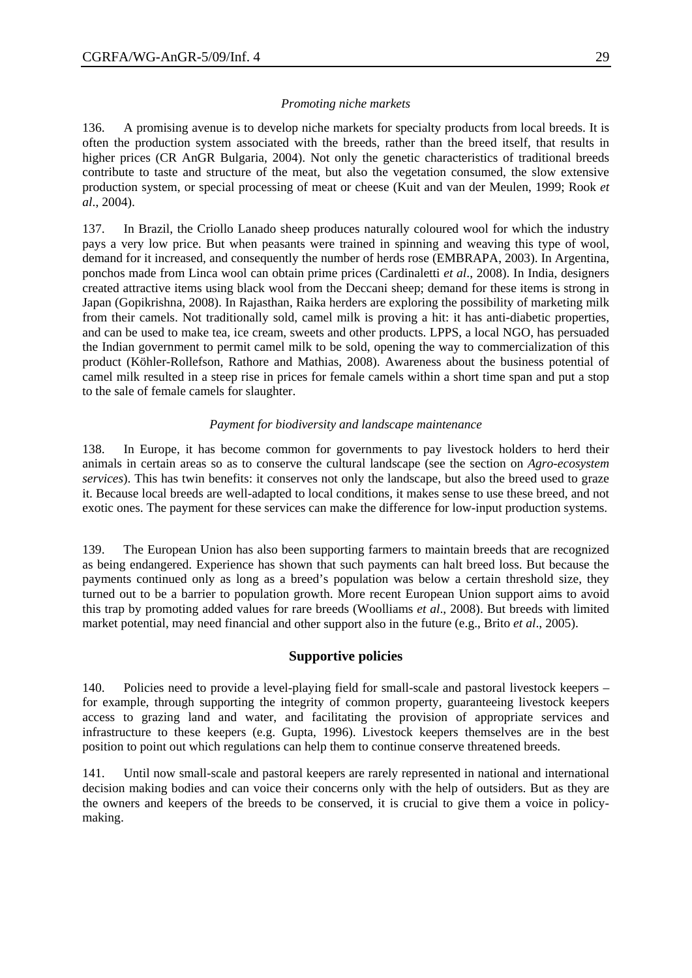136. A promising avenue is to develop niche markets for specialty products from local breeds. It is often the production system associated with the breeds, rather than the breed itself, that results in higher prices (CR AnGR Bulgaria, 2004). Not only the genetic characteristics of traditional breeds contribute to taste and structure of the meat, but also the vegetation consumed, the slow extensive production system, or special processing of meat or cheese (Kuit and van der Meulen, 1999; Rook *et al*., 2004).

137. In Brazil, the Criollo Lanado sheep produces naturally coloured wool for which the industry pays a very low price. But when peasants were trained in spinning and weaving this type of wool, demand for it increased, and consequently the number of herds rose (EMBRAPA, 2003). In Argentina, ponchos made from Linca wool can obtain prime prices (Cardinaletti *et al*., 2008). In India, designers created attractive items using black wool from the Deccani sheep; demand for these items is strong in Japan (Gopikrishna, 2008). In Rajasthan, Raika herders are exploring the possibility of marketing milk from their camels. Not traditionally sold, camel milk is proving a hit: it has anti-diabetic properties, and can be used to make tea, ice cream, sweets and other products. LPPS, a local NGO, has persuaded the Indian government to permit camel milk to be sold, opening the way to commercialization of this product (Köhler-Rollefson, Rathore and Mathias, 2008). Awareness about the business potential of camel milk resulted in a steep rise in prices for female camels within a short time span and put a stop to the sale of female camels for slaughter.

#### *Payment for biodiversity and landscape maintenance*

138. In Europe, it has become common for governments to pay livestock holders to herd their animals in certain areas so as to conserve the cultural landscape (see the section on *Agro-ecosystem services*). This has twin benefits: it conserves not only the landscape, but also the breed used to graze it. Because local breeds are well-adapted to local conditions, it makes sense to use these breed, and not exotic ones. The payment for these services can make the difference for low-input production systems.

139. The European Union has also been supporting farmers to maintain breeds that are recognized as being endangered. Experience has shown that such payments can halt breed loss. But because the payments continued only as long as a breed's population was below a certain threshold size, they turned out to be a barrier to population growth. More recent European Union support aims to avoid this trap by promoting added values for rare breeds (Woolliams *et al*., 2008). But breeds with limited market potential, may need financial and other support also in the future (e.g., Brito *et al.*, 2005).

#### **Supportive policies**

140. Policies need to provide a level-playing field for small-scale and pastoral livestock keepers – for example, through supporting the integrity of common property, guaranteeing livestock keepers access to grazing land and water, and facilitating the provision of appropriate services and infrastructure to these keepers (e.g. Gupta, 1996). Livestock keepers themselves are in the best position to point out which regulations can help them to continue conserve threatened breeds.

the owners and keepers of the breeds to be conserved, it is crucial to give them a voice in policymaking. 141. Until now small-scale and pastoral keepers are rarely represented in national and international decision making bodies and can voice their concerns only with the help of outsiders. But as they are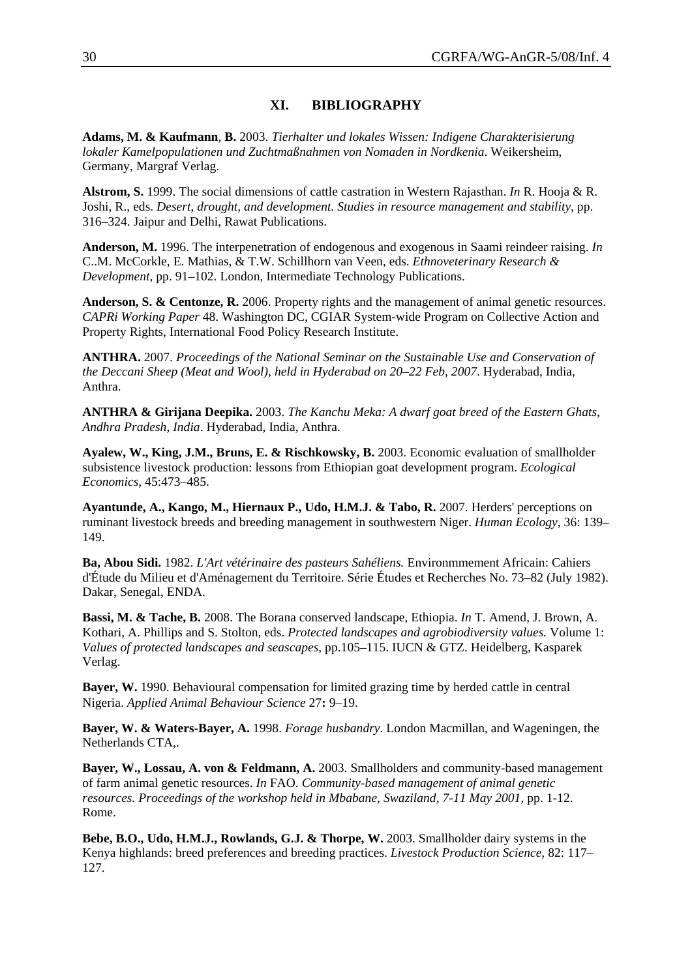#### **XI. BIBLIOGRAPHY**

**Adams, M. & Kaufmann**, **B.** 2003. *Tierhalter und lokales Wissen: Indigene Charakterisierung lokaler Kamelpopulationen und Zuchtmaßnahmen von Nomaden in Nordkenia*. Weikersheim, Germany, Margraf Verlag.

**Alstrom, S.** 1999. The social dimensions of cattle castration in Western Rajasthan. *In* R. Hooja & R. Joshi, R., eds. *Desert, drought, and development. Studies in resource management and stability*, pp. 316–324. Jaipur and Delhi, Rawat Publications.

**Anderson, M.** 1996. The interpenetration of endogenous and exogenous in Saami reindeer raising. *In* C..M. McCorkle, E. Mathias, & T.W. Schillhorn van Veen, eds. *Ethnoveterinary Research & Development*, pp. 91–102. London, Intermediate Technology Publications.

**Anderson, S. & Centonze, R.** 2006. Property rights and the management of animal genetic resources. *CAPRi Working Paper* 48. Washington DC, CGIAR System-wide Program on Collective Action and Property Rights, International Food Policy Research Institute.

**ANTHRA.** 2007. *Proceedings of the National Seminar on the Sustainable Use and Conservation of the Deccani Sheep (Meat and Wool), held in Hyderabad on 20–22 Feb, 2007*. Hyderabad, India, Anthra.

**ANTHRA & Girijana Deepika.** 2003. *The Kanchu Meka: A dwarf goat breed of the Eastern Ghats, Andhra Pradesh, India*. Hyderabad, India, Anthra.

**Ayalew, W., King, J.M., Bruns, E. & Rischkowsky, B.** 2003. Economic evaluation of smallholder subsistence livestock production: lessons from Ethiopian goat development program. *Ecological Economics*, 45:473–485.

**Ayantunde, A., Kango, M., Hiernaux P., Udo, H.M.J. & Tabo, R.** 2007. Herders' perceptions on ruminant livestock breeds and breeding management in southwestern Niger. *Human Ecology,* 36: 139– 149.

**Ba, Abou Sidi.** 1982. *L'Art vétérinaire des pasteurs Sahéliens.* Environmmement Africain: Cahiers d'Étude du Milieu et d'Aménagement du Territoire. Série Études et Recherches No. 73–82 (July 1982). Dakar, Senegal, ENDA.

**Bassi, M. & Tache, B.** 2008. The Borana conserved landscape, Ethiopia. *In* T. Amend, J. Brown, A*.*  Kothari, A. Phillips and S. Stolton, eds. *Protected landscapes and agrobiodiversity values.* Volume 1: *Values of protected landscapes and seascapes*, pp.105–115. IUCN & GTZ. Heidelberg, Kasparek Verlag.

**Bayer, W.** 1990. Behavioural compensation for limited grazing time by herded cattle in central Nigeria. *Applied Animal Behaviour Science* 27**:** 9–19.

**Bayer, W. & Waters-Bayer, A.** 1998. *Forage husbandry*. London Macmillan, and Wageningen, the Netherlands CTA,.

**Bayer, W., Lossau, A. von & Feldmann, A.** 2003. Smallholders and community-based management of farm animal genetic resources. *In* FAO. *Community-based management of animal genetic resources. Proceedings of the workshop held in Mbabane, Swaziland, 7-11 May 2001, pp. 1-12.* Rome.

**Bebe, B.O., Udo, H.M.J., Rowlands, G.J. & Thorpe, W.** 2003. Smallholder dairy systems in the Kenya highlands: breed preferences and breeding practices. *Livestock Production Science,* 82: 117– 127.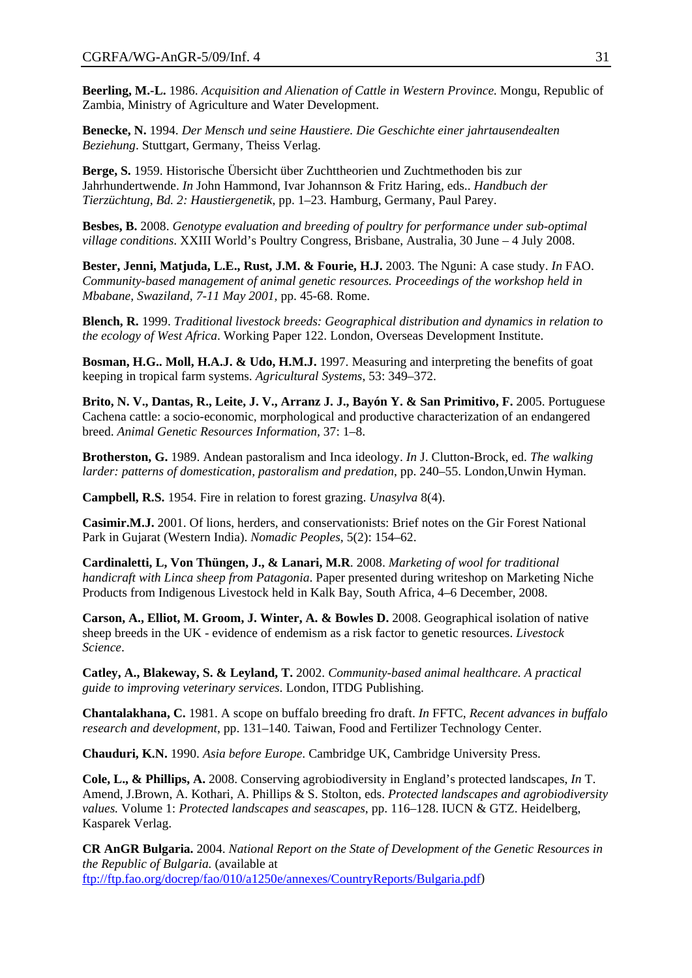**Beerling, M.-L.** 1986. *Acquisition and Alienation of Cattle in Western Province*. Mongu, Republic of Zambia, Ministry of Agriculture and Water Development.

**Benecke, N.** 1994. *Der Mensch und seine Haustiere. Die Geschichte einer jahrtausendealten Beziehung*. Stuttgart, Germany, Theiss Verlag.

**Berge, S.** 1959. Historische Übersicht über Zuchttheorien und Zuchtmethoden bis zur Jahrhundertwende. *In* John Hammond, Ivar Johannson & Fritz Haring, eds.. *Handbuch der Tierzüchtung, Bd. 2: Haustiergenetik*, pp. 1–23. Hamburg, Germany, Paul Parey.

**Besbes, B.** 2008. *Genotype evaluation and breeding of poultry for performance under sub-optimal village conditions*. XXIII World's Poultry Congress, Brisbane, Australia, 30 June – 4 July 2008.

**Bester, Jenni, Matjuda, L.E., Rust, J.M. & Fourie, H.J.** 2003. The Nguni: A case study. *In* FAO. *Community-based management of animal genetic resources. Proceedings of the workshop held in Mbabane, Swaziland, 7-11 May 2001,* pp. 45-68. Rome.

**Blench, R.** 1999. *Traditional livestock breeds: Geographical distribution and dynamics in relation to the ecology of West Africa*. Working Paper 122. London, Overseas Development Institute.

**Bosman, H.G.. Moll, H.A.J. & Udo, H.M.J.** 1997. Measuring and interpreting the benefits of goat keeping in tropical farm systems. *Agricultural Systems*, 53: 349–372.

**Brito, N. V., Dantas, R., Leite, J. V., Arranz J. J., Bayón Y. & San Primitivo, F.** 2005. Portuguese Cachena cattle: a socio-economic, morphological and productive characterization of an endangered breed. *Animal Genetic Resources Information,* 37: 1–8.

**Brotherston, G.** 1989. Andean pastoralism and Inca ideology. *In* J. Clutton-Brock, ed. *The walking larder: patterns of domestication, pastoralism and predation*, pp. 240–55. London,Unwin Hyman.

**Campbell, R.S.** 1954. Fire in relation to forest grazing. *Unasylva* 8(4).

**Casimir.M.J.** 2001. Of lions, herders, and conservationists: Brief notes on the Gir Forest National Park in Gujarat (Western India). *Nomadic Peoples,* 5(2): 154–62.

**Cardinaletti, L, Von Thüngen, J., & Lanari, M.R**. 2008. *Marketing of wool for traditional handicraft with Linca sheep from Patagonia*. Paper presented during writeshop on Marketing Niche Products from Indigenous Livestock held in Kalk Bay, South Africa, 4–6 December, 2008.

**Carson, A., Elliot, M. Groom, J. Winter, A. & Bowles D.** 2008. Geographical isolation of native sheep breeds in the UK - evidence of endemism as a risk factor to genetic resources. *Livestock Science*.

**Catley, A., Blakeway, S. & Leyland, T.** 2002. *Community-based animal healthcare. A practical guide to improving veterinary services*. London, ITDG Publishing.

**Chantalakhana, C.** 1981. A scope on buffalo breeding fro draft. *In* FFTC, *Recent advances in buffalo research and development*, pp. 131–140*.* Taiwan, Food and Fertilizer Technology Center.

**Chauduri, K.N.** 1990. *Asia before Europe*. Cambridge UK, Cambridge University Press.

**Cole, L., & Phillips, A.** 2008. Conserving agrobiodiversity in England's protected landscapes, *In* T. Amend, J.Brown, A. Kothari, A. Phillips & S. Stolton, eds. *Protected landscapes and agrobiodiversity values.* Volume 1: *Protected landscapes and seascapes*, pp. 116–128. IUCN & GTZ. Heidelberg, Kasparek Verlag.

**CR AnGR Bulgaria.** 2004. *National Report on the State of Development of the Genetic Resources in the Republic of Bulgaria.* (available at [ftp://ftp.fao.org/docrep/fao/010/a1250e/annexes/CountryReports/Bulgaria.pdf\)](ftp://ftp.fao.org/docrep/fao/010/a1250e/annexes/CountryReports/Bulgaria.pdf)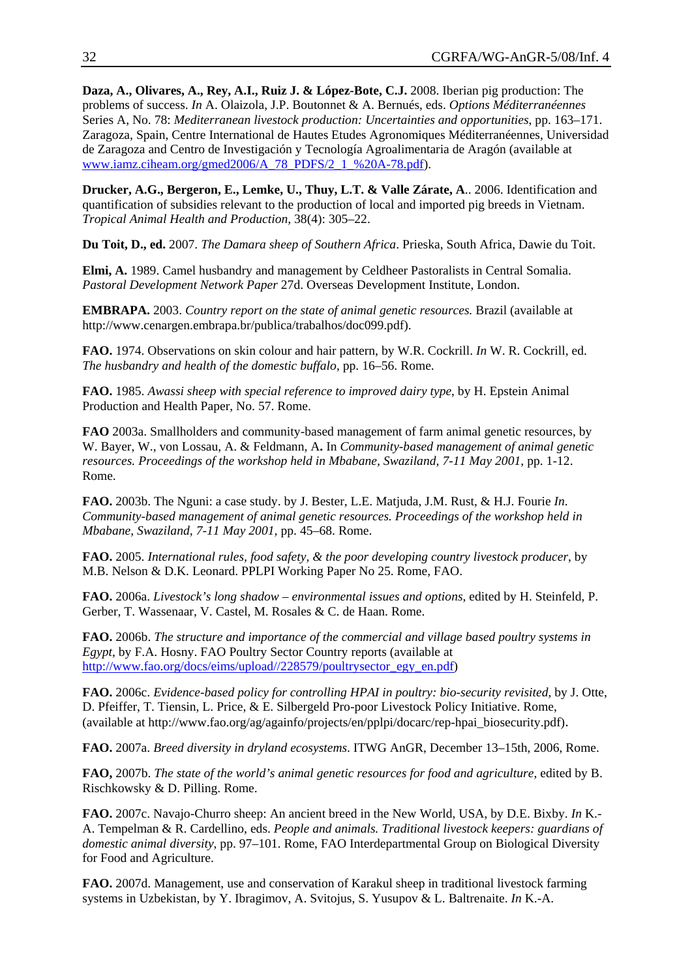**Daza, A., Olivares, A., Rey, A.I., Ruiz J. & López-Bote, C.J.** 2008. Iberian pig production: The problems of success. *In* A. Olaizola, J.P. Boutonnet & A. Bernués, eds. *Options Méditerranéennes* Series A, No. 78: *Mediterranean livestock production: Uncertainties and opportunities*, pp. 163–171. Zaragoza, Spain, Centre International de Hautes Etudes Agronomiques Méditerranéennes, Universidad de Zaragoza and Centro de Investigación y Tecnología Agroalimentaria de Aragón (available at [www.iamz.ciheam.org/gmed2006/A\\_78\\_PDFS/2\\_1\\_%20A-78.pdf\)](http://www.iamz.ciheam.org/gmed2006/A_78_PDFS/2_1_%20A-78.pdf).

**Drucker, A.G., Bergeron, E., Lemke, U., Thuy, L.T. & Valle Zárate, A**.. 2006. Identification and quantification of subsidies relevant to the production of local and imported pig breeds in Vietnam. *Tropical Animal Health and Production,* 38(4): 305–22.

**Du Toit, D., ed.** 2007. *The Damara sheep of Southern Africa*. Prieska, South Africa, Dawie du Toit.

**Elmi, A.** 1989. Camel husbandry and management by Celdheer Pastoralists in Central Somalia. *Pastoral Development Network Paper* 27d. Overseas Development Institute, London.

**EMBRAPA.** 2003. *Country report on the state of animal genetic resources.* Brazil (available at http://www.cenargen.embrapa.br/publica/trabalhos/doc099.pdf).

**FAO.** 1974. Observations on skin colour and hair pattern, by W.R. Cockrill. *In* W. R. Cockrill, ed. *The husbandry and health of the domestic buffalo*, pp. 16–56. Rome.

**FAO.** 1985. *Awassi sheep with special reference to improved dairy type*, by H. Epstein Animal Production and Health Paper, No. 57. Rome.

**FAO** 2003a. Smallholders and community-based management of farm animal genetic resources, by W. Bayer, W., von Lossau, A. & Feldmann, A**.** In *Community-based management of animal genetic resources. Proceedings of the workshop held in Mbabane, Swaziland, 7-11 May 2001, pp. 1-12.* Rome.

**FAO.** 2003b. The Nguni: a case study. by J. Bester, L.E. Matjuda, J.M. Rust, & H.J. Fourie *In*. *Community-based management of animal genetic resources. Proceedings of the workshop held in Mbabane, Swaziland, 7-11 May 2001,* pp. 45–68. Rome.

**FAO.** 2005. *International rules, food safety, & the poor developing country livestock producer*, by M.B. Nelson & D.K. Leonard. PPLPI Working Paper No 25. Rome, FAO.

**FAO.** 2006a. *Livestock's long shadow – environmental issues and options*, edited by H. Steinfeld, P. Gerber, T. Wassenaar, V. Castel, M. Rosales & C. de Haan. Rome.

**FAO.** 2006b. *The structure and importance of the commercial and village based poultry systems in Egypt*, by F.A. Hosny. FAO Poultry Sector Country reports (available at [http://www.fao.org/docs/eims/upload//228579/poultrysector\\_egy\\_en.pdf\)](http://www.fao.org/docs/eims/upload//228579/poultrysector_egy_en.pdf)

**FAO.** 2006c. *Evidence-based policy for controlling HPAI in poultry: bio-security revisited,* by J. Otte, D. Pfeiffer, T. Tiensin, L. Price, & E. Silbergeld Pro-poor Livestock Policy Initiative. Rome, (available at [http://www.fao.org/ag/againfo/projects/en/pplpi/docarc/rep-hpai\\_biosecurity.pdf\)](http://www.fao.org/ag/againfo/projects/en/pplpi/docarc/rep-hpai_biosecurity.pdf).

**FAO.** 2007a. *Breed diversity in dryland ecosystems*. ITWG AnGR, December 13–15th, 2006, Rome.

**FAO,** 2007b. *The state of the world's animal genetic resources for food and agriculture*, edited by B. Rischkowsky & D. Pilling. Rome.

**FAO.** 2007c. Navajo-Churro sheep: An ancient breed in the New World, USA, by D.E. Bixby. *In* K.- A. Tempelman & R. Cardellino, eds. *People and animals. Traditional livestock keepers: guardians of domestic animal diversity*, pp. 97–101. Rome, FAO Interdepartmental Group on Biological Diversity for Food and Agriculture.

**FAO.** 2007d. Management, use and conservation of Karakul sheep in traditional livestock farming systems in Uzbekistan, by Y. Ibragimov, A. Svitojus, S. Yusupov & L. Baltrenaite. *In* K.-A.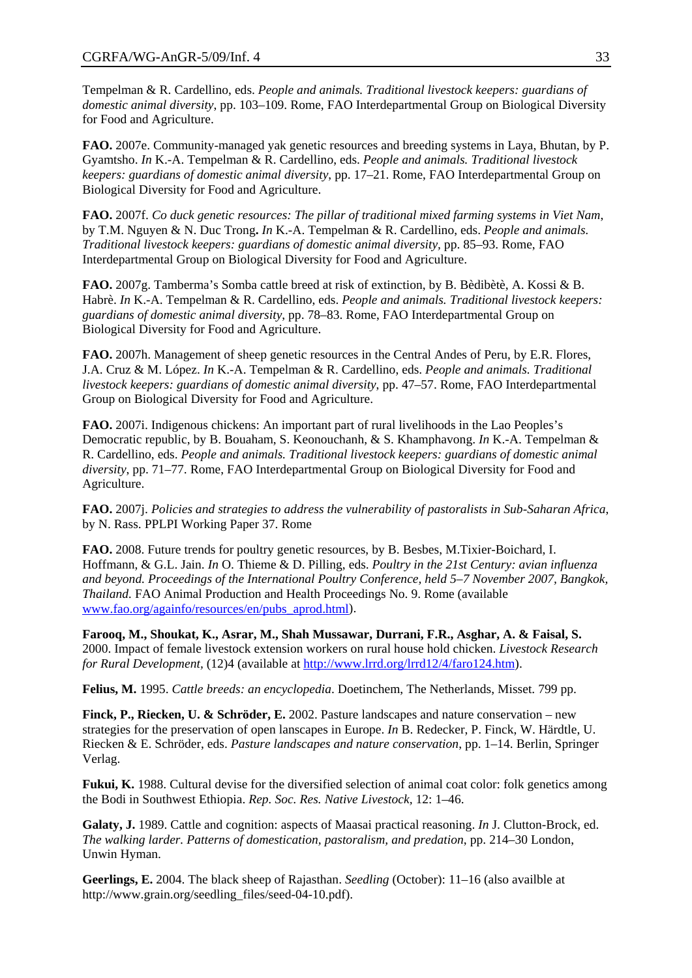Tempelman & R. Cardellino, eds. *People and animals. Traditional livestock keepers: guardians of domestic animal diversity*, pp. 103–109. Rome, FAO Interdepartmental Group on Biological Diversity for Food and Agriculture.

**FAO.** 2007e. Community-managed yak genetic resources and breeding systems in Laya, Bhutan, by P. Gyamtsho. *In* K.-A. Tempelman & R. Cardellino, eds. *People and animals. Traditional livestock keepers: guardians of domestic animal diversity*, pp. 17–21. Rome, FAO Interdepartmental Group on Biological Diversity for Food and Agriculture.

**FAO.** 2007f. *Co duck genetic resources: The pillar of traditional mixed farming systems in Viet Nam*, by T.M. Nguyen & N. Duc Trong**.** *In* K.-A. Tempelman & R. Cardellino, eds. *People and animals. Traditional livestock keepers: guardians of domestic animal diversity,* pp. 85–93. Rome, FAO Interdepartmental Group on Biological Diversity for Food and Agriculture.

**FAO.** 2007g. Tamberma's Somba cattle breed at risk of extinction, by B. Bèdibètè, A. Kossi & B. Habrè. *In* K.-A. Tempelman & R. Cardellino, eds. *People and animals. Traditional livestock keepers: guardians of domestic animal diversity*, pp. 78–83. Rome, FAO Interdepartmental Group on Biological Diversity for Food and Agriculture.

**FAO.** 2007h. Management of sheep genetic resources in the Central Andes of Peru, by E.R. Flores, J.A. Cruz & M. López. *In* K.-A. Tempelman & R. Cardellino, eds. *People and animals. Traditional livestock keepers: guardians of domestic animal diversity*, pp. 47–57. Rome, FAO Interdepartmental Group on Biological Diversity for Food and Agriculture.

**FAO.** 2007i. Indigenous chickens: An important part of rural livelihoods in the Lao Peoples's Democratic republic, by B. Bouaham, S. Keonouchanh, & S. Khamphavong. *In* K.-A. Tempelman & R. Cardellino, eds. *People and animals. Traditional livestock keepers: guardians of domestic animal diversity*, pp. 71–77. Rome, FAO Interdepartmental Group on Biological Diversity for Food and Agriculture.

**FAO.** 2007j. *Policies and strategies to address the vulnerability of pastoralists in Sub-Saharan Africa*, by N. Rass. PPLPI Working Paper 37. Rome

**FAO.** 2008. Future trends for poultry genetic resources, by B. Besbes, M.Tixier-Boichard, I. Hoffmann, & G.L. Jain. *In* O. Thieme & D. Pilling, eds. *Poultry in the 21st Century: avian influenza and beyond. Proceedings of the International Poultry Conference, held 5–7 November 2007, Bangkok, Thailand.* FAO Animal Production and Health Proceedings No. 9. Rome (available [www.fao.org/againfo/resources/en/pubs\\_aprod.html](http://www.fao.org/againfo/resources/en/pubs_aprod.html)).

**Farooq, M., Shoukat, K., Asrar, M., Shah Mussawar, Durrani, F.R., Asghar, A. & Faisal, S.** 2000. Impact of female livestock extension workers on rural house hold chicken. *Livestock Research for Rural Development,* (12)4 (available at<http://www.lrrd.org/lrrd12/4/faro124.htm>).

**Felius, M.** 1995. *Cattle breeds: an encyclopedia*. Doetinchem, The Netherlands, Misset. 799 pp.

**Finck, P., Riecken, U. & Schröder, E.** 2002. Pasture landscapes and nature conservation – new strategies for the preservation of open lanscapes in Europe. *In* B. Redecker, P. Finck, W. Härdtle, U. Riecken & E. Schröder, eds. *Pasture landscapes and nature conservation*, pp. 1–14. Berlin, Springer Verlag.

**Fukui, K.** 1988. Cultural devise for the diversified selection of animal coat color: folk genetics among the Bodi in Southwest Ethiopia. *Rep. Soc. Res. Native Livestock,* 12: 1–46.

**Galaty, J.** 1989. Cattle and cognition: aspects of Maasai practical reasoning. *In* J. Clutton-Brock, ed. *The walking larder. Patterns of domestication, pastoralism, and predation*, pp. 214–30 London, Unwin Hyman.

**Geerlings, E.** 2004. The black sheep of Rajasthan. *Seedling* (October): 11–16 (also availble at http://www.grain.org/seedling\_files/seed-04-10.pdf).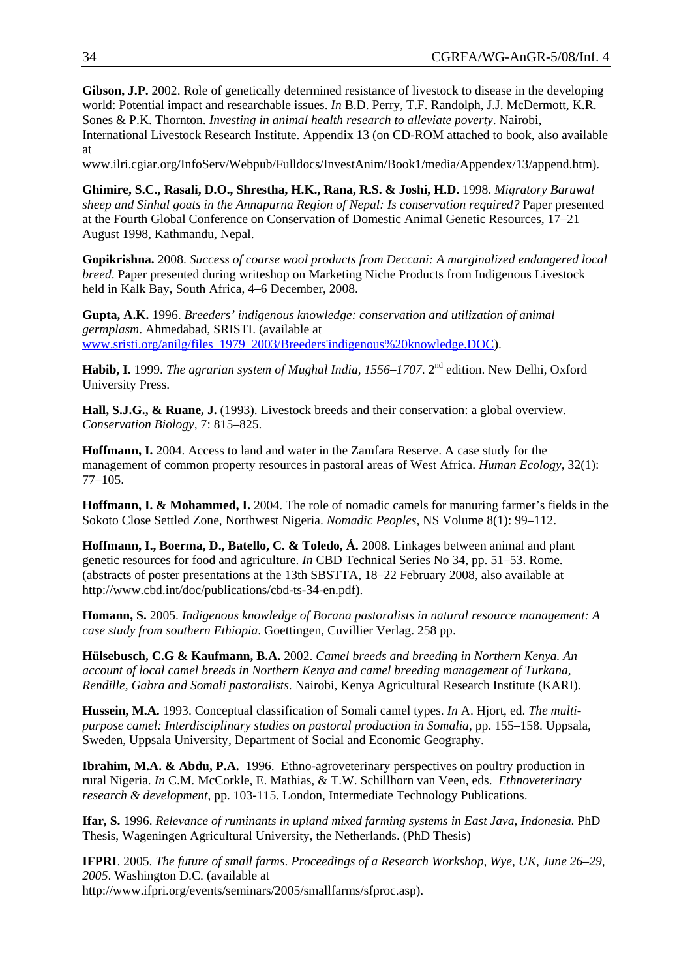**Gibson, J.P.** 2002. Role of genetically determined resistance of livestock to disease in the developing world: Potential impact and researchable issues. *In* B.D. Perry, T.F. Randolph, J.J. McDermott, K.R. Sones & P.K. Thornton. *Investing in animal health research to alleviate poverty*. Nairobi, International Livestock Research Institute. Appendix 13 (on CD-ROM attached to book, also available at

www.ilri.cgiar.org/InfoServ/Webpub/Fulldocs/InvestAnim/Book1/media/Appendex/13/append.htm).

**Ghimire, S.C., Rasali, D.O., Shrestha, H.K., Rana, R.S. & Joshi, H.D.** 1998. *Migratory Baruwal sheep and Sinhal goats in the Annapurna Region of Nepal: Is conservation required?* Paper presented at the Fourth Global Conference on Conservation of Domestic Animal Genetic Resources, 17–21 August 1998, Kathmandu, Nepal.

**Gopikrishna.** 2008. *Success of coarse wool products from Deccani: A marginalized endangered local breed*. Paper presented during writeshop on Marketing Niche Products from Indigenous Livestock held in Kalk Bay, South Africa, 4–6 December, 2008.

**Gupta, A.K.** 1996. *Breeders' indigenous knowledge: conservation and utilization of animal germplasm*. Ahmedabad, SRISTI. (available at [www.sristi.org/anilg/files\\_1979\\_2003/Breeders'indigenous%20knowledge.DOC](http://www.sristi.org/anilg/files_1979_2003/Breeders)).

**Habib, I.** 1999. *The agrarian system of Mughal India, 1556–1707*. 2<sup>nd</sup> edition. New Delhi, Oxford University Press.

**Hall, S.J.G., & Ruane, J.** (1993). Livestock breeds and their conservation: a global overview. *Conservation Biology,* 7: 815–825.

**Hoffmann, I.** 2004. Access to land and water in the Zamfara Reserve. A case study for the management of common property resources in pastoral areas of West Africa. *Human Ecology,* 32(1): 77–105.

**Hoffmann, I. & Mohammed, I.** 2004. The role of nomadic camels for manuring farmer's fields in the Sokoto Close Settled Zone, Northwest Nigeria. *Nomadic Peoples,* NS Volume 8(1): 99–112.

**Hoffmann, I., Boerma, D., Batello, C. & Toledo, Á.** 2008. Linkages between animal and plant genetic resources for food and agriculture. *In* CBD Technical Series No 34, pp. 51–53. Rome. (abstracts of poster presentations at the 13th SBSTTA, 18–22 February 2008, also available at http://www.cbd.int/doc/publications/cbd-ts-34-en.pdf).

**Homann, S.** 2005. *Indigenous knowledge of Borana pastoralists in natural resource management: A case study from southern Ethiopia*. Goettingen, Cuvillier Verlag. 258 pp.

**Hülsebusch, C.G & Kaufmann, B.A.** 2002. *Camel breeds and breeding in Northern Kenya. An account of local camel breeds in Northern Kenya and camel breeding management of Turkana, Rendille, Gabra and Somali pastoralists*. Nairobi, Kenya Agricultural Research Institute (KARI).

**Hussein, M.A.** 1993. Conceptual classification of Somali camel types. *In* A. Hjort, ed. *The multipurpose camel: Interdisciplinary studies on pastoral production in Somalia*, pp. 155–158. Uppsala, Sweden, Uppsala University, Department of Social and Economic Geography.

**Ibrahim, M.A. & Abdu, P.A.** 1996. Ethno-agroveterinary perspectives on poultry production in rural Nigeria. *In* C.M. McCorkle, E. Mathias, & T.W. Schillhorn van Veen, eds. *Ethnoveterinary research & development*, pp. 103-115. London, Intermediate Technology Publications.

**Ifar, S.** 1996. *Relevance of ruminants in upland mixed farming systems in East Java, Indonesia*. PhD Thesis, Wageningen Agricultural University, the Netherlands. (PhD Thesis)

**IFPRI**. 2005. *The future of small farms*. *Proceedings of a Research Workshop, Wye, UK, June 26–29, 2005*. Washington D.C. (available at http://www.ifpri.org/events/seminars/2005/smallfarms/sfproc.asp).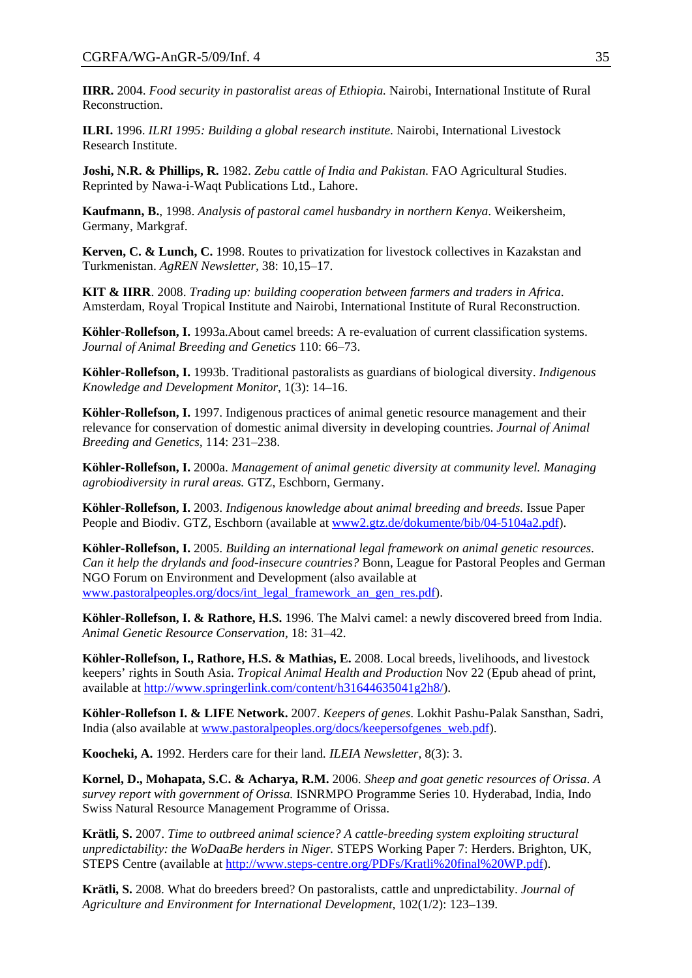**IIRR.** 2004. *Food security in pastoralist areas of Ethiopia.* Nairobi, International Institute of Rural Reconstruction.

**ILRI.** 1996. *ILRI 1995: Building a global research institute*. Nairobi, International Livestock Research Institute.

**Joshi, N.R. & Phillips, R.** 1982. *Zebu cattle of India and Pakistan*. FAO Agricultural Studies. Reprinted by Nawa-i-Waqt Publications Ltd., Lahore.

**Kaufmann, B.**, 1998. *Analysis of pastoral camel husbandry in northern Kenya*. Weikersheim, Germany, Markgraf.

**Kerven, C. & Lunch, C.** 1998. Routes to privatization for livestock collectives in Kazakstan and Turkmenistan. *AgREN Newsletter,* 38: 10,15–17.

**KIT & IIRR**. 2008. *Trading up: building cooperation between farmers and traders in Africa*. Amsterdam, Royal Tropical Institute and Nairobi, International Institute of Rural Reconstruction.

**Köhler-Rollefson, I.** 1993a.About camel breeds: A re-evaluation of current classification systems. *Journal of Animal Breeding and Genetics* 110: 66–73.

**Köhler-Rollefson, I.** 1993b. Traditional pastoralists as guardians of biological diversity. *Indigenous Knowledge and Development Monitor*, 1(3): 14–16.

**Köhler-Rollefson, I.** 1997. Indigenous practices of animal genetic resource management and their relevance for conservation of domestic animal diversity in developing countries. *Journal of Animal Breeding and Genetics,* 114: 231–238.

**Köhler-Rollefson, I.** 2000a. *Management of animal genetic diversity at community level. Managing agrobiodiversity in rural areas.* GTZ, Eschborn, Germany.

**Köhler-Rollefson, I.** 2003. *Indigenous knowledge about animal breeding and breeds.* Issue Paper People and Biodiv. GTZ, Eschborn (available at [www2.gtz.de/dokumente/bib/04-5104a2.pdf](http://www2.gtz.de/dokumente/bib/04-5104a2.pdf)).

**Köhler-Rollefson, I.** 2005. *Building an international legal framework on animal genetic resources*. *Can it help the drylands and food-insecure countries?* Bonn, League for Pastoral Peoples and German NGO Forum on Environment and Development (also available at [www.pastoralpeoples.org/docs/int\\_legal\\_framework\\_an\\_gen\\_res.pdf\)](http://www.pastoralpeoples.org/docs/int_legal_framework_an_gen_res.pdf).

**Köhler-Rollefson, I. & Rathore, H.S.** 1996. The Malvi camel: a newly discovered breed from India. *Animal Genetic Resource Conservation,* 18: 31–42.

**Köhler-Rollefson, I., Rathore, H.S. & Mathias, E.** 2008. Local breeds, livelihoods, and livestock keepers' rights in South Asia. *Tropical Animal Health and Production* Nov 22 (Epub ahead of print, available at [http://www.springerlink.com/content/h31644635041g2h8/\)](http://www.springerlink.com/content/h31644635041g2h8/).

**Köhler-Rollefson I. & LIFE Network.** 2007. *Keepers of genes*. Lokhit Pashu-Palak Sansthan, Sadri, India (also available at [www.pastoralpeoples.org/docs/keepersofgenes\\_web.pdf](http://www.pastoralpeoples.org/docs/keepersofgenes_web.pdf)).

**Koocheki, A.** 1992. Herders care for their land*. ILEIA Newsletter,* 8(3): 3.

**Kornel, D., Mohapata, S.C. & Acharya, R.M.** 2006. *Sheep and goat genetic resources of Orissa*. *A survey report with government of Orissa.* ISNRMPO Programme Series 10. Hyderabad, India, Indo Swiss Natural Resource Management Programme of Orissa.

**Krätli, S.** 2007. *[Time to outbreed animal science? A cattle-breeding system exploiting structural](http://www.steps-centre.org/PDFs/Kratli%20final%20WP.pdf)  [unpredictability: the WoDaaBe herders in Niger.](http://www.steps-centre.org/PDFs/Kratli%20final%20WP.pdf)* STEPS Working Paper 7: Herders. Brighton, UK, STEPS Centre (available at [http://www.steps-centre.org/PDFs/Kratli%20final%20WP.pdf\)](http://www.steps-centre.org/PDFs/Kratli%20final%20WP.pdf).

**Krätli, S.** 2008. What do breeders breed? On pastoralists, cattle and unpredictability. *Journal of Agriculture and Environment for International Development,* 102(1/2): 123–139.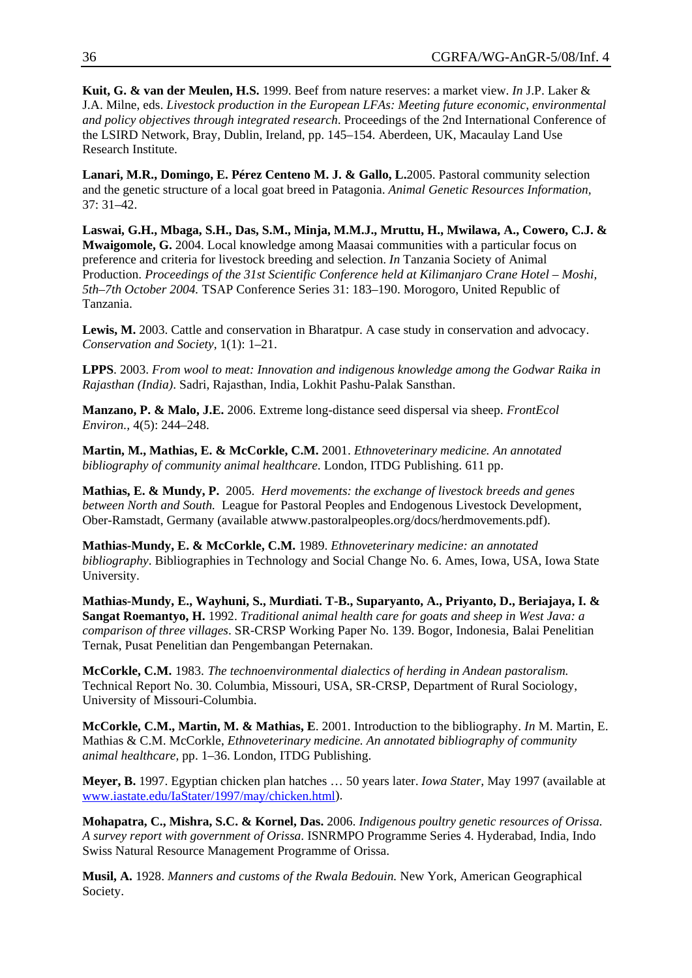**Kuit, G. & van der Meulen, H.S.** 1999. Beef from nature reserves: a market view. *In* J.P. Laker & J.A. Milne, eds. *Livestock production in the European LFAs: Meeting future economic, environmental and policy objectives through integrated research*. Proceedings of the 2nd International Conference of the LSIRD Network, Bray, Dublin, Ireland, pp. 145–154. Aberdeen, UK, Macaulay Land Use Research Institute.

**Lanari, M.R., Domingo, E. Pérez Centeno M. J. & Gallo, L.**2005. Pastoral community selection and the genetic structure of a local goat breed in Patagonia. *Animal Genetic Resources Information,*  37: 31–42.

**Laswai, G.H., Mbaga, S.H., Das, S.M., Minja, M.M.J., Mruttu, H., Mwilawa, A., Cowero, C.J. & Mwaigomole, G.** 2004. Local knowledge among Maasai communities with a particular focus on preference and criteria for livestock breeding and selection. *In* Tanzania Society of Animal Production. *Proceedings of the 31st Scientific Conference held at Kilimanjaro Crane Hotel – Moshi, 5th–7th October 2004.* TSAP Conference Series 31: 183–190. Morogoro, United Republic of Tanzania.

Lewis, M. 2003. Cattle and conservation in Bharatpur. A case study in conservation and advocacy. *Conservation and Society,* 1(1): 1–21.

**LPPS**. 2003. *From wool to meat: Innovation and indigenous knowledge among the Godwar Raika in Rajasthan (India)*. Sadri, Rajasthan, India, Lokhit Pashu-Palak Sansthan.

**Manzano, P. & Malo, J.E.** 2006. Extreme long-distance seed dispersal via sheep. *FrontEcol Environ.,* 4(5): 244–248.

**Martin, M., Mathias, E. & McCorkle, C.M.** 2001. *Ethnoveterinary medicine. An annotated bibliography of community animal healthcare*. London, ITDG Publishing. 611 pp.

**Mathias, E. & Mundy, P.** 2005. *Herd movements: the exchange of livestock breeds and genes between North and South.* League for Pastoral Peoples and Endogenous Livestock Development, Ober-Ramstadt, Germany (available atwww.pastoralpeoples.org/docs/herdmovements.pdf).

**Mathias-Mundy, E. & McCorkle, C.M.** 1989. *Ethnoveterinary medicine: an annotated bibliography*. Bibliographies in Technology and Social Change No. 6. Ames, Iowa, USA, Iowa State University.

**Mathias-Mundy, E., Wayhuni, S., Murdiati. T-B., Suparyanto, A., Priyanto, D., Beriajaya, I. & Sangat Roemantyo, H.** 1992. *Traditional animal health care for goats and sheep in West Java: a comparison of three villages*. SR-CRSP Working Paper No. 139. Bogor, Indonesia, Balai Penelitian Ternak, Pusat Penelitian dan Pengembangan Peternakan.

**McCorkle, C.M.** 1983. *The technoenvironmental dialectics of herding in Andean pastoralism.* Technical Report No. 30. Columbia, Missouri, USA, SR-CRSP, Department of Rural Sociology, University of Missouri-Columbia.

**McCorkle, C.M., Martin, M. & Mathias, E**. 2001. Introduction to the bibliography. *In* M. Martin, E. Mathias & C.M. McCorkle, *Ethnoveterinary medicine. An annotated bibliography of community animal healthcare,* pp. 1–36. London, ITDG Publishing.

**Meyer, B.** 1997. Egyptian chicken plan hatches … 50 years later. *Iowa Stater,* May 1997 (available at [www.iastate.edu/IaStater/1997/may/chicken.html\)](http://www.iastate.edu/IaStater/1997/may/chicken.html).

**Mohapatra, C., Mishra, S.C. & Kornel, Das.** 2006. *Indigenous poultry genetic resources of Orissa. A survey report with government of Orissa*. ISNRMPO Programme Series 4. Hyderabad, India, Indo Swiss Natural Resource Management Programme of Orissa.

**Musil, A.** 1928. *Manners and customs of the Rwala Bedouin.* New York, American Geographical Society.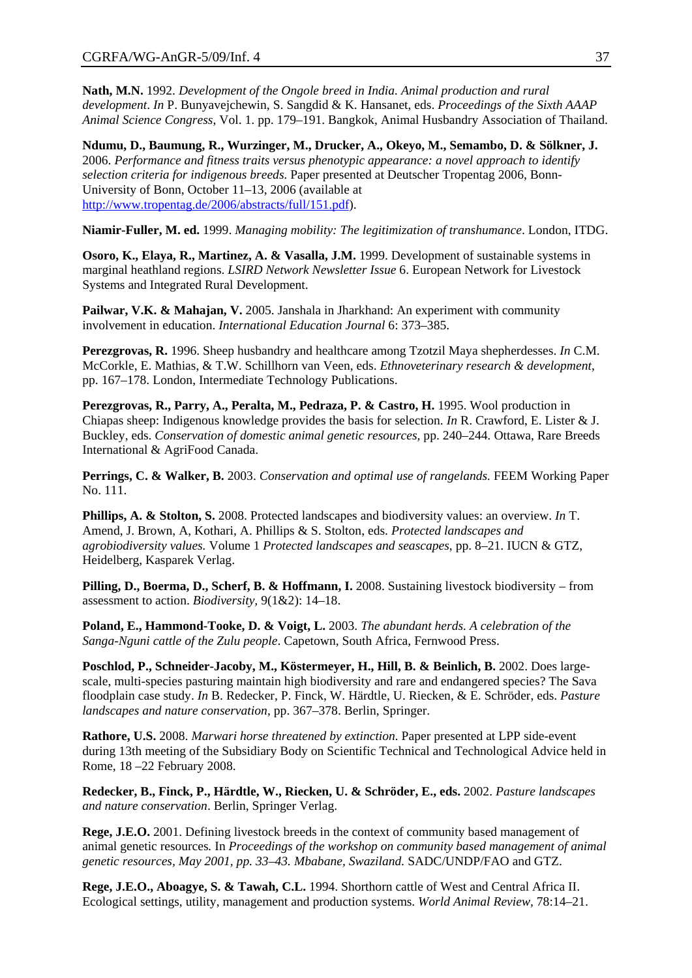**Nath, M.N.** 1992. *Development of the Ongole breed in India. Animal production and rural development*. *In* P. Bunyavejchewin, S. Sangdid & K. Hansanet, eds. *Proceedings of the Sixth AAAP Animal Science Congress*, Vol. 1. pp. 179–191. Bangkok, Animal Husbandry Association of Thailand.

**Ndumu, D., Baumung, R., Wurzinger, M., Drucker, A., Okeyo, M., Semambo, D. & Sölkner, J.**  2006. *Performance and fitness traits versus phenotypic appearance: a novel approach to identify selection criteria for indigenous breeds*. Paper presented at Deutscher Tropentag 2006, Bonn-University of Bonn, October 11–13, 2006 (available at [http://www.tropentag.de/2006/abstracts/full/151.pdf\)](http://www.tropentag.de/2006/abstracts/full/151.pdf).

**Niamir-Fuller, M. ed.** 1999. *Managing mobility: The legitimization of transhumance*. London, ITDG.

**Osoro, K., Elaya, R., Martinez, A. & Vasalla, J.M.** 1999. Development of sustainable systems in marginal heathland regions. *LSIRD Network Newsletter Issue* 6. European Network for Livestock Systems and Integrated Rural Development.

Pailwar, V.K. & Mahajan, V. 2005. Janshala in Jharkhand: An experiment with community involvement in education. *International Education Journal* 6: 373–385.

**Perezgrovas, R.** 1996. Sheep husbandry and healthcare among Tzotzil Maya shepherdesses. *In* C.M. McCorkle, E. Mathias, & T.W. Schillhorn van Veen, eds. *Ethnoveterinary research & development*, pp. 167–178. London, Intermediate Technology Publications.

**Perezgrovas, R., Parry, A., Peralta, M., Pedraza, P. & Castro, H.** 1995. Wool production in Chiapas sheep: Indigenous knowledge provides the basis for selection. *In* R. Crawford, E. Lister & J. Buckley, eds. *Conservation of domestic animal genetic resources,* pp. 240–244*.* Ottawa, Rare Breeds International & AgriFood Canada.

**Perrings, C. & Walker, B.** 2003. *Conservation and optimal use of rangelands.* FEEM Working Paper No. 111.

**Phillips, A. & Stolton, S.** 2008. Protected landscapes and biodiversity values: an overview. *In* T. Amend, J. Brown, A, Kothari, A. Phillips & S. Stolton, eds. *Protected landscapes and agrobiodiversity values.* Volume 1 *Protected landscapes and seascapes*, pp. 8–21. IUCN & GTZ, Heidelberg, Kasparek Verlag.

**Pilling, D., Boerma, D., Scherf, B. & Hoffmann, I.** 2008. Sustaining livestock biodiversity – from assessment to action. *Biodiversity,* 9(1&2): 14–18.

**Poland, E., Hammond-Tooke, D. & Voigt, L.** 2003. *The abundant herds. A celebration of the Sanga-Nguni cattle of the Zulu people*. Capetown, South Africa, Fernwood Press.

Poschlod, P., Schneider-Jacoby, M., Köstermeyer, H., Hill, B. & Beinlich, B. 2002. Does largescale, multi-species pasturing maintain high biodiversity and rare and endangered species? The Sava floodplain case study. *In* B. Redecker, P. Finck, W. Härdtle, U. Riecken, & E. Schröder, eds. *Pasture landscapes and nature conservation*, pp. 367–378. Berlin, Springer.

**Rathore, U.S.** 2008. *Marwari horse threatened by extinction.* Paper presented at LPP side-event during 13th meeting of the Subsidiary Body on Scientific Technical and Technological Advice held in Rome, 18 –22 February 2008.

**Redecker, B., Finck, P., Härdtle, W., Riecken, U. & Schröder, E., eds.** 2002. *Pasture landscapes and nature conservation*. Berlin, Springer Verlag.

**Rege, J.E.O.** 2001. Defining livestock breeds in the context of community based management of animal genetic resources*.* In *Proceedings of the workshop on community based management of animal genetic resources, May 2001, pp. 33–43. Mbabane, Swaziland.* SADC/UNDP/FAO and GTZ.

**Rege, J.E.O., Aboagye, S. & Tawah, C.L.** 1994. Shorthorn cattle of West and Central Africa II. Ecological settings, utility, management and production systems. *World Animal Review,* 78:14–21.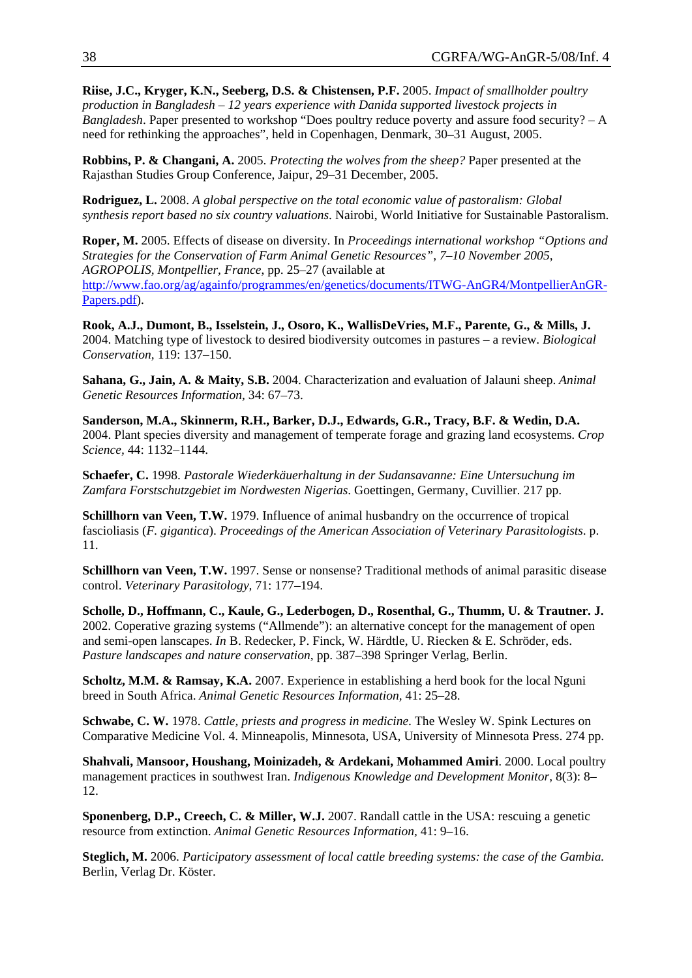**Riise, J.C., Kryger, K.N., Seeberg, D.S. & Chistensen, P.F.** 2005. *Impact of smallholder poultry production in Bangladesh – 12 years experience with Danida supported livestock projects in Bangladesh*. Paper presented to workshop "Does poultry reduce poverty and assure food security? – A need for rethinking the approaches", held in Copenhagen, Denmark, 30–31 August, 2005.

**Robbins, P. & Changani, A.** 2005. *Protecting the wolves from the sheep?* Paper presented at the Rajasthan Studies Group Conference, Jaipur, 29–31 December, 2005.

**Rodriguez, L.** 2008. *A global perspective on the total economic value of pastoralism: Global synthesis report based no six country valuations*. Nairobi, World Initiative for Sustainable Pastoralism.

**Roper, M.** 2005. Effects of disease on diversity*.* In *Proceedings international workshop "Options and Strategies for the Conservation of Farm Animal Genetic Resources", 7–10 November 2005, AGROPOLIS, Montpellier, France*, pp. 25–27 (available at [http://www.fao.org/ag/againfo/programmes/en/genetics/documents/ITWG-AnGR4/MontpellierAnGR-](http://www.fao.org/ag/againfo/programmes/en/genetics/documents/ITWG-AnGR4/MontpellierAnGR-Papers.pdf)[Papers.pdf\)](http://www.fao.org/ag/againfo/programmes/en/genetics/documents/ITWG-AnGR4/MontpellierAnGR-Papers.pdf).

**Rook, A.J., Dumont, B., Isselstein, J., Osoro, K., WallisDeVries, M.F., Parente, G., & Mills, J.** 2004. Matching type of livestock to desired biodiversity outcomes in pastures – a review. *Biological Conservation,* 119: 137–150.

**Sahana, G., Jain, A. & Maity, S.B.** 2004. Characterization and evaluation of Jalauni sheep. *Animal Genetic Resources Information,* 34: 67–73.

**Sanderson, M.A., Skinnerm, R.H., Barker, D.J., Edwards, G.R., Tracy, B.F. & Wedin, D.A.** 2004. Plant species diversity and management of temperate forage and grazing land ecosystems. *Crop Science,* 44: 1132–1144.

**Schaefer, C.** 1998. *Pastorale Wiederkäuerhaltung in der Sudansavanne: Eine Untersuchung im Zamfara Forstschutzgebiet im Nordwesten Nigerias*. Goettingen, Germany, Cuvillier. 217 pp.

**Schillhorn van Veen, T.W.** 1979. Influence of animal husbandry on the occurrence of tropical fascioliasis (*F. gigantica*). *Proceedings of the American Association of Veterinary Parasitologists*. p. 11.

**Schillhorn van Veen, T.W.** 1997. Sense or nonsense? Traditional methods of animal parasitic disease control. *Veterinary Parasitology,* 71: 177–194.

**Scholle, D., Hoffmann, C., Kaule, G., Lederbogen, D., Rosenthal, G., Thumm, U. & Trautner. J.**  2002. Coperative grazing systems ("Allmende"): an alternative concept for the management of open and semi-open lanscapes. *In* B. Redecker, P. Finck, W. Härdtle, U. Riecken & E. Schröder, eds. *Pasture landscapes and nature conservation*, pp. 387–398 Springer Verlag, Berlin.

**Scholtz, M.M. & Ramsay, K.A.** 2007. Experience in establishing a herd book for the local Nguni breed in South Africa. *Animal Genetic Resources Information,* 41: 25–28.

**Schwabe, C. W.** 1978. *Cattle, priests and progress in medicine*. The Wesley W. Spink Lectures on Comparative Medicine Vol. 4. Minneapolis, Minnesota, USA, University of Minnesota Press. 274 pp.

**Shahvali, Mansoor, Houshang, Moinizadeh, & Ardekani, Mohammed Amiri**. 2000. Local poultry management practices in southwest Iran. *Indigenous Knowledge and Development Monitor,* 8(3): 8– 12.

**Sponenberg, D.P., Creech, C. & Miller, W.J.** 2007. Randall cattle in the USA: rescuing a genetic resource from extinction. *Animal Genetic Resources Information,* 41: 9–16.

**Steglich, M.** 2006. *Participatory assessment of local cattle breeding systems: the case of the Gambia.* Berlin, Verlag Dr. Köster.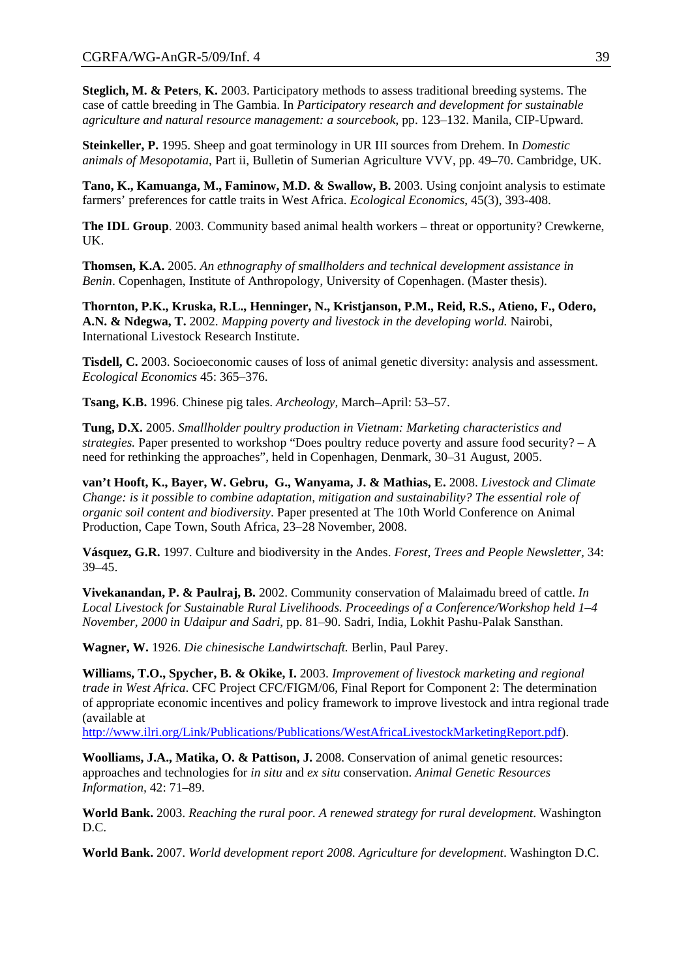**Steglich, M. & Peters**, **K.** 2003. Participatory methods to assess traditional breeding systems. The case of cattle breeding in The Gambia. In *Participatory research and development for sustainable agriculture and natural resource management: a sourcebook*, pp. 123–132. Manila, CIP-Upward.

**Steinkeller, P.** 1995. Sheep and goat terminology in UR III sources from Drehem. In *Domestic animals of Mesopotamia*, Part ii, Bulletin of Sumerian Agriculture VVV, pp. 49–70. Cambridge, UK.

**Tano, K., Kamuanga, M., Faminow, M.D. & Swallow, B.** 2003. Using conjoint analysis to estimate farmers' preferences for cattle traits in West Africa. *Ecological Economics*, 45(3), 393-408.

**The IDL Group**. 2003. Community based animal health workers – threat or opportunity? Crewkerne, UK.

**Thomsen, K.A.** 2005. *An ethnography of smallholders and technical development assistance in Benin*. Copenhagen, Institute of Anthropology, University of Copenhagen. (Master thesis).

**Thornton, P.K., Kruska, R.L., Henninger, N., Kristjanson, P.M., Reid, R.S., Atieno, F., Odero, A.N. & Ndegwa, T.** 2002. *Mapping poverty and livestock in the developing world.* Nairobi, International Livestock Research Institute.

**Tisdell, C.** 2003. Socioeconomic causes of loss of animal genetic diversity: analysis and assessment. *Ecological Economics* 45: 365–376.

**Tsang, K.B.** 1996. Chinese pig tales. *Archeology,* March–April: 53–57.

**Tung, D.X.** 2005. *Smallholder poultry production in Vietnam: Marketing characteristics and strategies.* Paper presented to workshop "Does poultry reduce poverty and assure food security? – A need for rethinking the approaches", held in Copenhagen, Denmark, 30–31 August, 2005.

**van't Hooft, K., Bayer, W. Gebru, G., Wanyama, J. & Mathias, E.** 2008. *Livestock and Climate Change: is it possible to combine adaptation, mitigation and sustainability? The essential role of organic soil content and biodiversity*. Paper presented at The 10th World Conference on Animal Production, Cape Town, South Africa, 23–28 November, 2008.

**Vásquez, G.R.** 1997. Culture and biodiversity in the Andes. *Forest, Trees and People Newsletter,* 34: 39–45.

**Vivekanandan, P. & Paulraj, B.** 2002. Community conservation of Malaimadu breed of cattle. *In Local Livestock for Sustainable Rural Livelihoods. Proceedings of a Conference/Workshop held 1–4 November, 2000 in Udaipur and Sadri*, pp. 81–90. Sadri, India, Lokhit Pashu-Palak Sansthan.

**Wagner, W.** 1926. *Die chinesische Landwirtschaft.* Berlin, Paul Parey.

**Williams, T.O., Spycher, B. & Okike, I.** 2003. *Improvement of livestock marketing and regional trade in West Africa*. CFC Project CFC/FIGM/06, Final Report for Component 2: The determination of appropriate economic incentives and policy framework to improve livestock and intra regional trade (available at

<http://www.ilri.org/Link/Publications/Publications/WestAfricaLivestockMarketingReport.pdf>).

**Woolliams, J.A., Matika, O. & Pattison, J.** 2008. Conservation of animal genetic resources: approaches and technologies for *in situ* and *ex situ* conservation. *Animal Genetic Resources Information,* 42: 71–89.

**World Bank.** 2003. *Reaching the rural poor. A renewed strategy for rural development*. Washington D.C.

**World Bank.** 2007. *World development report 2008. Agriculture for development*. Washington D.C.